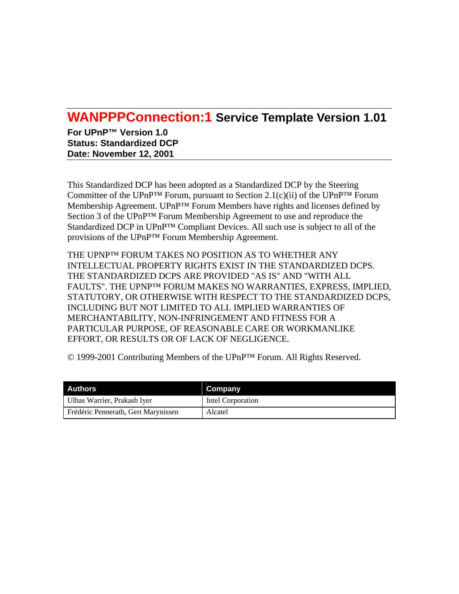# **WANPPPConnection:1 Service Template Version 1.01**

**For UPnP™ Version 1.0 Status: Standardized DCP Date: November 12, 2001** 

This Standardized DCP has been adopted as a Standardized DCP by the Steering Committee of the UPnP<sup>™</sup> Forum, pursuant to Section 2.1(c)(ii) of the UPnP<sup>™</sup> Forum Membership Agreement. UPnP™ Forum Members have rights and licenses defined by Section 3 of the UPnP™ Forum Membership Agreement to use and reproduce the Standardized DCP in UPnP™ Compliant Devices. All such use is subject to all of the provisions of the UPnP™ Forum Membership Agreement.

THE UPNP™ FORUM TAKES NO POSITION AS TO WHETHER ANY INTELLECTUAL PROPERTY RIGHTS EXIST IN THE STANDARDIZED DCPS. THE STANDARDIZED DCPS ARE PROVIDED "AS IS" AND "WITH ALL FAULTS". THE UPNP™ FORUM MAKES NO WARRANTIES, EXPRESS, IMPLIED, STATUTORY, OR OTHERWISE WITH RESPECT TO THE STANDARDIZED DCPS, INCLUDING BUT NOT LIMITED TO ALL IMPLIED WARRANTIES OF MERCHANTABILITY, NON-INFRINGEMENT AND FITNESS FOR A PARTICULAR PURPOSE, OF REASONABLE CARE OR WORKMANLIKE EFFORT, OR RESULTS OR OF LACK OF NEGLIGENCE.

© 1999-2001 Contributing Members of the UPnP™ Forum. All Rights Reserved.

| Authors                             | Company           |
|-------------------------------------|-------------------|
| Ulhas Warrier, Prakash Iver         | Intel Corporation |
| Frédéric Pennerath, Gert Marynissen | Alcatel           |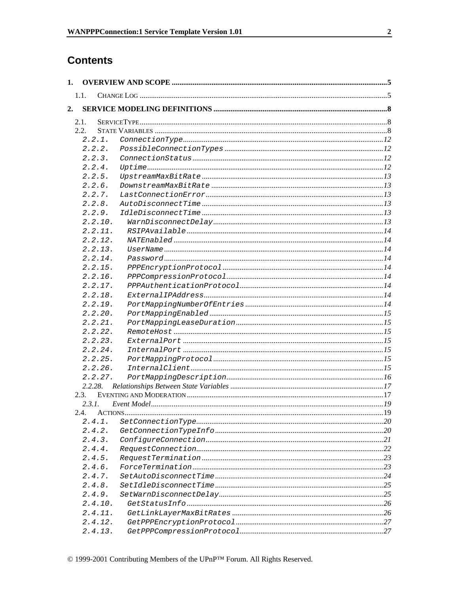# **Contents**

| 1. |        |         |  |
|----|--------|---------|--|
|    | 1.1.   |         |  |
| 2. |        |         |  |
|    |        |         |  |
|    | 2.1.   |         |  |
|    | 2.2.   |         |  |
|    |        | 2.2.1.  |  |
|    |        | 2.2.2.  |  |
|    |        | 2.2.3.  |  |
|    |        | 2.2.4.  |  |
|    |        | 2.2.5.  |  |
|    |        | 2.2.6.  |  |
|    |        | 2.2.7.  |  |
|    |        | 2.2.8.  |  |
|    |        | 2.2.9.  |  |
|    |        | 2.2.10. |  |
|    |        | 2.2.11. |  |
|    |        | 2.2.12. |  |
|    |        | 2.2.13. |  |
|    |        | 2.2.14. |  |
|    |        | 2.2.15. |  |
|    |        | 2.2.16. |  |
|    |        | 2.2.17. |  |
|    |        | 2.2.18. |  |
|    |        | 2.2.19. |  |
|    |        | 2.2.20. |  |
|    |        | 2.2.21. |  |
|    |        | 2.2.22. |  |
|    |        | 2.2.23. |  |
|    |        | 2.2.24. |  |
|    |        | 2.2.25. |  |
|    |        | 2.2.26. |  |
|    |        | 2.2.27. |  |
|    |        | 2.2.28. |  |
|    | 2.3.   |         |  |
|    | 2.3.1. |         |  |
|    |        |         |  |
|    |        | 2.4.1.  |  |
|    |        | 2.4.2.  |  |
|    |        | 2.4.3.  |  |
|    |        | 2.4.4.  |  |
|    |        | 2.4.5.  |  |
|    |        | 2.4.6.  |  |
|    |        | 2.4.7.  |  |
|    |        | 2.4.8.  |  |
|    |        | 2.4.9.  |  |
|    |        | 2.4.10. |  |
|    |        | 2.4.11. |  |
|    |        | 2.4.12. |  |
|    |        | 2.4.13. |  |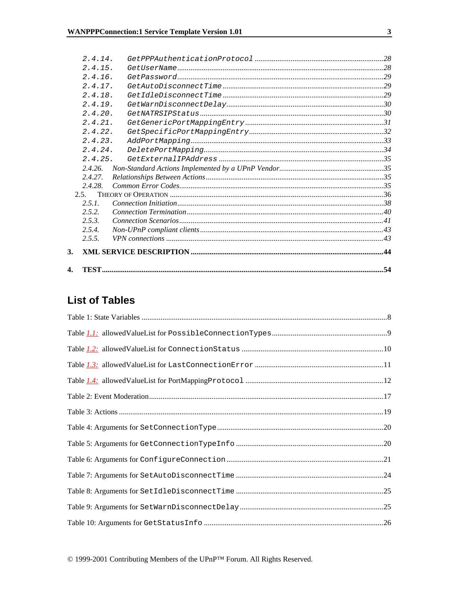| $\mathbf{4}$ |                    |  |
|--------------|--------------------|--|
| 3.           |                    |  |
|              | 2.5.5.             |  |
|              | 2.5.4.             |  |
|              | 2.5.3.             |  |
|              | 2.5.2.             |  |
|              | 2.5.1.             |  |
|              | 2.5.               |  |
|              | 2.4.28.            |  |
|              | 2.4.27             |  |
|              | 2.4.26             |  |
|              | 2.4.25.            |  |
|              | 2.4.23.<br>2.4.24. |  |
|              | 2.4.22.            |  |
|              | 2.4.21.            |  |
|              | 2.4.20.            |  |
|              | 2.4.19.            |  |
|              | 2.4.18.            |  |
|              | 2.4.17.            |  |
|              | 2.4.16.            |  |
|              | 2.4.15.            |  |
|              | 2.4.14.            |  |

# **List of Tables**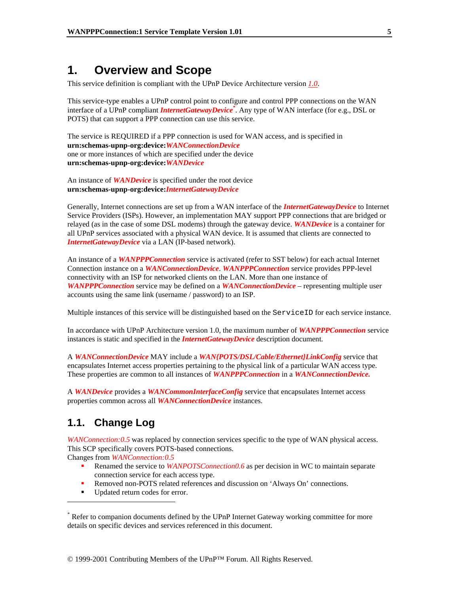# **1. Overview and Scope**

This service definition is compliant with the UPnP Device Architecture version *1.0*.

This service-type enables a UPnP control point to configure and control PPP connections on the WAN interface of a UPnP compliant *InternetGatewayDevice\** . Any type of WAN interface (for e.g., DSL or POTS) that can support a PPP connection can use this service.

The service is REQUIRED if a PPP connection is used for WAN access, and is specified in **urn:schemas-upnp-org:device:***WANConnectionDevice* one or more instances of which are specified under the device **urn:schemas-upnp-org:device:***WANDevice*

An instance of *WANDevice* is specified under the root device **urn:schemas-upnp-org:device:***InternetGatewayDevice*

Generally, Internet connections are set up from a WAN interface of the *InternetGatewayDevice* to Internet Service Providers (ISPs). However, an implementation MAY support PPP connections that are bridged or relayed (as in the case of some DSL modems) through the gateway device. *WANDevice* is a container for all UPnP services associated with a physical WAN device. It is assumed that clients are connected to *InternetGatewayDevice* via a LAN (IP-based network).

An instance of a *WANPPPConnection* service is activated (refer to SST below) for each actual Internet Connection instance on a *WANConnectionDevice*. *WANPPPConnection* service provides PPP-level connectivity with an ISP for networked clients on the LAN. More than one instance of *WANPPPConnection* service may be defined on a *WANConnectionDevice* – representing multiple user accounts using the same link (username / password) to an ISP.

Multiple instances of this service will be distinguished based on the ServiceID for each service instance.

In accordance with UPnP Architecture version 1.0, the maximum number of *WANPPPConnection* service instances is static and specified in the *InternetGatewayDevice* description document.

A *WANConnectionDevice* MAY include a *WAN{POTS/DSL/Cable/Ethernet}LinkConfig* service that encapsulates Internet access properties pertaining to the physical link of a particular WAN access type. These properties are common to all instances of *WANPPPConnection* in a *WANConnectionDevice.*

A *WANDevice* provides a *WANCommonInterfaceConfig* service that encapsulates Internet access properties common across all *WANConnectionDevice* instances.

# **1.1. Change Log**

 $\overline{a}$ 

*WANConnection:0.5* was replaced by connection services specific to the type of WAN physical access. This SCP specifically covers POTS-based connections.

Changes from *WANConnection:0.5*

- Renamed the service to *WANPOTSConnection0.6* as per decision in WC to maintain separate connection service for each access type.
- Removed non-POTS related references and discussion on 'Always On' connections.
- Updated return codes for error.

<sup>\*</sup> Refer to companion documents defined by the UPnP Internet Gateway working committee for more details on specific devices and services referenced in this document.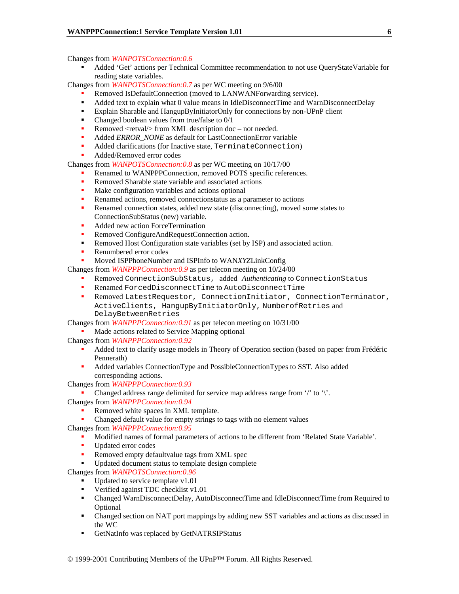Changes from *WANPOTSConnection:0.6* 

 Added 'Get' actions per Technical Committee recommendation to not use QueryStateVariable for reading state variables.

Changes from *WANPOTSConnection:0.7* as per WC meeting on 9/6/00

- Removed IsDefaultConnection (moved to LANWANForwarding service).
- Added text to explain what 0 value means in IdleDisconnectTime and WarnDisconnectDelay
- Explain Sharable and HangupByInitiatorOnly for connections by non-UPnP client
- Changed boolean values from true/false to  $0/1$
- Removed <retval/> from XML description doc not needed.
- Added *ERROR\_NONE* as default for LastConnectionError variable
- Added clarifications (for Inactive state, TerminateConnection)
- Added/Removed error codes

Changes from *WANPOTSConnection:0.8* as per WC meeting on 10/17/00

- Renamed to WANPPPConnection, removed POTS specific references.
- Removed Sharable state variable and associated actions
- Make configuration variables and actions optional
- Renamed actions, removed connectionstatus as a parameter to actions
- **Renamed connection states, added new state (disconnecting), moved some states to** ConnectionSubStatus (new) variable.
- Added new action ForceTermination
- Removed ConfigureAndRequestConnection action.
- Removed Host Configuration state variables (set by ISP) and associated action.
- Renumbered error codes

Moved ISPPhoneNumber and ISPInfo to WAN*XYZ*LinkConfig

Changes from *WANPPPConnection:0.9* as per telecon meeting on 10/24/00

- Removed ConnectionSubStatus, added *Authenticating* to ConnectionStatus
- Renamed ForcedDisconnectTime to AutoDisconnectTime
- Removed LatestRequestor, ConnectionInitiator, ConnectionTerminator, ActiveClients, HangupByInitiatorOnly, NumberofRetries and DelayBetweenRetries

Changes from *WANPPPConnection:0.91* as per telecon meeting on 10/31/00

Made actions related to Service Mapping optional

Changes from *WANPPPConnection:0.92*

- Added text to clarify usage models in Theory of Operation section (based on paper from Frédéric Pennerath)
- Added variables ConnectionType and PossibleConnectionTypes to SST. Also added corresponding actions.

Changes from *WANPPPConnection:0.93*

Changed address range delimited for service map address range from '/' to '\'.

Changes from *WANPPPConnection:0.94*

- Removed white spaces in XML template.
- Changed default value for empty strings to tags with no element values

Changes from *WANPPPConnection:0.95*

- Modified names of formal parameters of actions to be different from 'Related State Variable'.
- Updated error codes
- Removed empty defaultvalue tags from XML spec
- Updated document status to template design complete

Changes from *WANPOTSConnection:0.96* 

- $\blacksquare$  Updated to service template v1.01
- Verified against TDC checklist v1.01
- Changed WarnDisconnectDelay, AutoDisconnectTime and IdleDisconnectTime from Required to Optional
- Changed section on NAT port mappings by adding new SST variables and actions as discussed in the WC
- GetNatInfo was replaced by GetNATRSIPStatus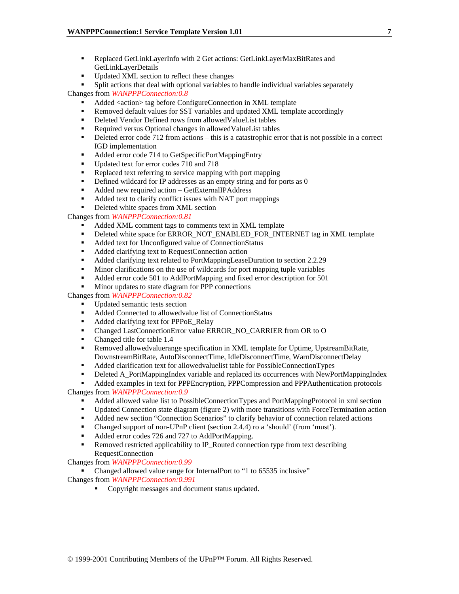- Replaced GetLinkLayerInfo with 2 Get actions: GetLinkLayerMaxBitRates and GetLinkLayerDetails
- Updated XML section to reflect these changes

 Split actions that deal with optional variables to handle individual variables separately Changes from *WANPPPConnection:0.8* 

- Added <action> tag before ConfigureConnection in XML template
- Removed default values for SST variables and updated XML template accordingly
- Deleted Vendor Defined rows from allowedValueList tables
- Required versus Optional changes in allowed ValueList tables
- Deleted error code 712 from actions this is a catastrophic error that is not possible in a correct IGD implementation
- Added error code 714 to GetSpecificPortMappingEntry
- Updated text for error codes 710 and 718
- Replaced text referring to service mapping with port mapping
- **•** Defined wildcard for IP addresses as an empty string and for ports as 0
- Added new required action GetExternalIPAddress
- Added text to clarify conflict issues with NAT port mappings
- Deleted white spaces from XML section

Changes from *WANPPPConnection:0.81* 

- Added XML comment tags to comments text in XML template
- Deleted white space for ERROR\_NOT\_ENABLED\_FOR\_INTERNET tag in XML template
- Added text for Unconfigured value of ConnectionStatus
- Added clarifying text to RequestConnection action
- Added clarifying text related to PortMappingLeaseDuration to section 2.2.29
- Minor clarifications on the use of wildcards for port mapping tuple variables
- Added error code 501 to AddPortMapping and fixed error description for 501
- **Minor updates to state diagram for PPP connections**

Changes from *WANPPPConnection:0.82* 

- Updated semantic tests section
- Added Connected to allowedvalue list of ConnectionStatus
- Added clarifying text for PPPoE\_Relay
- Changed LastConnectionError value ERROR\_NO\_CARRIER from OR to O
- Changed title for table 1.4
- Removed allowedvaluerange specification in XML template for Uptime, UpstreamBitRate, DownstreamBitRate, AutoDisconnectTime, IdleDisconnectTime, WarnDisconnectDelay
- Added clarification text for allowedvaluelist table for PossibleConnectionTypes
- Deleted A\_PortMappingIndex variable and replaced its occurrences with NewPortMappingIndex

 Added examples in text for PPPEncryption, PPPCompression and PPPAuthentication protocols Changes from *WANPPPConnection:0.9* 

- Added allowed value list to PossibleConnectionTypes and PortMappingProtocol in xml section
- Updated Connection state diagram (figure 2) with more transitions with ForceTermination action
- Added new section "Connection Scenarios" to clarify behavior of connection related actions
- Changed support of non-UPnP client (section 2.4.4) ro a 'should' (from 'must').
- Added error codes 726 and 727 to AddPortMapping.
- Removed restricted applicability to IP\_Routed connection type from text describing RequestConnection

Changes from *WANPPPConnection:0.99* 

Changed allowed value range for InternalPort to "1 to 65535 inclusive"

- Changes from *WANPPPConnection:0.991* 
	- Copyright messages and document status updated.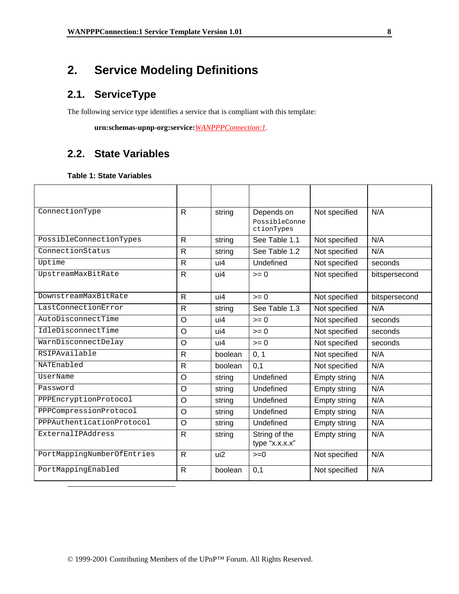# **2. Service Modeling Definitions**

# **2.1. ServiceType**

The following service type identifies a service that is compliant with this template:

 **urn:schemas-upnp-org:service:***WANPPPConnection:1*.

# **2.2. State Variables**

# **Table 1: State Variables**

| ConnectionType             | R            | string          | Depends on<br>PossibleConne<br>ctionTypes | Not specified       | N/A           |
|----------------------------|--------------|-----------------|-------------------------------------------|---------------------|---------------|
| PossibleConnectionTypes    | R            | string          | See Table 1.1                             | Not specified       | N/A           |
| ConnectionStatus           | $\mathsf{R}$ | string          | See Table 1.2                             | Not specified       | N/A           |
| Uptime                     | R            | $\overline{u}$  | Undefined                                 | Not specified       | seconds       |
| UpstreamMaxBitRate         | R            | ui4             | $>= 0$                                    | Not specified       | bitspersecond |
| DownstreamMaxBitRate       | R            | ui4             | $= 0$                                     | Not specified       | bitspersecond |
| LastConnectionError        | R            | string          | See Table 1.3                             | Not specified       | N/A           |
| AutoDisconnectTime         | O            | ui4             | $>= 0$                                    | Not specified       | seconds       |
| IdleDisconnectTime         | $\circ$      | ui4             | $>= 0$                                    | Not specified       | seconds       |
| WarnDisconnectDelay        | $\circ$      | ui4             | $>= 0$                                    | Not specified       | seconds       |
| RSIPAvailable              | R            | boolean         | 0, 1                                      | Not specified       | N/A           |
| NATEnabled                 | $\mathsf{R}$ | boolean         | 0,1                                       | Not specified       | N/A           |
| UserName                   | O            | string          | Undefined                                 | <b>Empty string</b> | N/A           |
| Password                   | O            | string          | Undefined                                 | Empty string        | N/A           |
| PPPEncryptionProtocol      | $\circ$      | string          | Undefined                                 | <b>Empty string</b> | N/A           |
| PPPCompressionProtocol     | $\circ$      | string          | Undefined                                 | <b>Empty string</b> | N/A           |
| PPPAuthenticationProtocol  | O            | string          | Undefined                                 | <b>Empty string</b> | N/A           |
| ExternalIPAddress          | R            | string          | String of the<br>type "x.x.x.x"           | Empty string        | N/A           |
| PortMappingNumberOfEntries | R            | ui <sub>2</sub> | $>=0$                                     | Not specified       | N/A           |
| PortMappingEnabled         | $\mathsf{R}$ | boolean         | 0,1                                       | Not specified       | N/A           |
|                            |              |                 |                                           |                     |               |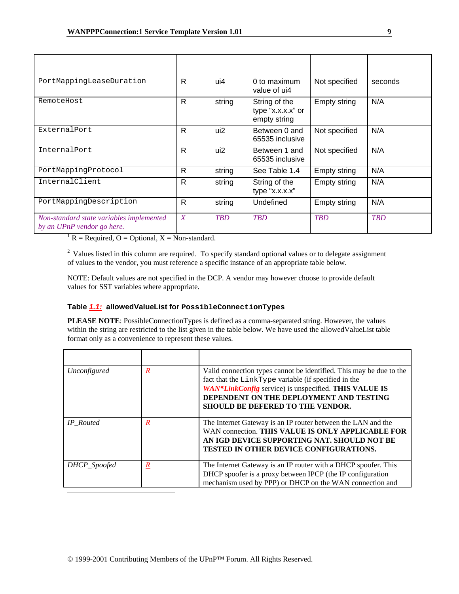| PortMappingLeaseDuration                                               | R                | ui4        | 0 to maximum<br>value of ui4                       | Not specified | seconds    |
|------------------------------------------------------------------------|------------------|------------|----------------------------------------------------|---------------|------------|
| RemoteHost                                                             | $\mathsf{R}$     | string     | String of the<br>type "x.x.x.x" or<br>empty string | Empty string  | N/A        |
| ExternalPort                                                           | R                | ui2        | Between 0 and<br>65535 inclusive                   | Not specified | N/A        |
| InternalPort                                                           | R                | ui2        | Between 1 and<br>65535 inclusive                   | Not specified | N/A        |
| PortMappingProtocol                                                    | R                | string     | See Table 1.4                                      | Empty string  | N/A        |
| InternalClient                                                         | R                | string     | String of the<br>type "x.x.x.x"                    | Empty string  | N/A        |
| PortMappingDescription                                                 | R                | string     | Undefined                                          | Empty string  | N/A        |
| Non-standard state variables implemented<br>by an UPnP vendor go here. | $\boldsymbol{X}$ | <b>TBD</b> | <b>TBD</b>                                         | <b>TBD</b>    | <b>TBD</b> |

 ${}^{1}R$  = Required, O = Optional, X = Non-standard.

<sup>2</sup> Values listed in this column are required. To specify standard optional values or to delegate assignment of values to the vendor, you must reference a specific instance of an appropriate table below.

NOTE: Default values are not specified in the DCP. A vendor may however choose to provide default values for SST variables where appropriate.

#### **Table** *1.1:* **allowedValueList for PossibleConnectionTypes**

**PLEASE NOTE**: PossibleConnectionTypes is defined as a comma-separated string. However, the values within the string are restricted to the list given in the table below. We have used the allowedValueList table format only as a convenience to represent these values.

| Unconfigured     | $\boldsymbol{R}$ | Valid connection types cannot be identified. This may be due to the<br>fact that the LinkType variable (if specified in the<br>WAN*LinkConfig service) is unspecified. THIS VALUE IS<br>DEPENDENT ON THE DEPLOYMENT AND TESTING<br><b>SHOULD BE DEFERED TO THE VENDOR.</b> |
|------------------|------------------|----------------------------------------------------------------------------------------------------------------------------------------------------------------------------------------------------------------------------------------------------------------------------|
| <b>IP</b> Routed | $\pmb{R}$        | The Internet Gateway is an IP router between the LAN and the<br>WAN connection. THIS VALUE IS ONLY APPLICABLE FOR<br>AN IGD DEVICE SUPPORTING NAT. SHOULD NOT BE<br><b>TESTED IN OTHER DEVICE CONFIGURATIONS.</b>                                                          |
| DHCP_Spoofed     | $\underline{R}$  | The Internet Gateway is an IP router with a DHCP spoofer. This<br>DHCP spoofer is a proxy between IPCP (the IP configuration<br>mechanism used by PPP) or DHCP on the WAN connection and                                                                                   |
|                  |                  |                                                                                                                                                                                                                                                                            |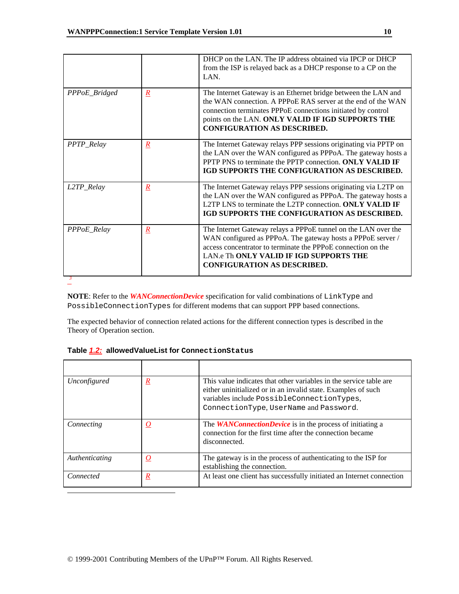|               |                 | DHCP on the LAN. The IP address obtained via IPCP or DHCP<br>from the ISP is relayed back as a DHCP response to a CP on the<br>LAN.                                                                                                                                                       |
|---------------|-----------------|-------------------------------------------------------------------------------------------------------------------------------------------------------------------------------------------------------------------------------------------------------------------------------------------|
| PPPoE_Bridged | $\underline{R}$ | The Internet Gateway is an Ethernet bridge between the LAN and<br>the WAN connection. A PPPoE RAS server at the end of the WAN<br>connection terminates PPPoE connections initiated by control<br>points on the LAN. ONLY VALID IF IGD SUPPORTS THE<br><b>CONFIGURATION AS DESCRIBED.</b> |
| PPTP_Relay    | $\underline{R}$ | The Internet Gateway relays PPP sessions originating via PPTP on<br>the LAN over the WAN configured as PPPoA. The gateway hosts a<br>PPTP PNS to terminate the PPTP connection. ONLY VALID IF<br>IGD SUPPORTS THE CONFIGURATION AS DESCRIBED.                                             |
| L2TP_Relay    | $\underline{R}$ | The Internet Gateway relays PPP sessions originating via L2TP on<br>the LAN over the WAN configured as PPPoA. The gateway hosts a<br>L2TP LNS to terminate the L2TP connection. ONLY VALID IF<br>IGD SUPPORTS THE CONFIGURATION AS DESCRIBED.                                             |
| PPPoE_Relay   | $\mathbf{R}$    | The Internet Gateway relays a PPPoE tunnel on the LAN over the<br>WAN configured as PPPoA. The gateway hosts a PPPoE server /<br>access concentrator to terminate the PPPoE connection on the<br>LAN.e Th ONLY VALID IF IGD SUPPORTS THE<br>CONFIGURATION AS DESCRIBED.                   |

*3* 

**NOTE**: Refer to the *WANConnectionDevice* specification for valid combinations of LinkType and PossibleConnectionTypes for different modems that can support PPP based connections.

The expected behavior of connection related actions for the different connection types is described in the Theory of Operation section.

|  | Table 1.2: allowedValueList for ConnectionStatus |  |
|--|--------------------------------------------------|--|
|--|--------------------------------------------------|--|

| Unconfigured   | $\underline{R}$     | This value indicates that other variables in the service table are<br>either uninitialized or in an invalid state. Examples of such<br>variables include PossibleConnectionTypes,<br>ConnectionType, UserName and Password. |
|----------------|---------------------|-----------------------------------------------------------------------------------------------------------------------------------------------------------------------------------------------------------------------------|
| Connecting     | $\overline{\Omega}$ | The <b>WANConnectionDevice</b> is in the process of initiating a<br>connection for the first time after the connection became<br>disconnected.                                                                              |
| Authenticating | $\Omega$            | The gateway is in the process of authenticating to the ISP for<br>establishing the connection.                                                                                                                              |
| Connected      | $\mathbf{R}$        | At least one client has successfully initiated an Internet connection                                                                                                                                                       |
|                |                     |                                                                                                                                                                                                                             |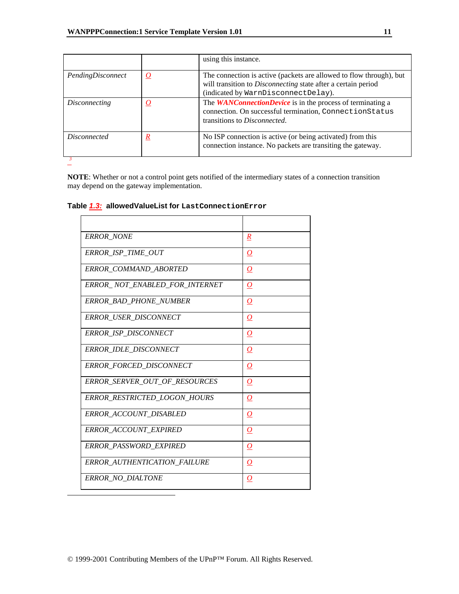|                      |              | using this instance.                                                                                                                                                               |
|----------------------|--------------|------------------------------------------------------------------------------------------------------------------------------------------------------------------------------------|
| PendingDisconnect    | $\Omega$     | The connection is active (packets are allowed to flow through), but<br>will transition to <i>Disconnecting</i> state after a certain period<br>(indicated by WarnDisconnectDelay). |
| <i>Disconnecting</i> | $\Omega$     | The <b>WANConnectionDevice</b> is in the process of terminating a<br>connection. On successful termination, ConnectionStatus<br>transitions to Disconnected.                       |
| <i>Disconnected</i>  | $\mathbf{k}$ | No ISP connection is active (or being activated) from this<br>connection instance. No packets are transiting the gateway.                                                          |

**NOTE**: Whether or not a control point gets notified of the intermediary states of a connection transition may depend on the gateway implementation.

### **Table** *1.3:* **allowedValueList for LastConnectionError**

| $\mathbf{R}$        |
|---------------------|
| $\overline{\Omega}$ |
| 0                   |
| 0                   |
| $\overline{\Omega}$ |
| $\overline{\Omega}$ |
| $\boldsymbol{O}$    |
| $\boldsymbol{O}$    |
| 0                   |
| 0                   |
| $\boldsymbol{O}$    |
| $\overline{\Omega}$ |
| $\overline{\Omega}$ |
| 0                   |
| 0                   |
| $\overline{\Omega}$ |
|                     |

 $\overline{a}$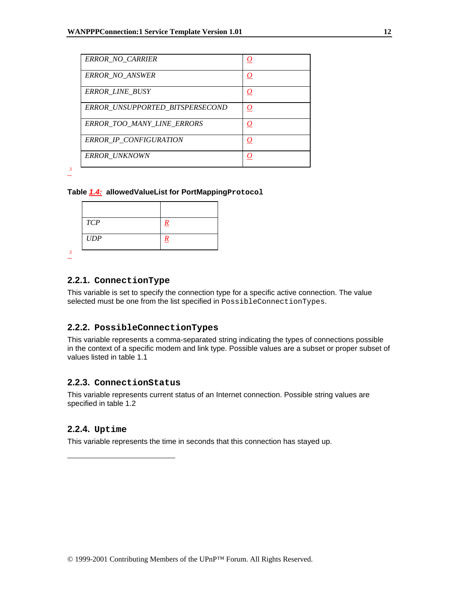| <b>ERROR NO CARRIER</b>           |  |
|-----------------------------------|--|
| <b>ERROR NO ANSWER</b>            |  |
| <b>ERROR LINE BUSY</b>            |  |
| ERROR UNSUPPORTED BITSPERSECOND   |  |
| <b>ERROR TOO MANY LINE ERRORS</b> |  |
| ERROR IP CONFIGURATION            |  |
| ERROR_UNKNOWN                     |  |

*3* 

*3* 

#### **Table** *1.4:* **allowedValueList for PortMappingProtocol**

| <b>TCP</b><br>R |  |
|-----------------|--|
|                 |  |
| UDP             |  |

# **2.2.1. ConnectionType**

This variable is set to specify the connection type for a specific active connection. The value selected must be one from the list specified in PossibleConnectionTypes.

#### **2.2.2. PossibleConnectionTypes**

This variable represents a comma-separated string indicating the types of connections possible in the context of a specific modem and link type. Possible values are a subset or proper subset of values listed in table 1.1

# **2.2.3. ConnectionStatus**

This variable represents current status of an Internet connection. Possible string values are specified in table 1.2

#### **2.2.4. Uptime**

-

This variable represents the time in seconds that this connection has stayed up.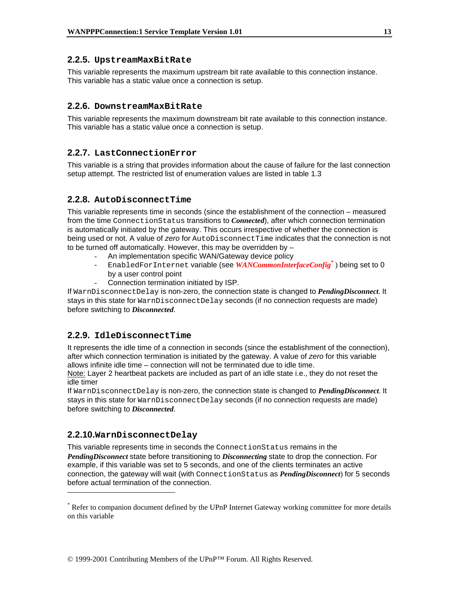### **2.2.5. UpstreamMaxBitRate**

This variable represents the maximum upstream bit rate available to this connection instance. This variable has a static value once a connection is setup.

# **2.2.6. DownstreamMaxBitRate**

This variable represents the maximum downstream bit rate available to this connection instance. This variable has a static value once a connection is setup.

# **2.2.7. LastConnectionError**

This variable is a string that provides information about the cause of failure for the last connection setup attempt. The restricted list of enumeration values are listed in table 1.3

# **2.2.8. AutoDisconnectTime**

This variable represents time in seconds (since the establishment of the connection – measured from the time ConnectionStatus transitions to *Connected*), after which connection termination is automatically initiated by the gateway. This occurs irrespective of whether the connection is being used or not. A value of *zero* for AutoDisconnectTime indicates that the connection is not to be turned off automatically. However, this may be overridden by –

- An implementation specific WAN/Gateway device policy
- EnabledForInternet variable (see WANCommonInterfaceConfig<sup>\*</sup>) being set to 0 by a user control point
- Connection termination initiated by ISP.

If WarnDisconnectDelay is non-zero, the connection state is changed to *PendingDisconnect*. It stays in this state for WarnDisconnectDelay seconds (if no connection requests are made) before switching to *Disconnected*.

# **2.2.9. IdleDisconnectTime**

It represents the idle time of a connection in seconds (since the establishment of the connection), after which connection termination is initiated by the gateway. A value of *zero* for this variable allows infinite idle time – connection will not be terminated due to idle time.

Note: Layer 2 heartbeat packets are included as part of an idle state i.e., they do not reset the idle timer

If WarnDisconnectDelay is non-zero, the connection state is changed to *PendingDisconnect*. It stays in this state for WarnDisconnectDelay seconds (if no connection requests are made) before switching to *Disconnected*.

# **2.2.10.WarnDisconnectDelay**

-

This variable represents time in seconds the ConnectionStatus remains in the *PendingDisconnect* state before transitioning to *Disconnecting* state to drop the connection. For example, if this variable was set to 5 seconds, and one of the clients terminates an active connection, the gateway will wait (with ConnectionStatus as *PendingDisconnect*) for 5 seconds before actual termination of the connection.

<sup>\*</sup> Refer to companion document defined by the UPnP Internet Gateway working committee for more details on this variable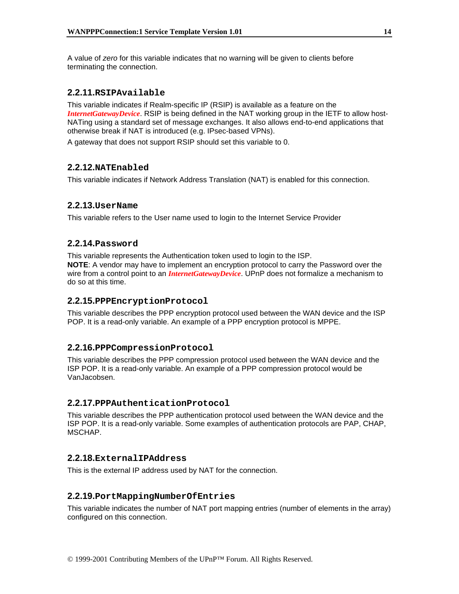A value of *zero* for this variable indicates that no warning will be given to clients before terminating the connection.

# **2.2.11.RSIPAvailable**

This variable indicates if Realm-specific IP (RSIP) is available as a feature on the *InternetGatewayDevice*. RSIP is being defined in the NAT working group in the IETF to allow host-NATing using a standard set of message exchanges. It also allows end-to-end applications that otherwise break if NAT is introduced (e.g. IPsec-based VPNs).

A gateway that does not support RSIP should set this variable to 0.

# **2.2.12.NATEnabled**

This variable indicates if Network Address Translation (NAT) is enabled for this connection.

# **2.2.13.UserName**

This variable refers to the User name used to login to the Internet Service Provider

# **2.2.14.Password**

This variable represents the Authentication token used to login to the ISP. **NOTE**: A vendor may have to implement an encryption protocol to carry the Password over the wire from a control point to an *InternetGatewayDevice*. UPnP does not formalize a mechanism to do so at this time.

# **2.2.15.PPPEncryptionProtocol**

This variable describes the PPP encryption protocol used between the WAN device and the ISP POP. It is a read-only variable. An example of a PPP encryption protocol is MPPE.

#### **2.2.16.PPPCompressionProtocol**

This variable describes the PPP compression protocol used between the WAN device and the ISP POP. It is a read-only variable. An example of a PPP compression protocol would be Van.lacobsen.

#### **2.2.17.PPPAuthenticationProtocol**

This variable describes the PPP authentication protocol used between the WAN device and the ISP POP. It is a read-only variable. Some examples of authentication protocols are PAP, CHAP, MSCHAP.

# **2.2.18.ExternalIPAddress**

This is the external IP address used by NAT for the connection.

#### **2.2.19.PortMappingNumberOfEntries**

This variable indicates the number of NAT port mapping entries (number of elements in the array) configured on this connection.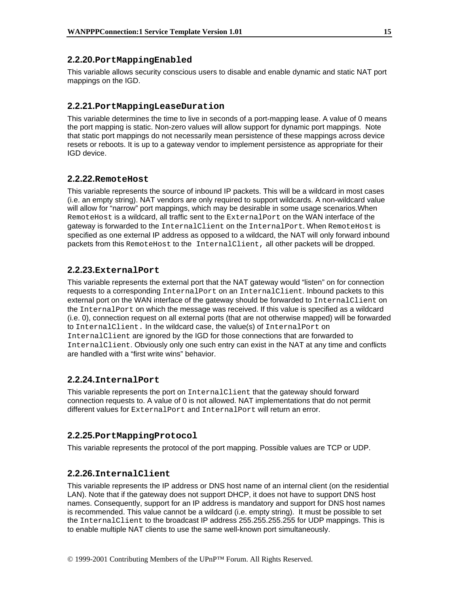#### **2.2.20.PortMappingEnabled**

This variable allows security conscious users to disable and enable dynamic and static NAT port mappings on the IGD.

#### **2.2.21.PortMappingLeaseDuration**

This variable determines the time to live in seconds of a port-mapping lease. A value of 0 means the port mapping is static. Non-zero values will allow support for dynamic port mappings. Note that static port mappings do not necessarily mean persistence of these mappings across device resets or reboots. It is up to a gateway vendor to implement persistence as appropriate for their IGD device.

#### **2.2.22.RemoteHost**

This variable represents the source of inbound IP packets. This will be a wildcard in most cases (i.e. an empty string). NAT vendors are only required to support wildcards. A non-wildcard value will allow for "narrow" port mappings, which may be desirable in some usage scenarios.When RemoteHost is a wildcard, all traffic sent to the ExternalPort on the WAN interface of the gateway is forwarded to the InternalClient on the InternalPort. When RemoteHost is specified as one external IP address as opposed to a wildcard, the NAT will only forward inbound packets from this RemoteHost to the InternalClient, all other packets will be dropped.

#### **2.2.23.ExternalPort**

This variable represents the external port that the NAT gateway would "listen" on for connection requests to a corresponding InternalPort on an InternalClient. Inbound packets to this external port on the WAN interface of the gateway should be forwarded to InternalClient on the InternalPort on which the message was received. If this value is specified as a wildcard (i.e. 0), connection request on all external ports (that are not otherwise mapped) will be forwarded to InternalClient. In the wildcard case, the value(s) of InternalPort on InternalClient are ignored by the IGD for those connections that are forwarded to InternalClient. Obviously only one such entry can exist in the NAT at any time and conflicts are handled with a "first write wins" behavior.

# **2.2.24.InternalPort**

This variable represents the port on InternalClient that the gateway should forward connection requests to. A value of 0 is not allowed. NAT implementations that do not permit different values for ExternalPort and InternalPort will return an error.

#### **2.2.25.PortMappingProtocol**

This variable represents the protocol of the port mapping. Possible values are TCP or UDP.

#### **2.2.26.InternalClient**

This variable represents the IP address or DNS host name of an internal client (on the residential LAN). Note that if the gateway does not support DHCP, it does not have to support DNS host names. Consequently, support for an IP address is mandatory and support for DNS host names is recommended. This value cannot be a wildcard (i.e. empty string). It must be possible to set the InternalClient to the broadcast IP address 255.255.255.255 for UDP mappings. This is to enable multiple NAT clients to use the same well-known port simultaneously.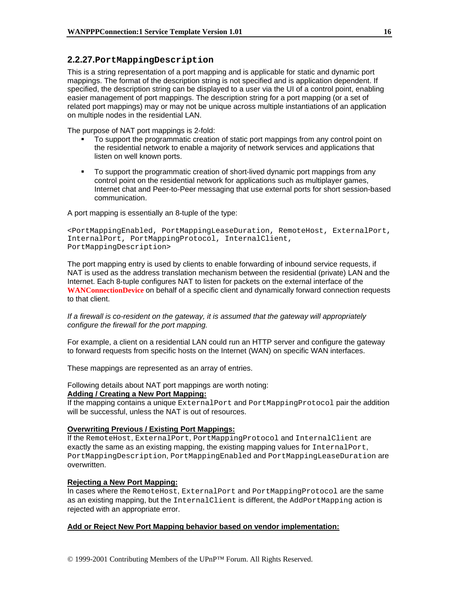# **2.2.27.PortMappingDescription**

This is a string representation of a port mapping and is applicable for static and dynamic port mappings. The format of the description string is not specified and is application dependent. If specified, the description string can be displayed to a user via the UI of a control point, enabling easier management of port mappings. The description string for a port mapping (or a set of related port mappings) may or may not be unique across multiple instantiations of an application on multiple nodes in the residential LAN.

The purpose of NAT port mappings is 2-fold:

- To support the programmatic creation of static port mappings from any control point on the residential network to enable a majority of network services and applications that listen on well known ports.
- To support the programmatic creation of short-lived dynamic port mappings from any control point on the residential network for applications such as multiplayer games, Internet chat and Peer-to-Peer messaging that use external ports for short session-based communication.

A port mapping is essentially an 8-tuple of the type:

```
<PortMappingEnabled, PortMappingLeaseDuration, RemoteHost, ExternalPort, 
InternalPort, PortMappingProtocol, InternalClient, 
PortMappingDescription>
```
The port mapping entry is used by clients to enable forwarding of inbound service requests, if NAT is used as the address translation mechanism between the residential (private) LAN and the Internet. Each 8-tuple configures NAT to listen for packets on the external interface of the **WANConnectionDevice** on behalf of a specific client and dynamically forward connection requests to that client.

#### *If a firewall is co-resident on the gateway, it is assumed that the gateway will appropriately configure the firewall for the port mapping.*

For example, a client on a residential LAN could run an HTTP server and configure the gateway to forward requests from specific hosts on the Internet (WAN) on specific WAN interfaces.

These mappings are represented as an array of entries.

#### Following details about NAT port mappings are worth noting: **Adding / Creating a New Port Mapping:**

If the mapping contains a unique ExternalPort and PortMappingProtocol pair the addition will be successful, unless the NAT is out of resources.

#### **Overwriting Previous / Existing Port Mappings:**

If the RemoteHost, ExternalPort, PortMappingProtocol and InternalClient are exactly the same as an existing mapping, the existing mapping values for InternalPort, PortMappingDescription, PortMappingEnabled and PortMappingLeaseDuration are overwritten.

#### **Rejecting a New Port Mapping:**

In cases where the RemoteHost, ExternalPort and PortMappingProtocol are the same as an existing mapping, but the InternalClient is different, the AddPortMapping action is rejected with an appropriate error.

#### **Add or Reject New Port Mapping behavior based on vendor implementation:**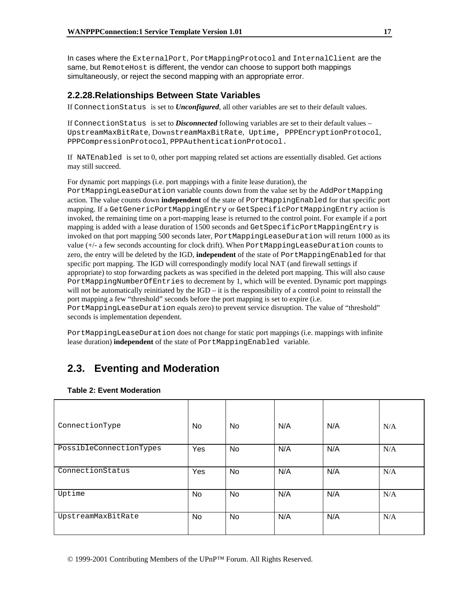In cases where the ExternalPort, PortMappingProtocol and InternalClient are the same, but RemoteHost is different, the vendor can choose to support both mappings simultaneously, or reject the second mapping with an appropriate error.

# **2.2.28.Relationships Between State Variables**

If ConnectionStatus is set to *Unconfigured*, all other variables are set to their default values.

If ConnectionStatus is set to *Disconnected* following variables are set to their default values – UpstreamMaxBitRate, DownstreamMaxBitRate, Uptime, PPPEncryptionProtocol, PPPCompressionProtocol, PPPAuthenticationProtocol.

If NATEnabled is set to 0, other port mapping related set actions are essentially disabled. Get actions may still succeed.

For dynamic port mappings (i.e. port mappings with a finite lease duration), the PortMappingLeaseDuration variable counts down from the value set by the AddPortMapping action. The value counts down **independent** of the state of PortMappingEnabled for that specific port mapping. If a GetGenericPortMappingEntry or GetSpecificPortMappingEntry action is invoked, the remaining time on a port-mapping lease is returned to the control point. For example if a port mapping is added with a lease duration of 1500 seconds and GetSpecificPortMappingEntry is invoked on that port mapping 500 seconds later, PortMappingLeaseDuration will return 1000 as its value (+/- a few seconds accounting for clock drift). When PortMappingLeaseDuration counts to zero, the entry will be deleted by the IGD, **independent** of the state of PortMappingEnabled for that specific port mapping. The IGD will correspondingly modify local NAT (and firewall settings if appropriate) to stop forwarding packets as was specified in the deleted port mapping. This will also cause PortMappingNumberOfEntries to decrement by 1, which will be evented. Dynamic port mappings will not be automatically reinitiated by the  $IGD - it$  is the responsibility of a control point to reinstall the port mapping a few "threshold" seconds before the port mapping is set to expire (i.e. PortMappingLeaseDuration equals zero) to prevent service disruption. The value of "threshold" seconds is implementation dependent.

PortMappingLeaseDuration does not change for static port mappings (i.e. mappings with infinite lease duration) **independent** of the state of PortMappingEnabled variable.

# **2.3. Eventing and Moderation**

| ConnectionType          | <b>No</b> | No | N/A | N/A | N/A |
|-------------------------|-----------|----|-----|-----|-----|
| PossibleConnectionTypes | Yes       | No | N/A | N/A | N/A |
| ConnectionStatus        | Yes       | No | N/A | N/A | N/A |
| Uptime                  | <b>No</b> | No | N/A | N/A | N/A |
| UpstreamMaxBitRate      | No        | No | N/A | N/A | N/A |

#### **Table 2: Event Moderation**

© 1999-2001 Contributing Members of the UPnP™ Forum. All Rights Reserved.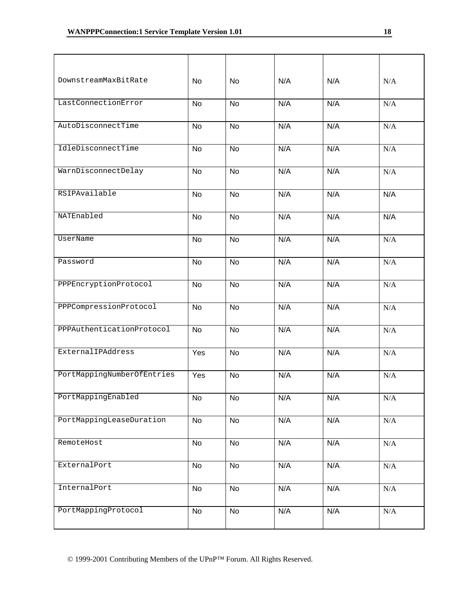| DownstreamMaxBitRate       | No        | <b>No</b> | N/A | N/A | N/A       |
|----------------------------|-----------|-----------|-----|-----|-----------|
| LastConnectionError        | <b>No</b> | <b>No</b> | N/A | N/A | N/A       |
| AutoDisconnectTime         | <b>No</b> | <b>No</b> | N/A | N/A | N/A       |
| IdleDisconnectTime         | <b>No</b> | <b>No</b> | N/A | N/A | N/A       |
| WarnDisconnectDelay        | <b>No</b> | <b>No</b> | N/A | N/A | N/A       |
| RSIPAvailable              | <b>No</b> | <b>No</b> | N/A | N/A | N/A       |
| NATEnabled                 | <b>No</b> | <b>No</b> | N/A | N/A | N/A       |
| UserName                   | <b>No</b> | <b>No</b> | N/A | N/A | N/A       |
| Password                   | <b>No</b> | <b>No</b> | N/A | N/A | N/A       |
| PPPEncryptionProtocol      | <b>No</b> | <b>No</b> | N/A | N/A | N/A       |
| PPPCompressionProtocol     | <b>No</b> | <b>No</b> | N/A | N/A | N/A       |
| PPPAuthenticationProtocol  | <b>No</b> | <b>No</b> | N/A | N/A | N/A       |
| ExternalIPAddress          | Yes       | <b>No</b> | N/A | N/A | N/A       |
| PortMappingNumberOfEntries | Yes       | No        | N/A | N/A | N/A       |
| PortMappingEnabled         | No        | No        | N/A | N/A | $\rm N/A$ |
| PortMappingLeaseDuration   | No        | No        | N/A | N/A | $\rm N/A$ |
| RemoteHost                 | No        | No        | N/A | N/A | $\rm N/A$ |
| ExternalPort               | No        | No        | N/A | N/A | N/A       |
| InternalPort               | No        | No        | N/A | N/A | $\rm N/A$ |
| PortMappingProtocol        | No        | No        | N/A | N/A | N/A       |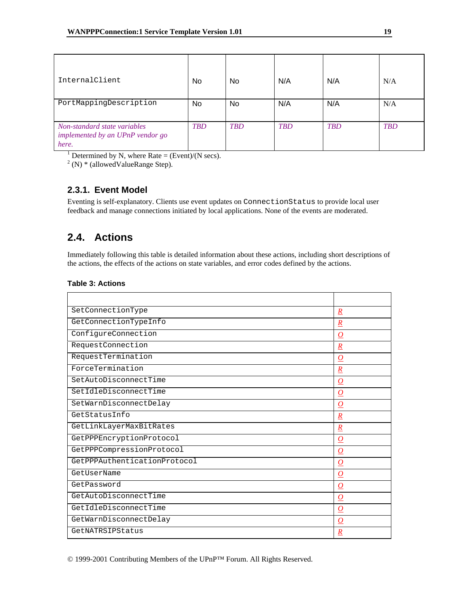| InternalClient                                                            | No         | No         | N/A        | N/A        | N/A        |
|---------------------------------------------------------------------------|------------|------------|------------|------------|------------|
| PortMappingDescription                                                    | No         | No         | N/A        | N/A        | N/A        |
| Non-standard state variables<br>implemented by an UPnP vendor go<br>here. | <b>TBD</b> | <b>TBD</b> | <b>TBD</b> | <b>TBD</b> | <b>TBD</b> |

<sup>1</sup> Determined by N, where Rate = (Event)/(N secs).

 $2$  (N)  $*$  (allowed Value Range Step).

# **2.3.1. Event Model**

Eventing is self-explanatory. Clients use event updates on ConnectionStatus to provide local user feedback and manage connections initiated by local applications. None of the events are moderated.

# **2.4. Actions**

Immediately following this table is detailed information about these actions, including short descriptions of the actions, the effects of the actions on state variables, and error codes defined by the actions.

#### **Table 3: Actions**

| SetConnectionType            | $\overline{R}$   |
|------------------------------|------------------|
| GetConnectionTypeInfo        | $\boldsymbol{R}$ |
| ConfigureConnection          | O                |
| RequestConnection            | $\boldsymbol{R}$ |
| RequestTermination           | O                |
| ForceTermination             | $\boldsymbol{R}$ |
| SetAutoDisconnectTime        | $\bm{O}$         |
| SetIdleDisconnectTime        | O                |
| SetWarnDisconnectDelay       | O                |
| GetStatusInfo                | $\boldsymbol{R}$ |
| GetLinkLayerMaxBitRates      | $\boldsymbol{R}$ |
| GetPPPEncryptionProtocol     | O                |
| GetPPPCompressionProtocol    | $\bm{O}$         |
| GetPPPAuthenticationProtocol | $\bm{O}$         |
| GetUserName                  | O                |
| GetPassword                  | $\overline{O}$   |
| GetAutoDisconnectTime        | $\bm{O}$         |
| GetIdleDisconnectTime        | $\bm{o}$         |
| GetWarnDisconnectDelay       | O                |
| GetNATRSIPStatus             | $\overline{R}$   |

© 1999-2001 Contributing Members of the UPnP™ Forum. All Rights Reserved.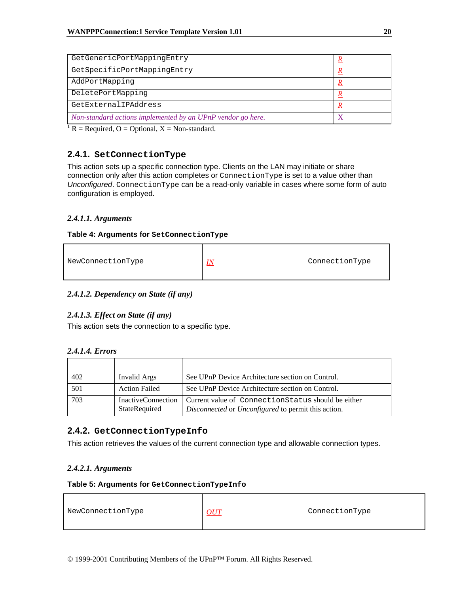| GetGenericPortMappingEntry                                  |  |
|-------------------------------------------------------------|--|
| GetSpecificPortMappingEntry                                 |  |
| AddPortMapping                                              |  |
| DeletePortMapping                                           |  |
| GetExternalIPAddress                                        |  |
| Non-standard actions implemented by an UPnP vendor go here. |  |

 ${}^{1}R$  = Required, O = Optional, X = Non-standard.

# **2.4.1. SetConnectionType**

This action sets up a specific connection type. Clients on the LAN may initiate or share connection only after this action completes or ConnectionType is set to a value other than *Unconfigured*. ConnectionType can be a read-only variable in cases where some form of auto configuration is employed.

# *2.4.1.1. Arguments*

#### **Table 4: Arguments for SetConnectionType**

| ConnectionType<br>NewConnectionType<br><u>IN</u> |
|--------------------------------------------------|
|--------------------------------------------------|

#### *2.4.1.2. Dependency on State (if any)*

#### *2.4.1.3. Effect on State (if any)*

This action sets the connection to a specific type.

#### *2.4.1.4. Errors*

| 402 | Invalid Args                               | See UPnP Device Architecture section on Control.                                                          |
|-----|--------------------------------------------|-----------------------------------------------------------------------------------------------------------|
| 501 | <b>Action Failed</b>                       | See UPnP Device Architecture section on Control.                                                          |
| 703 | <b>InactiveConnection</b><br>StateRequired | Current value of ConnectionStatus should be either<br>Disconnected or Unconfigured to permit this action. |

# **2.4.2. GetConnectionTypeInfo**

This action retrieves the values of the current connection type and allowable connection types.

#### *2.4.2.1. Arguments*

#### **Table 5: Arguments for GetConnectionTypeInfo**

| NewConnectionType | $O U\!1$ | ConnectionType |
|-------------------|----------|----------------|
|                   |          |                |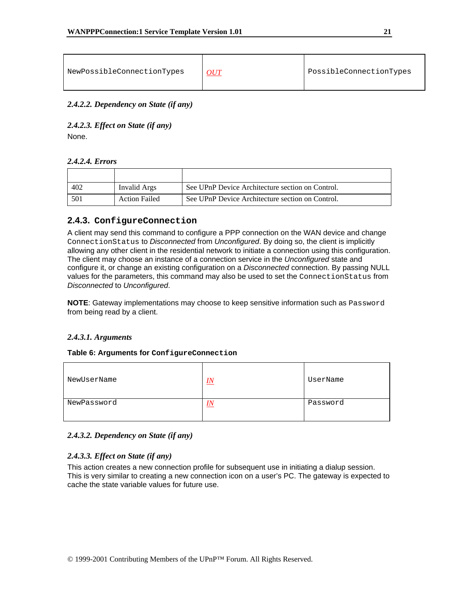| NewPossibleConnectionTypes | OUT | PossibleConnectionTypes |
|----------------------------|-----|-------------------------|
|----------------------------|-----|-------------------------|

*2.4.2.2. Dependency on State (if any)* 

*2.4.2.3. Effect on State (if any)*  None.

#### *2.4.2.4. Errors*

| 402 | Invalid Args         | See UPnP Device Architecture section on Control. |
|-----|----------------------|--------------------------------------------------|
| 501 | <b>Action Failed</b> | See UPnP Device Architecture section on Control. |

# **2.4.3. ConfigureConnection**

A client may send this command to configure a PPP connection on the WAN device and change ConnectionStatus to *Disconnected* from *Unconfigured*. By doing so, the client is implicitly allowing any other client in the residential network to initiate a connection using this configuration. The client may choose an instance of a connection service in the *Unconfigured* state and configure it, or change an existing configuration on a *Disconnected* connection. By passing NULL values for the parameters, this command may also be used to set the ConnectionStatus from *Disconnected* to *Unconfigured*.

**NOTE**: Gateway implementations may choose to keep sensitive information such as Password from being read by a client.

#### *2.4.3.1. Arguments*

#### **Table 6: Arguments for ConfigureConnection**

| NewUserName | IN     | UserName |
|-------------|--------|----------|
| NewPassword | $I\!N$ | Password |

#### *2.4.3.2. Dependency on State (if any)*

#### *2.4.3.3. Effect on State (if any)*

This action creates a new connection profile for subsequent use in initiating a dialup session. This is very similar to creating a new connection icon on a user's PC. The gateway is expected to cache the state variable values for future use.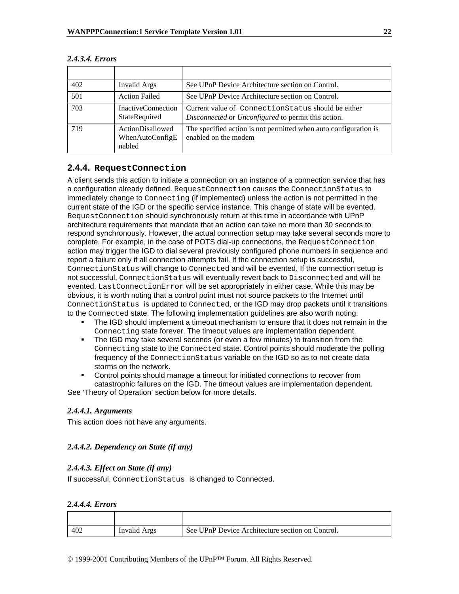| 402 | Invalid Args                                  | See UPnP Device Architecture section on Control.                                                           |
|-----|-----------------------------------------------|------------------------------------------------------------------------------------------------------------|
| 501 | <b>Action Failed</b>                          | See UPnP Device Architecture section on Control.                                                           |
| 703 | InactiveConnection<br>StateRequired           | Current value of Connection Status should be either<br>Disconnected or Unconfigured to permit this action. |
| 719 | ActionDisallowed<br>WhenAutoConfigE<br>nabled | The specified action is not permitted when auto configuration is<br>enabled on the modem                   |

#### *2.4.3.4. Errors*

# **2.4.4. RequestConnection**

A client sends this action to initiate a connection on an instance of a connection service that has a configuration already defined. RequestConnection causes the ConnectionStatus to immediately change to Connecting (if implemented) unless the action is not permitted in the current state of the IGD or the specific service instance. This change of state will be evented. RequestConnection should synchronously return at this time in accordance with UPnP architecture requirements that mandate that an action can take no more than 30 seconds to respond synchronously. However, the actual connection setup may take several seconds more to complete. For example, in the case of POTS dial-up connections, the RequestConnection action may trigger the IGD to dial several previously configured phone numbers in sequence and report a failure only if all connection attempts fail. If the connection setup is successful, ConnectionStatus will change to Connected and will be evented. If the connection setup is not successful, ConnectionStatus will eventually revert back to Disconnected and will be evented. LastConnectionError will be set appropriately in either case. While this may be obvious, it is worth noting that a control point must not source packets to the Internet until ConnectionStatus is updated to Connected, or the IGD may drop packets until it transitions to the Connected state. The following implementation guidelines are also worth noting:

- The IGD should implement a timeout mechanism to ensure that it does not remain in the Connecting state forever. The timeout values are implementation dependent.
- The IGD may take several seconds (or even a few minutes) to transition from the Connecting state to the Connected state. Control points should moderate the polling frequency of the ConnectionStatus variable on the IGD so as to not create data storms on the network.
- Control points should manage a timeout for initiated connections to recover from catastrophic failures on the IGD. The timeout values are implementation dependent.

See 'Theory of Operation' section below for more details.

#### *2.4.4.1. Arguments*

This action does not have any arguments.

#### *2.4.4.2. Dependency on State (if any)*

#### *2.4.4.3. Effect on State (if any)*

If successful, ConnectionStatus is changed to Connected.

#### *2.4.4.4. Errors*

| 402 | Invalid Args | See UPnP Device Architecture section on Control. |
|-----|--------------|--------------------------------------------------|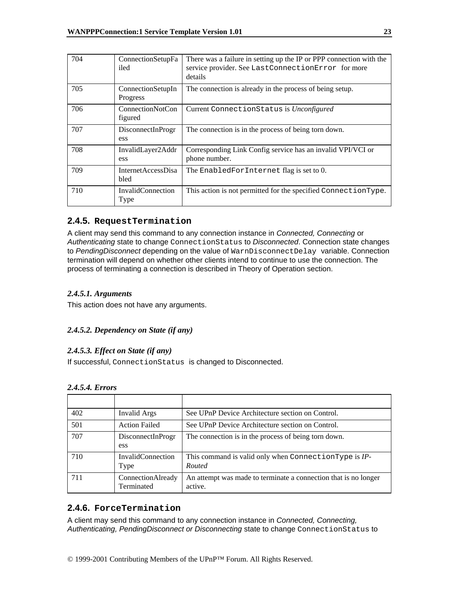| 704 | ConnectionSetupFa<br>iled          | There was a failure in setting up the IP or PPP connection with the<br>service provider. See LastConnectionError for more<br>details |
|-----|------------------------------------|--------------------------------------------------------------------------------------------------------------------------------------|
| 705 | ConnectionSetupIn<br>Progress      | The connection is already in the process of being setup.                                                                             |
| 706 | <b>ConnectionNotCon</b><br>figured | Current ConnectionStatus is Unconfigured                                                                                             |
| 707 | DisconnectInProgr<br>ess           | The connection is in the process of being torn down.                                                                                 |
| 708 | InvalidLayer2Addr<br>ess           | Corresponding Link Config service has an invalid VPI/VCI or<br>phone number.                                                         |
| 709 | InternetAccessDisa<br>bled         | The EnabledForInternet flag is set to 0.                                                                                             |
| 710 | InvalidConnection<br>Type          | This action is not permitted for the specified ConnectionType.                                                                       |

# **2.4.5. RequestTermination**

A client may send this command to any connection instance in *Connected, Connecting* or *Authenticating* state to change ConnectionStatus to *Disconnected*. Connection state changes to *PendingDisconnect* depending on the value of WarnDisconnectDelay variable. Connection termination will depend on whether other clients intend to continue to use the connection. The process of terminating a connection is described in Theory of Operation section.

### *2.4.5.1. Arguments*

This action does not have any arguments.

# *2.4.5.2. Dependency on State (if any)*

#### *2.4.5.3. Effect on State (if any)*

If successful, ConnectionStatus is changed to Disconnected.

#### *2.4.5.4. Errors*

| 402 | Invalid Args                     | See UPnP Device Architecture section on Control.                           |
|-----|----------------------------------|----------------------------------------------------------------------------|
| 501 | <b>Action Failed</b>             | See UPnP Device Architecture section on Control.                           |
| 707 | DisconnectInProgr<br>ess         | The connection is in the process of being torn down.                       |
| 710 | <b>InvalidConnection</b><br>Type | This command is valid only when ConnectionType is IP-<br>Routed            |
| 711 | ConnectionAlready<br>Terminated  | An attempt was made to terminate a connection that is no longer<br>active. |

# **2.4.6. ForceTermination**

A client may send this command to any connection instance in *Connected, Connecting, Authenticating, PendingDisconnect or Disconnecting* state to change ConnectionStatus to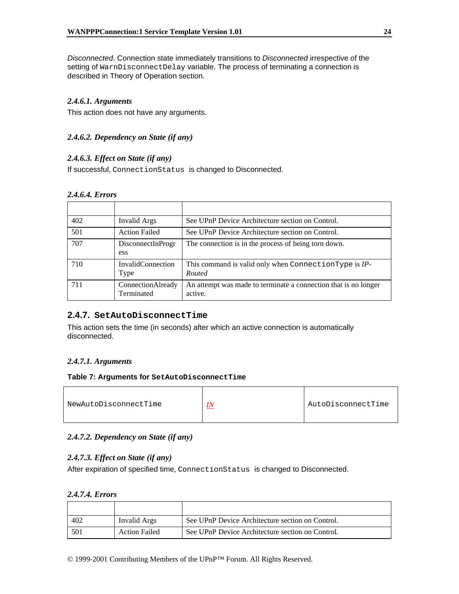*Disconnected*. Connection state immediately transitions to *Disconnected* irrespective of the setting of WarnDisconnectDelay variable. The process of terminating a connection is described in Theory of Operation section.

### *2.4.6.1. Arguments*

This action does not have any arguments.

### *2.4.6.2. Dependency on State (if any)*

#### *2.4.6.3. Effect on State (if any)*

If successful, ConnectionStatus is changed to Disconnected.

#### *2.4.6.4. Errors*

| 402 | Invalid Args                          | See UPnP Device Architecture section on Control.                           |
|-----|---------------------------------------|----------------------------------------------------------------------------|
| 501 | <b>Action Failed</b>                  | See UPnP Device Architecture section on Control.                           |
| 707 | DisconnectInProgr<br>ess <sup>-</sup> | The connection is in the process of being torn down.                       |
| 710 | <b>InvalidConnection</b><br>Type      | This command is valid only when ConnectionType is IP-<br>Routed            |
| 711 | ConnectionAlready<br>Terminated       | An attempt was made to terminate a connection that is no longer<br>active. |

#### **2.4.7. SetAutoDisconnectTime**

This action sets the time (in seconds) after which an active connection is automatically disconnected.

#### *2.4.7.1. Arguments*

#### **Table 7: Arguments for SetAutoDisconnectTime**

| NewAutoDisconnectTime | AutoDisconnectTime |
|-----------------------|--------------------|
|                       |                    |

#### *2.4.7.2. Dependency on State (if any)*

#### *2.4.7.3. Effect on State (if any)*

After expiration of specified time, ConnectionStatus is changed to Disconnected.

# *2.4.7.4. Errors*

| 402 | Invalid Args         | See UPnP Device Architecture section on Control. |
|-----|----------------------|--------------------------------------------------|
| 501 | <b>Action Failed</b> | See UPnP Device Architecture section on Control. |

© 1999-2001 Contributing Members of the UPnP™ Forum. All Rights Reserved.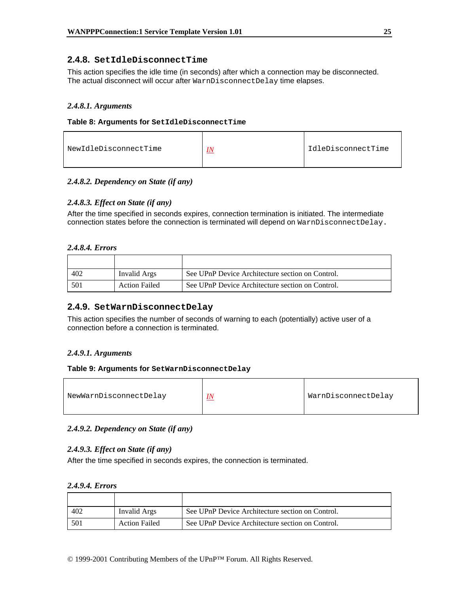# **2.4.8. SetIdleDisconnectTime**

This action specifies the idle time (in seconds) after which a connection may be disconnected. The actual disconnect will occur after WarnDisconnectDelay time elapses.

#### *2.4.8.1. Arguments*

#### **Table 8: Arguments for SetIdleDisconnectTime**

| IdleDisconnectTime<br>NewIdleDisconnectTime<br>$I\!N$ |  |  |  |
|-------------------------------------------------------|--|--|--|
|-------------------------------------------------------|--|--|--|

#### *2.4.8.2. Dependency on State (if any)*

#### *2.4.8.3. Effect on State (if any)*

After the time specified in seconds expires, connection termination is initiated. The intermediate connection states before the connection is terminated will depend on WarnDisconnectDelay.

#### *2.4.8.4. Errors*

| 402 | Invalid Args         | See UPnP Device Architecture section on Control. |
|-----|----------------------|--------------------------------------------------|
| 501 | <b>Action Failed</b> | See UPnP Device Architecture section on Control. |

#### **2.4.9. SetWarnDisconnectDelay**

This action specifies the number of seconds of warning to each (potentially) active user of a connection before a connection is terminated.

#### *2.4.9.1. Arguments*

#### **Table 9: Arguments for SetWarnDisconnectDelay**

| NewWarnDisconnectDelay | <u>IN</u> | WarnDisconnectDelay |
|------------------------|-----------|---------------------|
|------------------------|-----------|---------------------|

#### *2.4.9.2. Dependency on State (if any)*

#### *2.4.9.3. Effect on State (if any)*

After the time specified in seconds expires, the connection is terminated.

#### *2.4.9.4. Errors*

| 402 | Invalid Args         | See UPnP Device Architecture section on Control. |
|-----|----------------------|--------------------------------------------------|
| 501 | <b>Action Failed</b> | See UPnP Device Architecture section on Control. |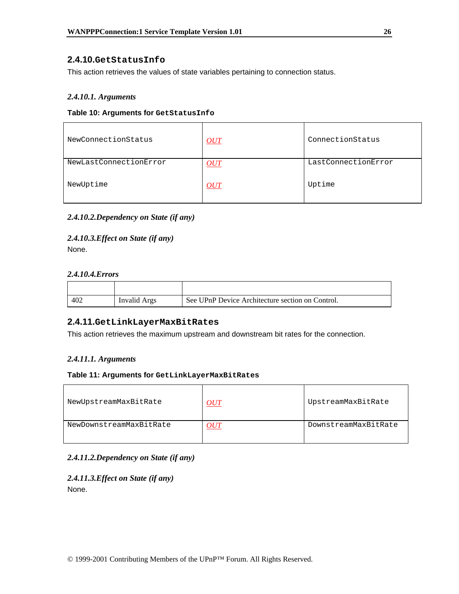# **2.4.10.GetStatusInfo**

This action retrieves the values of state variables pertaining to connection status.

### *2.4.10.1. Arguments*

#### **Table 10: Arguments for GetStatusInfo**

| NewConnectionStatus    | OUT        | ConnectionStatus    |
|------------------------|------------|---------------------|
| NewLastConnectionError | <b>OUT</b> | LastConnectionError |
| NewUptime              | OUT        | Uptime              |

# *2.4.10.2.Dependency on State (if any)*

*2.4.10.3.Effect on State (if any)*  None.

#### *2.4.10.4.Errors*

| 402 | Invalid Args | See UPnP Device Architecture section on Control. |
|-----|--------------|--------------------------------------------------|

### **2.4.11.GetLinkLayerMaxBitRates**

This action retrieves the maximum upstream and downstream bit rates for the connection.

#### *2.4.11.1. Arguments*

#### **Table 11: Arguments for GetLinkLayerMaxBitRates**

| NewUpstreamMaxBitRate   | OUT           | UpstreamMaxBitRate   |
|-------------------------|---------------|----------------------|
| NewDownstreamMaxBitRate | $\partial UI$ | DownstreamMaxBitRate |

#### *2.4.11.2.Dependency on State (if any)*

# *2.4.11.3.Effect on State (if any)*

None.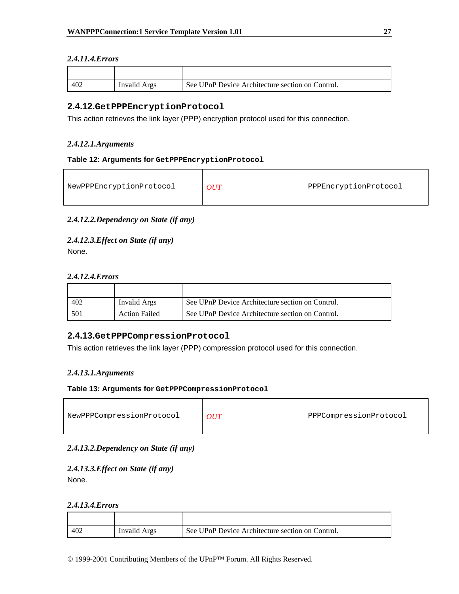# *2.4.11.4.Errors*

| 402 | Invalid Args | See UPnP Device Architecture section on Control. |
|-----|--------------|--------------------------------------------------|

# **2.4.12.GetPPPEncryptionProtocol**

This action retrieves the link layer (PPP) encryption protocol used for this connection.

# *2.4.12.1.Arguments*

#### **Table 12: Arguments for GetPPPEncryptionProtocol**

| NewPPPEncryptionProtocol | OUT | PPPEncryptionProtocol |
|--------------------------|-----|-----------------------|
|--------------------------|-----|-----------------------|

# *2.4.12.2.Dependency on State (if any)*

*2.4.12.3.Effect on State (if any)*  None.

#### *2.4.12.4.Errors*

| 402 | Invalid Args         | See UPnP Device Architecture section on Control. |
|-----|----------------------|--------------------------------------------------|
| 501 | <b>Action Failed</b> | See UPnP Device Architecture section on Control. |

# **2.4.13.GetPPPCompressionProtocol**

This action retrieves the link layer (PPP) compression protocol used for this connection.

# *2.4.13.1.Arguments*

#### **Table 13: Arguments for GetPPPCompressionProtocol**

| NewPPPCompressionProtocol | PPPCompressionProtocol |
|---------------------------|------------------------|
|                           |                        |

# *2.4.13.2.Dependency on State (if any)*

#### *2.4.13.3.Effect on State (if any)*  None.

#### *2.4.13.4.Errors*

| 402 | Invalid Args | See UPnP Device Architecture section on Control. |
|-----|--------------|--------------------------------------------------|

© 1999-2001 Contributing Members of the UPnP™ Forum. All Rights Reserved.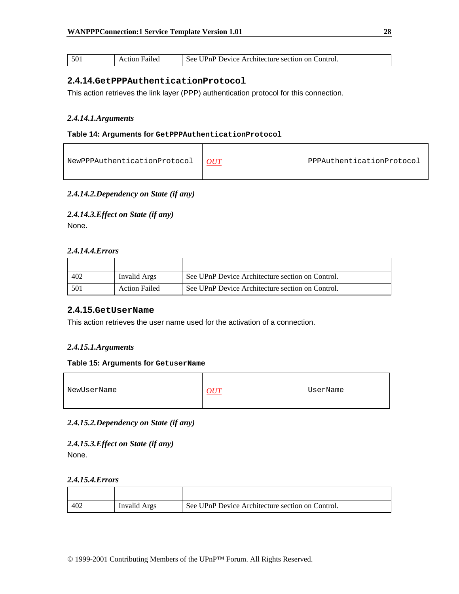| -501 | Failed<br>Action F | See UPnP Device Architecture section on Control. |
|------|--------------------|--------------------------------------------------|
|------|--------------------|--------------------------------------------------|

# **2.4.14.GetPPPAuthenticationProtocol**

This action retrieves the link layer (PPP) authentication protocol for this connection.

#### *2.4.14.1.Arguments*

#### **Table 14: Arguments for GetPPPAuthenticationProtocol**

#### *2.4.14.2.Dependency on State (if any)*

*2.4.14.3.Effect on State (if any)*  None.

#### *2.4.14.4.Errors*

| 402 | Invalid Args         | See UPnP Device Architecture section on Control. |
|-----|----------------------|--------------------------------------------------|
| 501 | <b>Action Failed</b> | See UPnP Device Architecture section on Control. |

# **2.4.15.GetUserName**

This action retrieves the user name used for the activation of a connection.

#### *2.4.15.1.Arguments*

#### **Table 15: Arguments for GetuserName**

| NewUserName | UserName |
|-------------|----------|
|             |          |

#### *2.4.15.2.Dependency on State (if any)*

#### *2.4.15.3.Effect on State (if any)*  None.

#### *2.4.15.4.Errors*

| 402 | Invalid Args | See UPnP Device Architecture section on Control. |
|-----|--------------|--------------------------------------------------|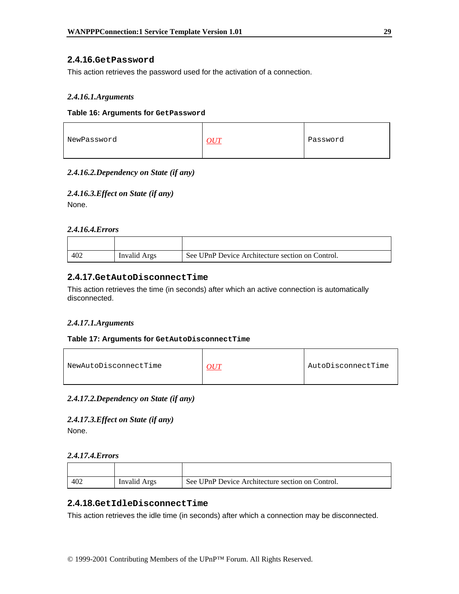# **2.4.16.GetPassword**

This action retrieves the password used for the activation of a connection.

#### *2.4.16.1.Arguments*

#### **Table 16: Arguments for GetPassword**

| NewPassword<br>Password |  |  |
|-------------------------|--|--|
|-------------------------|--|--|

### *2.4.16.2.Dependency on State (if any)*

### *2.4.16.3.Effect on State (if any)*

None.

#### *2.4.16.4.Errors*

| 40 <sup>2</sup> | Invalid Args | See UPnP Device Architecture section on Control. |
|-----------------|--------------|--------------------------------------------------|

# **2.4.17.GetAutoDisconnectTime**

This action retrieves the time (in seconds) after which an active connection is automatically disconnected.

#### *2.4.17.1.Arguments*

#### **Table 17: Arguments for GetAutoDisconnectTime**

| NewAutoDisconnectTime |  | AutoDisconnectTime |
|-----------------------|--|--------------------|
|-----------------------|--|--------------------|

#### *2.4.17.2.Dependency on State (if any)*

*2.4.17.3.Effect on State (if any)*  None.

#### *2.4.17.4.Errors*

| 402 | Invalid Args | See UPnP Device Architecture section on Control. |
|-----|--------------|--------------------------------------------------|

# **2.4.18.GetIdleDisconnectTime**

This action retrieves the idle time (in seconds) after which a connection may be disconnected.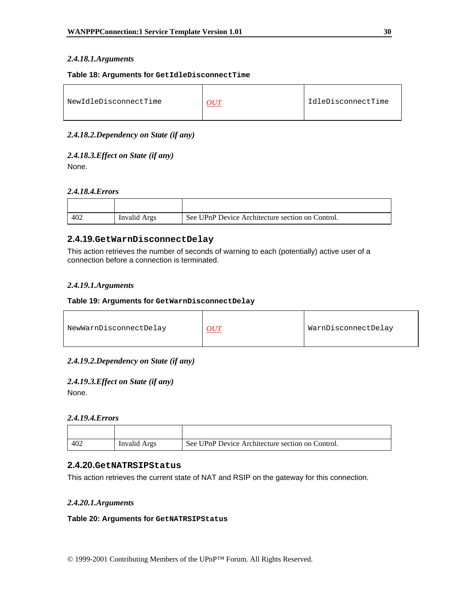#### *2.4.18.1.Arguments*

#### **Table 18: Arguments for GetIdleDisconnectTime**

| NewIdleDisconnectTime | I IdleDisconnectTime |
|-----------------------|----------------------|
|                       |                      |

#### *2.4.18.2.Dependency on State (if any)*

# *2.4.18.3.Effect on State (if any)*

None.

#### *2.4.18.4.Errors*

| 402 | Invalid Args | See UPnP Device Architecture section on Control. |
|-----|--------------|--------------------------------------------------|

# **2.4.19.GetWarnDisconnectDelay**

This action retrieves the number of seconds of warning to each (potentially) active user of a connection before a connection is terminated.

# *2.4.19.1.Arguments*

#### **Table 19: Arguments for GetWarnDisconnectDelay**

| NewWarnDisconnectDelay | OUT | WarnDisconnectDelay |
|------------------------|-----|---------------------|
|                        |     |                     |

#### *2.4.19.2.Dependency on State (if any)*

# *2.4.19.3.Effect on State (if any)*

None.

#### *2.4.19.4.Errors*

| 402 | Invalid Args | See UPnP Device Architecture section on Control. |
|-----|--------------|--------------------------------------------------|

# **2.4.20.GetNATRSIPStatus**

This action retrieves the current state of NAT and RSIP on the gateway for this connection.

#### *2.4.20.1.Arguments*

#### **Table 20: Arguments for GetNATRSIPStatus**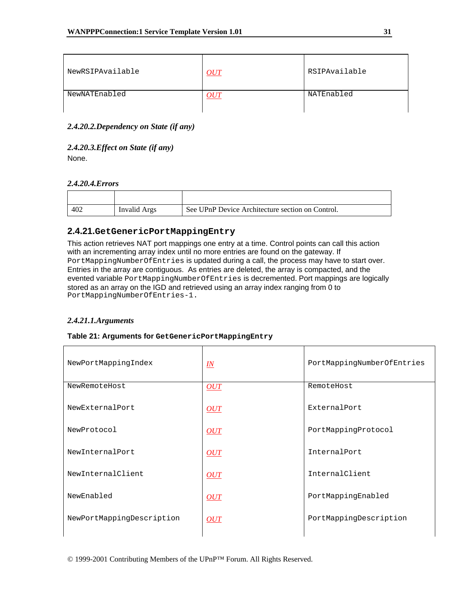| NewRSIPAvailable | OUT         | RSIPAvailable |
|------------------|-------------|---------------|
| NewNATEnabled    | <u> OUT</u> | NATEnabled    |

### *2.4.20.2.Dependency on State (if any)*

# *2.4.20.3.Effect on State (if any)*

None.

# *2.4.20.4.Errors*

| 402 | Invalid Args | See UPnP Device Architecture section on Control. |
|-----|--------------|--------------------------------------------------|

# **2.4.21.GetGenericPortMappingEntry**

This action retrieves NAT port mappings one entry at a time. Control points can call this action with an incrementing array index until no more entries are found on the gateway. If PortMappingNumberOfEntries is updated during a call, the process may have to start over. Entries in the array are contiguous. As entries are deleted, the array is compacted, and the evented variable PortMappingNumberOfEntries is decremented. Port mappings are logically stored as an array on the IGD and retrieved using an array index ranging from 0 to PortMappingNumberOfEntries-1.

#### *2.4.21.1.Arguments*

# **Table 21: Arguments for GetGenericPortMappingEntry**

| NewPortMappingIndex       | $I\!N$ | PortMappingNumberOfEntries |
|---------------------------|--------|----------------------------|
| NewRemoteHost             | OUT    | RemoteHost                 |
| NewExternalPort           | OUT    | ExternalPort               |
| NewProtocol               | OUT    | PortMappingProtocol        |
| NewInternalPort           | OUT    | InternalPort               |
| NewInternalClient         | OUT    | InternalClient             |
| NewEnabled                | OUT    | PortMappingEnabled         |
| NewPortMappingDescription | OUT    | PortMappingDescription     |
|                           |        |                            |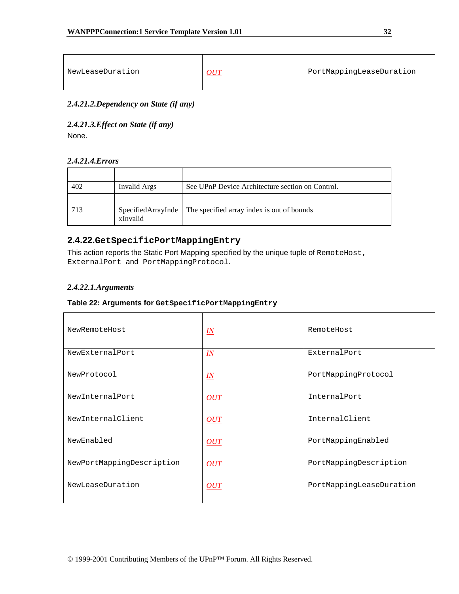| NewLeaseDuration | $\sim$ $\frac{O}{L}$ | PortMappingLeaseDuration |
|------------------|----------------------|--------------------------|
|------------------|----------------------|--------------------------|

*2.4.21.2.Dependency on State (if any)* 

*2.4.21.3.Effect on State (if any)*  None.

#### *2.4.21.4.Errors*

| 402 | Invalid Args | See UPnP Device Architecture section on Control.                |
|-----|--------------|-----------------------------------------------------------------|
|     |              |                                                                 |
| 713 | xInvalid     | SpecifiedArrayInde   The specified array index is out of bounds |

# **2.4.22.GetSpecificPortMappingEntry**

This action reports the Static Port Mapping specified by the unique tuple of RemoteHost, ExternalPort and PortMappingProtocol.

#### *2.4.22.1.Arguments*

| NewRemoteHost             | $\underline{I} \underline{N}$ | RemoteHost               |
|---------------------------|-------------------------------|--------------------------|
| NewExternalPort           | $\underline{I} \underline{N}$ | ExternalPort             |
| NewProtocol               | $\underline{I} \underline{N}$ | PortMappingProtocol      |
| NewInternalPort           | OUT                           | InternalPort             |
| NewInternalClient         | OUT                           | InternalClient           |
| NewEnabled                | OUT                           | PortMappingEnabled       |
| NewPortMappingDescription | OUT                           | PortMappingDescription   |
| NewLeaseDuration          | OUT                           | PortMappingLeaseDuration |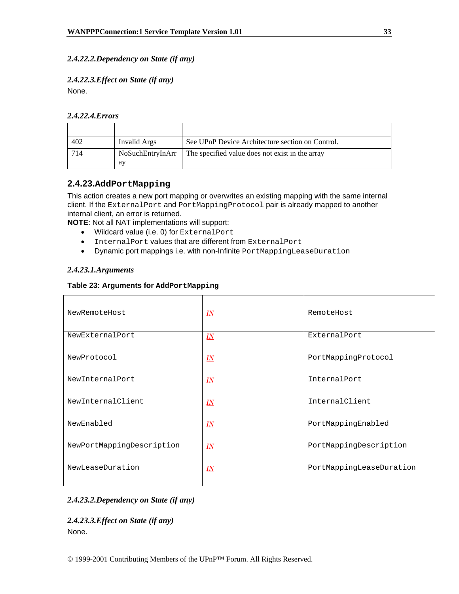# *2.4.22.2.Dependency on State (if any)*

# *2.4.22.3.Effect on State (if any)*  None.

# *2.4.22.4.Errors*

| 402 | Invalid Args | See UPnP Device Architecture section on Control.                   |
|-----|--------------|--------------------------------------------------------------------|
| 714 | ay           | NoSuchEntryInArr   The specified value does not exist in the array |

# **2.4.23.AddPortMapping**

This action creates a new port mapping or overwrites an existing mapping with the same internal client. If the ExternalPort and PortMappingProtocol pair is already mapped to another internal client, an error is returned.

**NOTE**: Not all NAT implementations will support:

- Wildcard value (i.e. 0) for ExternalPort
- InternalPort values that are different from ExternalPort
- Dynamic port mappings i.e. with non-Infinite PortMappingLeaseDuration

#### *2.4.23.1.Arguments*

#### **Table 23: Arguments for AddPortMapping**

| NewRemoteHost             | $\underline{I}N$              | RemoteHost               |
|---------------------------|-------------------------------|--------------------------|
| NewExternalPort           | $\underline{IN}$              | ExternalPort             |
| NewProtocol               | $\underline{\mathit{IN}}$     | PortMappingProtocol      |
| NewInternalPort           | $\underline{I} \underline{N}$ | InternalPort             |
| NewInternalClient         | $\underline{I}N$              | InternalClient           |
| NewEnabled                | $\underline{I} \underline{N}$ | PortMappingEnabled       |
| NewPortMappingDescription | $\underline{I}N$              | PortMappingDescription   |
| NewLeaseDuration          | $\underline{I}N$              | PortMappingLeaseDuration |
|                           |                               |                          |

#### *2.4.23.2.Dependency on State (if any)*

*2.4.23.3.Effect on State (if any)*  None.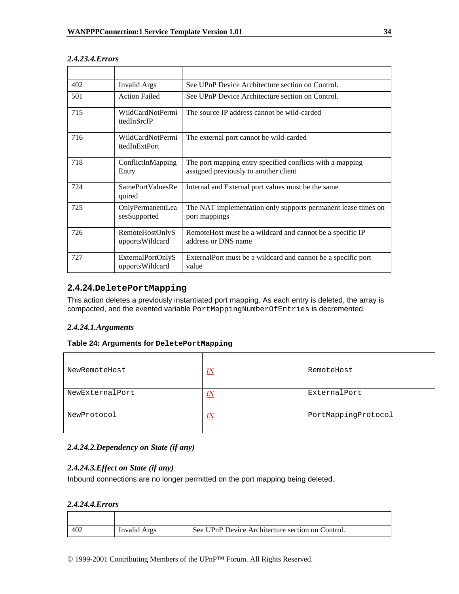| 402 | <b>Invalid Args</b>                  | See UPnP Device Architecture section on Control.                                                   |
|-----|--------------------------------------|----------------------------------------------------------------------------------------------------|
| 501 | <b>Action Failed</b>                 | See UPnP Device Architecture section on Control.                                                   |
| 715 | WildCardNotPermi<br>ttedInSrcIP      | The source IP address cannot be wild-carded                                                        |
| 716 | WildCardNotPermi<br>ttedInExtPort    | The external port cannot be wild-carded                                                            |
| 718 | ConflictInMapping<br>Entry           | The port mapping entry specified conflicts with a mapping<br>assigned previously to another client |
| 724 | SamePortValuesRe<br>quired           | Internal and External port values must be the same                                                 |
| 725 | OnlyPermanentLea<br>sesSupported     | The NAT implementation only supports permanent lease times on<br>port mappings                     |
| 726 | RemoteHostOnlyS<br>upportsWildcard   | RemoteHost must be a wildcard and cannot be a specific IP<br>address or DNS name                   |
| 727 | ExternalPortOnlyS<br>upportsWildcard | External Port must be a wildcard and cannot be a specific port<br>value                            |

#### *2.4.23.4.Errors*

# **2.4.24.DeletePortMapping**

This action deletes a previously instantiated port mapping. As each entry is deleted, the array is compacted, and the evented variable PortMappingNumberOfEntries is decremented.

#### *2.4.24.1.Arguments*

### **Table 24: Arguments for DeletePortMapping**

| NewRemoteHost   | $I\!N$           | RemoteHost          |
|-----------------|------------------|---------------------|
| NewExternalPort | $\underline{I}N$ | ExternalPort        |
| NewProtocol     | IN               | PortMappingProtocol |

#### *2.4.24.2.Dependency on State (if any)*

#### *2.4.24.3.Effect on State (if any)*

Inbound connections are no longer permitted on the port mapping being deleted.

#### *2.4.24.4.Errors*

| 402 | Invalid Args | See UPnP Device Architecture section on Control. |
|-----|--------------|--------------------------------------------------|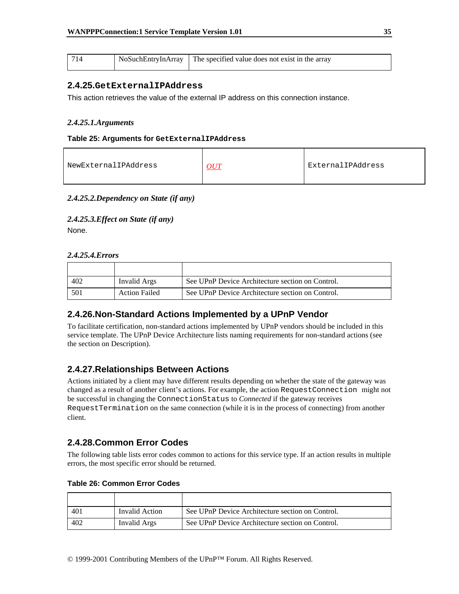|  | NoSuchEntryInArray | The specified value does not exist in the array |
|--|--------------------|-------------------------------------------------|
|--|--------------------|-------------------------------------------------|

#### **2.4.25.GetExternalIPAddress**

This action retrieves the value of the external IP address on this connection instance.

#### *2.4.25.1.Arguments*

#### **Table 25: Arguments for GetExternalIPAddress**

| ExternalIPAddress<br>NewExternalIPAddress<br>OUT |
|--------------------------------------------------|
|--------------------------------------------------|

#### *2.4.25.2.Dependency on State (if any)*

#### *2.4.25.3.Effect on State (if any)*  None.

#### *2.4.25.4.Errors*

| 402 | Invalid Args         | See UPnP Device Architecture section on Control. |
|-----|----------------------|--------------------------------------------------|
| 501 | <b>Action Failed</b> | See UPnP Device Architecture section on Control. |

# **2.4.26.Non-Standard Actions Implemented by a UPnP Vendor**

To facilitate certification, non-standard actions implemented by UPnP vendors should be included in this service template. The UPnP Device Architecture lists naming requirements for non-standard actions (see the section on Description).

# **2.4.27.Relationships Between Actions**

Actions initiated by a client may have different results depending on whether the state of the gateway was changed as a result of another client's actions. For example, the action RequestConnection might not be successful in changing the ConnectionStatus to *Connected* if the gateway receives RequestTermination on the same connection (while it is in the process of connecting) from another client.

# **2.4.28.Common Error Codes**

The following table lists error codes common to actions for this service type. If an action results in multiple errors, the most specific error should be returned.

| 401 | Invalid Action | See UPnP Device Architecture section on Control. |
|-----|----------------|--------------------------------------------------|
| 402 | Invalid Args   | See UPnP Device Architecture section on Control. |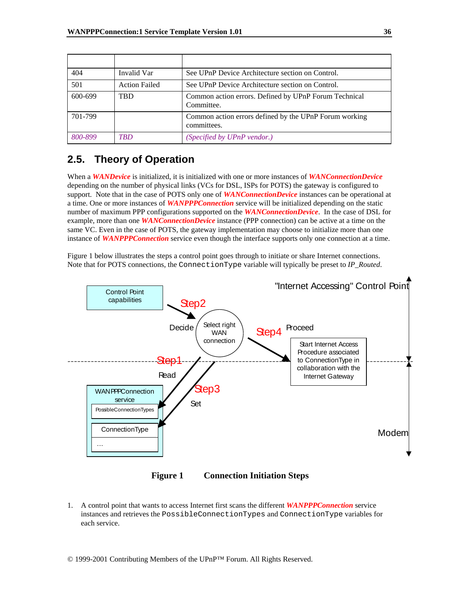| 404     | Invalid Var          | See UPnP Device Architecture section on Control.                      |
|---------|----------------------|-----------------------------------------------------------------------|
| 501     | <b>Action Failed</b> | See UPnP Device Architecture section on Control.                      |
| 600-699 | <b>TBD</b>           | Common action errors. Defined by UPnP Forum Technical<br>Committee.   |
| 701-799 |                      | Common action errors defined by the UPnP Forum working<br>committees. |
| 800-899 | <b>TRD</b>           | (Specified by UPnP vendor.)                                           |

# **2.5. Theory of Operation**

When a *WANDevice* is initialized, it is initialized with one or more instances of *WANConnectionDevice* depending on the number of physical links (VCs for DSL, ISPs for POTS) the gateway is configured to support. Note that in the case of POTS only one of *WANConnectionDevice* instances can be operational at a time. One or more instances of *WANPPPConnection* service will be initialized depending on the static number of maximum PPP configurations supported on the *WANConnectionDevice*. In the case of DSL for example, more than one *WANConnectionDevice* instance (PPP connection) can be active at a time on the same VC. Even in the case of POTS, the gateway implementation may choose to initialize more than one instance of *WANPPPConnection* service even though the interface supports only one connection at a time.

Figure 1 below illustrates the steps a control point goes through to initiate or share Internet connections. Note that for POTS connections, the ConnectionType variable will typically be preset to *IP\_Routed*.



**Figure 1 Connection Initiation Steps** 

1. A control point that wants to access Internet first scans the different *WANPPPConnection* service instances and retrieves the PossibleConnectionTypes and ConnectionType variables for each service.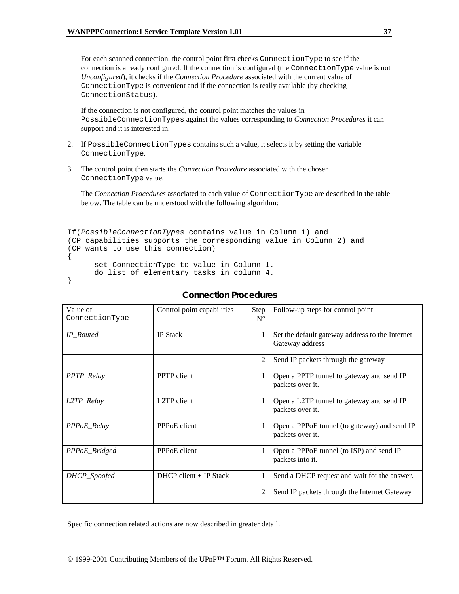For each scanned connection, the control point first checks ConnectionType to see if the connection is already configured. If the connection is configured (the ConnectionType value is not *Unconfigured*), it checks if the *Connection Procedure* associated with the current value of ConnectionType is convenient and if the connection is really available (by checking ConnectionStatus).

If the connection is not configured, the control point matches the values in PossibleConnectionTypes against the values corresponding to *Connection Procedures* it can support and it is interested in.

- 2. If PossibleConnectionTypes contains such a value, it selects it by setting the variable ConnectionType.
- 3. The control point then starts the *Connection Procedure* associated with the chosen ConnectionType value.

The *Connection Procedures* associated to each value of ConnectionType are described in the table below. The table can be understood with the following algorithm:

```
If(PossibleConnectionTypes contains value in Column 1) and 
(CP capabilities supports the corresponding value in Column 2) and 
(CP wants to use this connection) 
{ 
     set ConnectionType to value in Column 1. 
     do list of elementary tasks in column 4.
```

```
}
```

| Value of<br>ConnectionType | Control point capabilities | Step<br>$N^{\circ}$ | Follow-up steps for control point                                  |
|----------------------------|----------------------------|---------------------|--------------------------------------------------------------------|
| <b>IP</b> Routed           | <b>IP</b> Stack            |                     | Set the default gateway address to the Internet<br>Gateway address |
|                            |                            | $\mathfrak{D}$      | Send IP packets through the gateway                                |
| PPTP_Relay                 | <b>PPTP</b> client         |                     | Open a PPTP tunnel to gateway and send IP<br>packets over it.      |
| L2TP_Relay                 | L2TP client                |                     | Open a L2TP tunnel to gateway and send IP<br>packets over it.      |
| <b>PPPoE</b> Relay         | PPPoE client               |                     | Open a PPPoE tunnel (to gateway) and send IP<br>packets over it.   |
| PPPoE_Bridged              | PPP <sub>O</sub> E client  |                     | Open a PPPoE tunnel (to ISP) and send IP<br>packets into it.       |
| DHCP_Spoofed               | $DHCP$ client + IP Stack   |                     | Send a DHCP request and wait for the answer.                       |
|                            |                            | $\overline{2}$      | Send IP packets through the Internet Gateway                       |

## **Connection Procedures**

Specific connection related actions are now described in greater detail.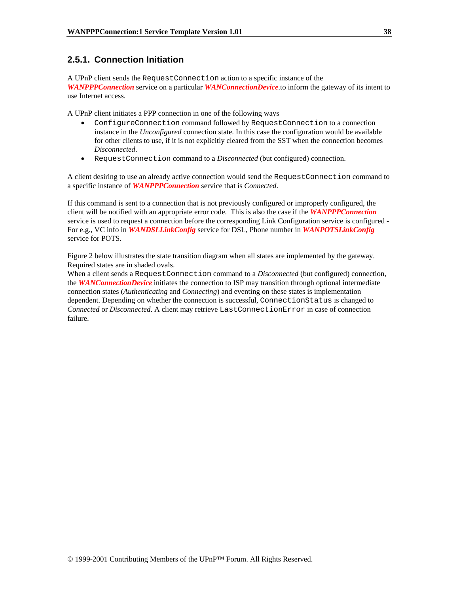## **2.5.1. Connection Initiation**

A UPnP client sends the RequestConnection action to a specific instance of the *WANPPPConnection* service on a particular *WANConnectionDevice*.to inform the gateway of its intent to use Internet access.

A UPnP client initiates a PPP connection in one of the following ways

- ConfigureConnection command followed by RequestConnection to a connection instance in the *Unconfigured* connection state. In this case the configuration would be available for other clients to use, if it is not explicitly cleared from the SST when the connection becomes *Disconnected*.
- RequestConnection command to a *Disconnected* (but configured) connection.

A client desiring to use an already active connection would send the RequestConnection command to a specific instance of *WANPPPConnection* service that is *Connected*.

If this command is sent to a connection that is not previously configured or improperly configured, the client will be notified with an appropriate error code. This is also the case if the *WANPPPConnection* service is used to request a connection before the corresponding Link Configuration service is configured - For e.g., VC info in *WANDSLLinkConfig* service for DSL, Phone number in *WANPOTSLinkConfig* service for POTS.

Figure 2 below illustrates the state transition diagram when all states are implemented by the gateway. Required states are in shaded ovals.

When a client sends a RequestConnection command to a *Disconnected* (but configured) connection, the *WANConnectionDevice* initiates the connection to ISP may transition through optional intermediate connection states (*Authenticating* and *Connecting*) and eventing on these states is implementation dependent. Depending on whether the connection is successful, ConnectionStatus is changed to *Connected* or *Disconnected*. A client may retrieve LastConnectionError in case of connection failure.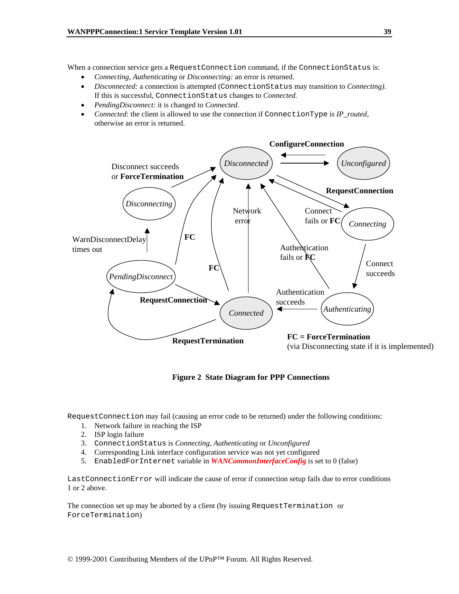When a connection service gets a RequestConnection command, if the ConnectionStatus is:

- *Connecting, Authenticating* or *Disconnecting:* an error is returned.
- *Disconnected:* a connection is attempted (ConnectionStatus may transition to *Connecting)*. If this is successful, ConnectionStatus changes to *Connected.*
- *PendingDisconnect:* it is changed to *Connected.*
- *Connected*: the client is allowed to use the connection if ConnectionType is *IP\_routed,*  otherwise an error is returned.



**Figure 2 State Diagram for PPP Connections**

RequestConnection may fail (causing an error code to be returned) under the following conditions:

- 1. Network failure in reaching the ISP
- 2. ISP login failure
- 3. ConnectionStatus is *Connecting, Authenticating* or *Unconfigured*
- 4. Corresponding Link interface configuration service was not yet configured
- 5. EnabledForInternet variable in *WANCommonInterfaceConfig* is set to 0 (false)

LastConnectionError will indicate the cause of error if connection setup fails due to error conditions 1 or 2 above.

The connection set up may be aborted by a client (by issuing RequestTermination or ForceTermination)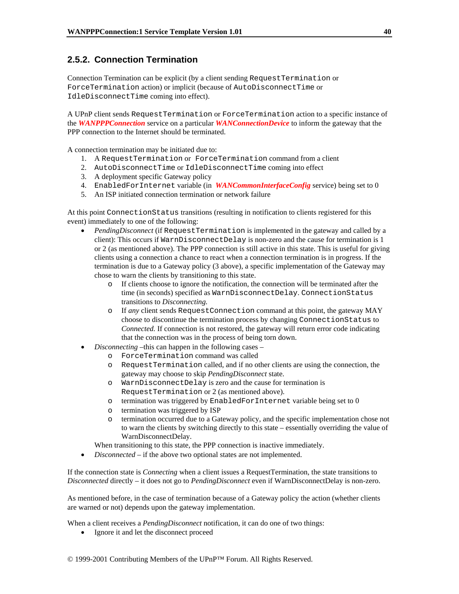# **2.5.2. Connection Termination**

Connection Termination can be explicit (by a client sending RequestTermination or ForceTermination action) or implicit (because of AutoDisconnectTime or IdleDisconnectTime coming into effect).

A UPnP client sends RequestTermination or ForceTermination action to a specific instance of the *WANPPPConnection* service on a particular *WANConnectionDevice* to inform the gateway that the PPP connection to the Internet should be terminated.

A connection termination may be initiated due to:

- 1. A RequestTermination or ForceTermination command from a client
- 2. AutoDisconnectTime or IdleDisconnectTime coming into effect
- 3. A deployment specific Gateway policy
- 4. EnabledForInternet variable (in *WANCommonInterfaceConfig* service) being set to 0
- 5. An ISP initiated connection termination or network failure

At this point ConnectionStatus transitions (resulting in notification to clients registered for this event) immediately to one of the following:

- *PendingDisconnect* (if RequestTermination is implemented in the gateway and called by a client): This occurs if WarnDisconnectDelay is non-zero and the cause for termination is 1 or 2 (as mentioned above). The PPP connection is still active in this state. This is useful for giving clients using a connection a chance to react when a connection termination is in progress. If the termination is due to a Gateway policy (3 above), a specific implementation of the Gateway may chose to warn the clients by transitioning to this state.
	- o If clients choose to ignore the notification, the connection will be terminated after the time (in seconds) specified as WarnDisconnectDelay. ConnectionStatus transitions to *Disconnecting.*
	- o If *any* client sends RequestConnection command at this point, the gateway MAY choose to discontinue the termination process by changing ConnectionStatus to *Connected.* If connection is not restored, the gateway will return error code indicating that the connection was in the process of being torn down.
- *Disconnecting –*this can happen in the following cases
	- o ForceTermination command was called
	- o RequestTermination called, and if no other clients are using the connection, the gateway may choose to skip *PendingDisconnect* state.
	- o WarnDisconnectDelay is zero and the cause for termination is RequestTermination or 2 (as mentioned above).
	- o termination was triggered by EnabledForInternet variable being set to 0
	- o termination was triggered by ISP
	- o termination occurred due to a Gateway policy, and the specific implementation chose not to warn the clients by switching directly to this state – essentially overriding the value of WarnDisconnectDelay.
	- When transitioning to this state, the PPP connection is inactive immediately.
- *Disconnected* if the above two optional states are not implemented.

If the connection state is *Connecting* when a client issues a RequestTermination, the state transitions to *Disconnected* directly – it does not go to *PendingDisconnect* even if WarnDisconnectDelay is non-zero.

As mentioned before, in the case of termination because of a Gateway policy the action (whether clients are warned or not) depends upon the gateway implementation.

When a client receives a *PendingDisconnect* notification, it can do one of two things:

• Ignore it and let the disconnect proceed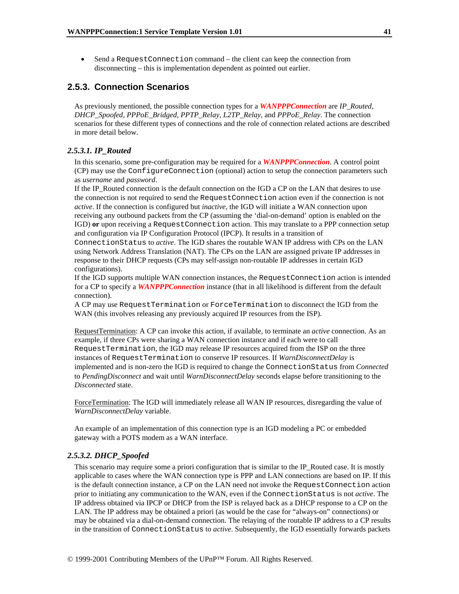• Send a RequestConnection command – the client can keep the connection from disconnecting – this is implementation dependent as pointed out earlier.

## **2.5.3. Connection Scenarios**

As previously mentioned, the possible connection types for a *WANPPPConnection* are *IP\_Routed*, *DHCP\_Spoofed*, *PPPoE\_Bridged*, *PPTP\_Relay*, *L2TP\_Relay*, and *PPPoE\_Relay*. The connection scenarios for these different types of connections and the role of connection related actions are described in more detail below.

#### *2.5.3.1. IP\_Routed*

In this scenario, some pre-configuration may be required for a *WANPPPConnection*. A control point (CP) may use the ConfigureConnection (optional) action to setup the connection parameters such as *username* and *password*.

If the IP\_Routed connection is the default connection on the IGD a CP on the LAN that desires to use the connection is not required to send the RequestConnection action even if the connection is not *active*. If the connection is configured but *inactive*, the IGD will initiate a WAN connection upon receiving any outbound packets from the CP (assuming the 'dial-on-demand' option is enabled on the IGD) **or** upon receiving a RequestConnection action. This may translate to a PPP connection setup and configuration via IP Configuration Protocol (IPCP). It results in a transition of

ConnectionStatus to *active*. The IGD shares the routable WAN IP address with CPs on the LAN using Network Address Translation (NAT). The CPs on the LAN are assigned private IP addresses in response to their DHCP requests (CPs may self-assign non-routable IP addresses in certain IGD configurations).

If the IGD supports multiple WAN connection instances, the RequestConnection action is intended for a CP to specify a *WANPPPConnection* instance (that in all likelihood is different from the default connection).

A CP may use RequestTermination or ForceTermination to disconnect the IGD from the WAN (this involves releasing any previously acquired IP resources from the ISP).

RequestTermination: A CP can invoke this action, if available, to terminate an *active* connection. As an example, if three CPs were sharing a WAN connection instance and if each were to call RequestTermination, the IGD may release IP resources acquired from the ISP on the three instances of RequestTermination to conserve IP resources. If *WarnDisconnectDelay* is implemented and is non-zero the IGD is required to change the ConnectionStatus from *Connected* to *PendingDisconnect* and wait until *WarnDisconnectDelay* seconds elapse before transitioning to the *Disconnected* state.

ForceTermination: The IGD will immediately release all WAN IP resources, disregarding the value of *WarnDisconnectDelay* variable.

An example of an implementation of this connection type is an IGD modeling a PC or embedded gateway with a POTS modem as a WAN interface.

#### *2.5.3.2. DHCP\_Spoofed*

This scenario may require some a priori configuration that is similar to the IP\_Routed case. It is mostly applicable to cases where the WAN connection type is PPP and LAN connections are based on IP. If this is the default connection instance, a CP on the LAN need not invoke the RequestConnection action prior to initiating any communication to the WAN, even if the ConnectionStatus is not *active*. The IP address obtained via IPCP or DHCP from the ISP is relayed back as a DHCP response to a CP on the LAN. The IP address may be obtained a priori (as would be the case for "always-on" connections) or may be obtained via a dial-on-demand connection. The relaying of the routable IP address to a CP results in the transition of ConnectionStatus to *active*. Subsequently, the IGD essentially forwards packets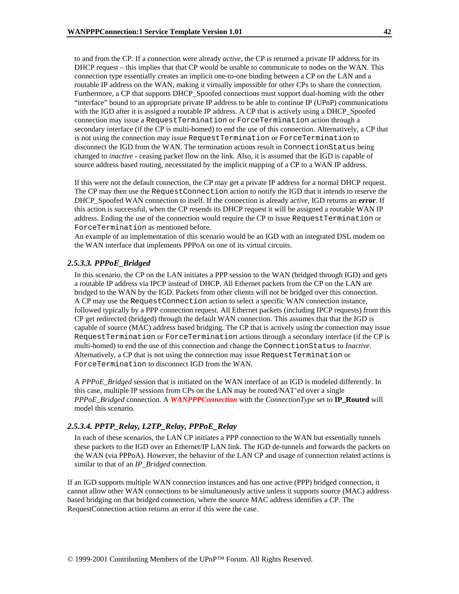to and from the CP. If a connection were already *active*, the CP is returned a private IP address for its DHCP request – this implies that that CP would be unable to communicate to nodes on the WAN. This connection type essentially creates an implicit one-to-one binding between a CP on the LAN and a routable IP address on the WAN, making it virtually impossible for other CPs to share the connection. Furthermore, a CP that supports DHCP\_Spoofed connections must support dual-homing with the other "interface" bound to an appropriate private IP address to be able to continue IP (UPnP) communications with the IGD after it is assigned a routable IP address. A CP that is actively using a DHCP\_Spoofed connection may issue a RequestTermination or ForceTermination action through a secondary interface (if the CP is multi-homed) to end the use of this connection. Alternatively, a CP that is not using the connection may issue RequestTermination or ForceTermination to disconnect the IGD from the WAN. The termination actions result in ConnectionStatus being changed to *inactive* - ceasing packet flow on the link. Also, it is assumed that the IGD is capable of source address based routing, necessitated by the implicit mapping of a CP to a WAN IP address.

If this were not the default connection, the CP may get a private IP address for a normal DHCP request. The CP may then use the RequestConnection action to notify the IGD that it intends to reserve the DHCP\_Spoofed WAN connection to itself. If the connection is already a*ctive*, IGD returns an **error**. If this action is successful, when the CP resends its DHCP request it will be assigned a routable WAN IP address. Ending the use of the connection would require the CP to issue RequestTermination or ForceTermination as mentioned before.

An example of an implementation of this scenario would be an IGD with an integrated DSL modem on the WAN interface that implements PPPoA on one of its virtual circuits.

#### *2.5.3.3. PPPoE\_Bridged*

In this scenario, the CP on the LAN initiates a PPP session to the WAN (bridged through IGD) and gets a routable IP address via IPCP instead of DHCP. All Ethernet packets from the CP on the LAN are bridged to the WAN by the IGD. Packets from other clients will not be bridged over this connection. A CP may use the RequestConnection action to select a specific WAN connection instance, followed typically by a PPP connection request. All Ethernet packets (including IPCP requests) from this CP get redirected (bridged) through the default WAN connection. This assumes that that the IGD is capable of source (MAC) address based bridging. The CP that is actively using the connection may issue RequestTermination or ForceTermination actions through a secondary interface (if the CP is multi-homed) to end the use of this connection and change the ConnectionStatus to *Inactive*. Alternatively, a CP that is not using the connection may issue RequestTermination or ForceTermination to disconnect IGD from the WAN.

A *PPPoE\_Bridged* session that is initiated on the WAN interface of an IGD is modeled differently. In this case, multiple IP sessions from CPs on the LAN may be routed/NAT'ed over a single *PPPoE\_Bridged* connection. A *WANPPPConnection* with the *ConnectionType* set to **IP\_Routed** will model this scenario.

#### *2.5.3.4. PPTP\_Relay, L2TP\_Relay, PPPoE\_Relay*

In each of these scenarios, the LAN CP initiates a PPP connection to the WAN but essentially tunnels these packets to the IGD over an Ethernet/IP LAN link. The IGD de-tunnels and forwards the packets on the WAN (via PPPoA). However, the behavior of the LAN CP and usage of connection related actions is similar to that of an *IP\_Bridged* connection.

If an IGD supports multiple WAN connection instances and has one active (PPP) bridged connection, it cannot allow other WAN connections to be simultaneously active unless it supports source (MAC) address based bridging on that bridged connection, where the source MAC address identifies a CP. The RequestConnection action returns an error if this were the case.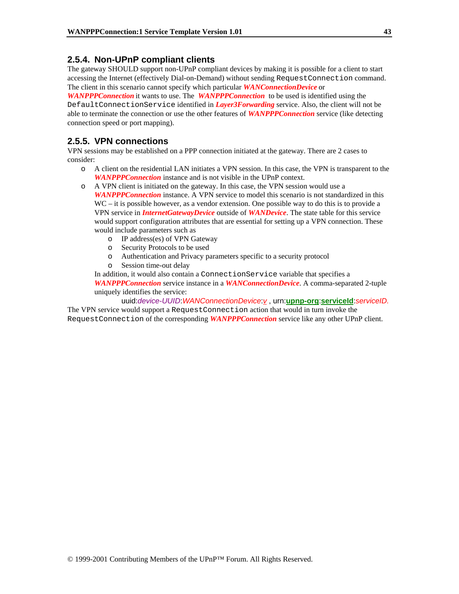## **2.5.4. Non-UPnP compliant clients**

The gateway SHOULD support non-UPnP compliant devices by making it is possible for a client to start accessing the Internet (effectively Dial-on-Demand) without sending RequestConnection command. The client in this scenario cannot specify which particular *WANConnectionDevice* or

*WANPPPConnection* it wants to use. The *WANPPPConnection* to be used is identified using the DefaultConnectionService identified in *Layer3Forwarding* service. Also, the client will not be able to terminate the connection or use the other features of *WANPPPConnection* service (like detecting connection speed or port mapping).

## **2.5.5. VPN connections**

VPN sessions may be established on a PPP connection initiated at the gateway. There are 2 cases to consider:

- o A client on the residential LAN initiates a VPN session. In this case, the VPN is transparent to the *WANPPPConnection* instance and is not visible in the UPnP context.
- o A VPN client is initiated on the gateway. In this case, the VPN session would use a *WANPPPConnection* instance. A VPN service to model this scenario is not standardized in this WC – it is possible however, as a vendor extension. One possible way to do this is to provide a VPN service in *InternetGatewayDevice* outside of *WANDevice*. The state table for this service would support configuration attributes that are essential for setting up a VPN connection. These would include parameters such as
	- o IP address(es) of VPN Gateway
	- o Security Protocols to be used
	- o Authentication and Privacy parameters specific to a security protocol
	- o Session time-out delay

In addition, it would also contain a ConnectionService variable that specifies a *WANPPPConnection* service instance in a *WANConnectionDevice*. A comma-separated 2-tuple uniquely identifies the service:

uuid:*device-UUID*:*WANConnectionDevice*:*v* , urn:**upnp-org**:**serviceId**:*serviceID.* 

The VPN service would support a RequestConnection action that would in turn invoke the RequestConnection of the corresponding *WANPPPConnection* service like any other UPnP client.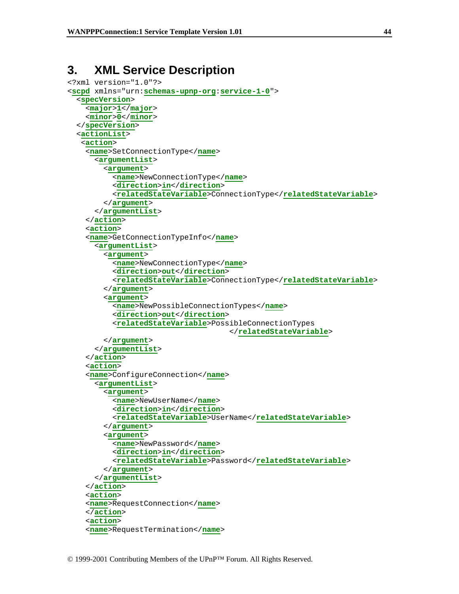# **3. XML Service Description**

```
<?xml version="1.0"?> 
<scpd xmlns="urn:schemas-upnp-org:service-1-0"> 
   <specVersion> 
     <major>1</major> 
     <minor>0</minor> 
   </specVersion> 
   <actionList> 
    <action> 
     <name>SetConnectionType</name> 
       <argumentList> 
          <argument> 
            <name>NewConnectionType</name> 
            <direction>in</direction> 
            <relatedStateVariable>ConnectionType</relatedStateVariable> 
         </argument> 
       </argumentList> 
     </action> 
     <action> 
     <name>GetConnectionTypeInfo</name> 
       <argumentList> 
          <argument> 
            <name>NewConnectionType</name> 
            <direction>out</direction> 
            <relatedStateVariable>ConnectionType</relatedStateVariable> 
         </argument> 
          <argument> 
            <name>NewPossibleConnectionTypes</name> 
            <direction>out</direction> 
            <relatedStateVariable>PossibleConnectionTypes
                                        </relatedStateVariable> 
         </argument> 
       </argumentList> 
     </action> 
     <action> 
     <name>ConfigureConnection</name> 
       <argumentList> 
          <argument> 
            <name>NewUserName</name> 
            <direction>in</direction> 
            <relatedStateVariable>UserName</relatedStateVariable> 
          </argument> 
          <argument> 
            <name>NewPassword</name> 
            <direction>in</direction> 
            <relatedStateVariable>Password</relatedStateVariable> 
         </argument> 
       </argumentList> 
     </action> 
     <action> 
     <name>RequestConnection</name> 
     </action> 
     <action> 
     <name>RequestTermination</name>
```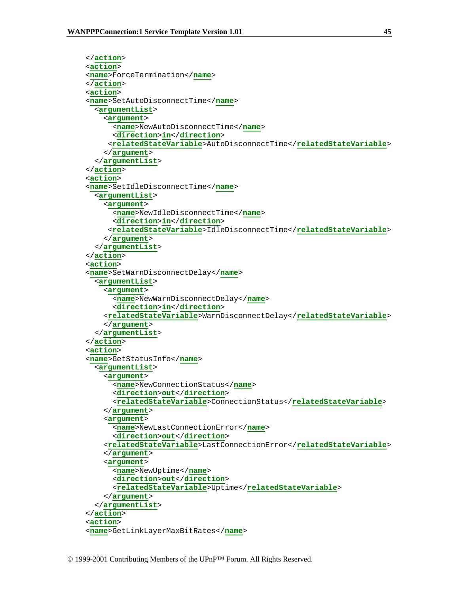```
 </action> 
 <action> 
 <name>ForceTermination</name> 
 </action> 
 <action> 
 <name>SetAutoDisconnectTime</name> 
   <argumentList> 
     <argument> 
       <name>NewAutoDisconnectTime</name> 
       <direction>in</direction> 
      <relatedStateVariable>AutoDisconnectTime</relatedStateVariable> 
     </argument> 
   </argumentList> 
 </action> 
 <action> 
 <name>SetIdleDisconnectTime</name> 
   <argumentList> 
     <argument> 
       <name>NewIdleDisconnectTime</name> 
       <direction>in</direction> 
      <relatedStateVariable>IdleDisconnectTime</relatedStateVariable> 
     </argument> 
   </argumentList> 
 </action> 
 <action> 
 <name>SetWarnDisconnectDelay</name> 
   <argumentList> 
     <argument> 
       <name>NewWarnDisconnectDelay</name> 
       <direction>in</direction> 
     <relatedStateVariable>WarnDisconnectDelay</relatedStateVariable> 
     </argument> 
   </argumentList> 
 </action> 
 <action> 
 <name>GetStatusInfo</name> 
   <argumentList> 
     <argument> 
       <name>NewConnectionStatus</name> 
       <direction>out</direction> 
       <relatedStateVariable>ConnectionStatus</relatedStateVariable> 
     </argument> 
     <argument> 
       <name>NewLastConnectionError</name> 
       <direction>out</direction> 
     <relatedStateVariable>LastConnectionError</relatedStateVariable> 
     </argument> 
     <argument> 
       <name>NewUptime</name> 
       <direction>out</direction> 
       <relatedStateVariable>Uptime</relatedStateVariable> 
     </argument> 
   </argumentList> 
 </action>
```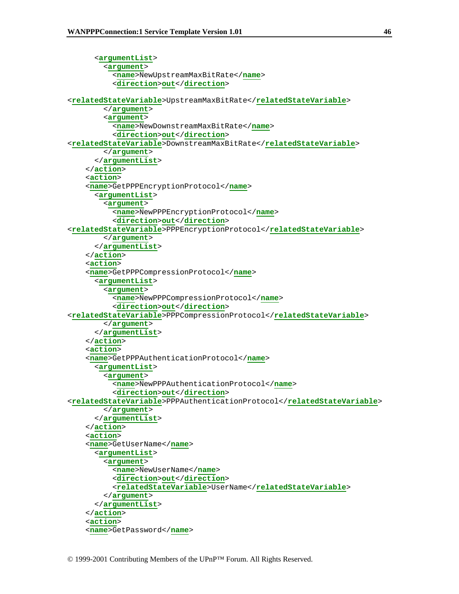```
 <argumentList> 
          <argument> 
            <name>NewUpstreamMaxBitRate</name> 
            <direction>out</direction> 
<relatedStateVariable>UpstreamMaxBitRate</relatedStateVariable> 
          </argument> 
          <argument> 
            <name>NewDownstreamMaxBitRate</name> 
            <direction>out</direction> 
<relatedStateVariable>DownstreamMaxBitRate</relatedStateVariable> 
         </argument> 
       </argumentList> 
     </action> 
     <action> 
     <name>GetPPPEncryptionProtocol</name> 
       <argumentList> 
          <argument> 
            <name>NewPPPEncryptionProtocol</name> 
            <direction>out</direction> 
<relatedStateVariable>PPPEncryptionProtocol</relatedStateVariable> 
          </argument> 
       </argumentList> 
     </action> 
     <action> 
     <name>GetPPPCompressionProtocol</name> 
       <argumentList> 
          <argument> 
            <name>NewPPPCompressionProtocol</name> 
            <direction>out</direction> 
<relatedStateVariable>PPPCompressionProtocol</relatedStateVariable> 
          </argument> 
       </argumentList> 
     </action> 
     <action> 
     <name>GetPPPAuthenticationProtocol</name> 
       <argumentList> 
          <argument> 
            <name>NewPPPAuthenticationProtocol</name> 
            <direction>out</direction> 
<relatedStateVariable>PPPAuthenticationProtocol</relatedStateVariable> 
          </argument> 
       </argumentList> 
     </action> 
     <action> 
     <name>GetUserName</name> 
       <argumentList> 
          <argument> 
            <name>NewUserName</name> 
            <direction>out</direction> 
            <relatedStateVariable>UserName</relatedStateVariable> 
         </argument> 
       </argumentList> 
     </action> 
     <action> 
     <name>GetPassword</name>
```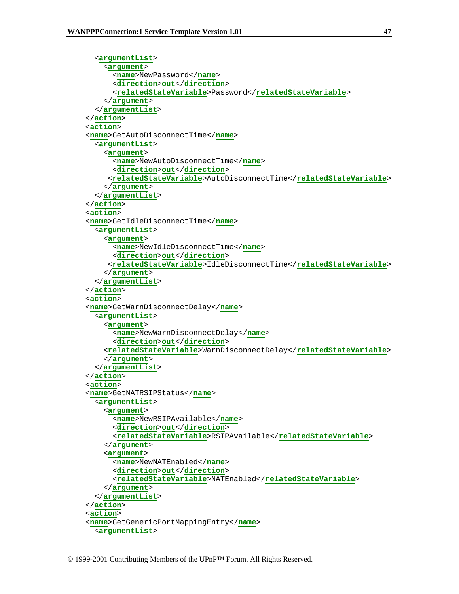```
 <argumentList> 
     <argument> 
       <name>NewPassword</name> 
       <direction>out</direction> 
       <relatedStateVariable>Password</relatedStateVariable> 
     </argument> 
   </argumentList> 
 </action> 
 <action> 
 <name>GetAutoDisconnectTime</name> 
   <argumentList> 
     <argument> 
       <name>NewAutoDisconnectTime</name> 
       <direction>out</direction> 
      <relatedStateVariable>AutoDisconnectTime</relatedStateVariable> 
     </argument> 
   </argumentList> 
 </action> 
 <action> 
 <name>GetIdleDisconnectTime</name> 
   <argumentList> 
     <argument> 
       <name>NewIdleDisconnectTime</name> 
       <direction>out</direction> 
      <relatedStateVariable>IdleDisconnectTime</relatedStateVariable> 
     </argument> 
   </argumentList> 
 </action> 
 <action> 
 <name>GetWarnDisconnectDelay</name> 
   <argumentList> 
     <argument> 
       <name>NewWarnDisconnectDelay</name> 
       <direction>out</direction> 
     <relatedStateVariable>WarnDisconnectDelay</relatedStateVariable> 
     </argument> 
   </argumentList> 
 </action> 
 <action> 
 <name>GetNATRSIPStatus</name> 
   <argumentList> 
     <argument> 
       <name>NewRSIPAvailable</name> 
       <direction>out</direction> 
       <relatedStateVariable>RSIPAvailable</relatedStateVariable> 
     </argument> 
     <argument> 
       <name>NewNATEnabled</name> 
       <direction>out</direction> 
       <relatedStateVariable>NATEnabled</relatedStateVariable> 
     </argument> 
   </argumentList> 
 </action> 
 <action> 
 <name>GetGenericPortMappingEntry</name> 
   <argumentList>
```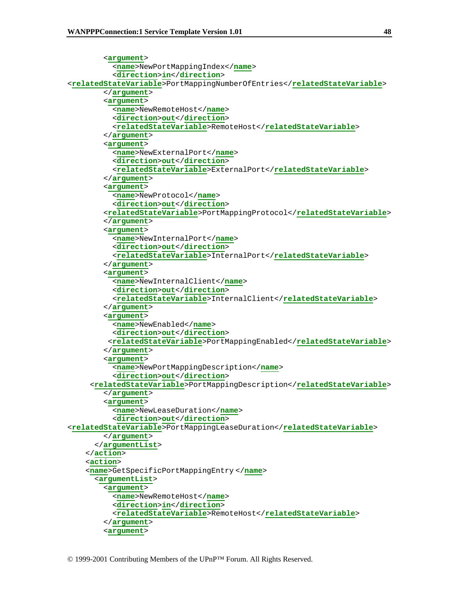```
 <argument> 
            <name>NewPortMappingIndex</name> 
            <direction>in</direction> 
<relatedStateVariable>PortMappingNumberOfEntries</relatedStateVariable> 
         </argument> 
         <argument> 
            <name>NewRemoteHost</name> 
            <direction>out</direction> 
            <relatedStateVariable>RemoteHost</relatedStateVariable> 
         </argument> 
          <argument> 
            <name>NewExternalPort</name> 
           <direction>out</direction> 
            <relatedStateVariable>ExternalPort</relatedStateVariable> 
         </argument> 
          <argument> 
            <name>NewProtocol</name> 
            <direction>out</direction> 
          <relatedStateVariable>PortMappingProtocol</relatedStateVariable> 
         </argument> 
         <argument> 
            <name>NewInternalPort</name> 
            <direction>out</direction> 
            <relatedStateVariable>InternalPort</relatedStateVariable> 
          </argument> 
          <argument> 
            <name>NewInternalClient</name> 
           <direction>out</direction> 
            <relatedStateVariable>InternalClient</relatedStateVariable> 
         </argument> 
          <argument> 
            <name>NewEnabled</name> 
           <direction>out</direction> 
          <relatedStateVariable>PortMappingEnabled</relatedStateVariable> 
         </argument> 
          <argument> 
            <name>NewPortMappingDescription</name> 
            <direction>out</direction> 
      <relatedStateVariable>PortMappingDescription</relatedStateVariable> 
         </argument> 
         <argument> 
            <name>NewLeaseDuration</name> 
            <direction>out</direction> 
<relatedStateVariable>PortMappingLeaseDuration</relatedStateVariable> 
         </argument> 
       </argumentList> 
     </action> 
     <action> 
     <name>GetSpecificPortMappingEntry </name> 
       <argumentList> 
          <argument> 
           <name>NewRemoteHost</name> 
            <direction>in</direction> 
            <relatedStateVariable>RemoteHost</relatedStateVariable> 
          </argument> 
         <argument>
```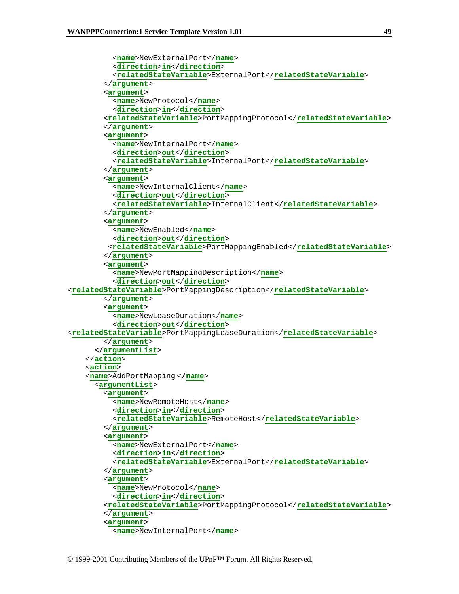```
 <name>NewExternalPort</name> 
            <direction>in</direction> 
            <relatedStateVariable>ExternalPort</relatedStateVariable> 
         </argument> 
          <argument> 
            <name>NewProtocol</name> 
            <direction>in</direction> 
          <relatedStateVariable>PortMappingProtocol</relatedStateVariable> 
         </argument> 
          <argument> 
           <name>NewInternalPort</name> 
           <direction>out</direction> 
            <relatedStateVariable>InternalPort</relatedStateVariable> 
         </argument> 
          <argument> 
            <name>NewInternalClient</name> 
            <direction>out</direction> 
            <relatedStateVariable>InternalClient</relatedStateVariable> 
         </argument> 
          <argument> 
            <name>NewEnabled</name> 
           <direction>out</direction> 
          <relatedStateVariable>PortMappingEnabled</relatedStateVariable> 
         </argument> 
          <argument> 
            <name>NewPortMappingDescription</name> 
            <direction>out</direction> 
<relatedStateVariable>PortMappingDescription</relatedStateVariable> 
         </argument> 
         <argument> 
            <name>NewLeaseDuration</name> 
            <direction>out</direction> 
<relatedStateVariable>PortMappingLeaseDuration</relatedStateVariable> 
         </argument> 
       </argumentList> 
     </action> 
     <action> 
     <name>AddPortMapping </name> 
       <argumentList> 
          <argument> 
            <name>NewRemoteHost</name> 
            <direction>in</direction> 
            <relatedStateVariable>RemoteHost</relatedStateVariable> 
         </argument> 
          <argument> 
            <name>NewExternalPort</name> 
           <direction>in</direction> 
            <relatedStateVariable>ExternalPort</relatedStateVariable> 
         </argument> 
          <argument> 
            <name>NewProtocol</name> 
            <direction>in</direction> 
         <relatedStateVariable>PortMappingProtocol</relatedStateVariable> 
         </argument> 
          <argument> 
            <name>NewInternalPort</name>
```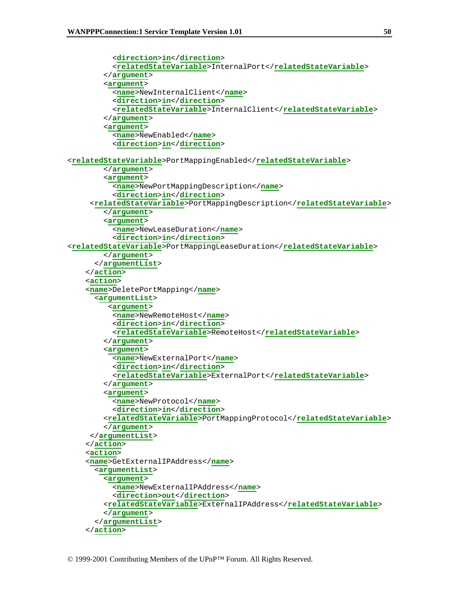```
 <direction>in</direction> 
            <relatedStateVariable>InternalPort</relatedStateVariable> 
         </argument> 
          <argument> 
            <name>NewInternalClient</name> 
           <direction>in</direction> 
            <relatedStateVariable>InternalClient</relatedStateVariable> 
         </argument> 
         <argument> 
            <name>NewEnabled</name> 
            <direction>in</direction> 
<relatedStateVariable>PortMappingEnabled</relatedStateVariable> 
         </argument> 
         <argument> 
            <name>NewPortMappingDescription</name> 
            <direction>in</direction> 
      <relatedStateVariable>PortMappingDescription</relatedStateVariable> 
         </argument> 
          <argument> 
            <name>NewLeaseDuration</name> 
            <direction>in</direction> 
<relatedStateVariable>PortMappingLeaseDuration</relatedStateVariable> 
         </argument> 
       </argumentList> 
     </action> 
     <action> 
     <name>DeletePortMapping</name> 
       <argumentList> 
          <argument> 
            <name>NewRemoteHost</name> 
            <direction>in</direction> 
            <relatedStateVariable>RemoteHost</relatedStateVariable> 
         </argument> 
          <argument> 
            <name>NewExternalPort</name> 
           <direction>in</direction> 
            <relatedStateVariable>ExternalPort</relatedStateVariable> 
         </argument> 
         <argument> 
            <name>NewProtocol</name> 
            <direction>in</direction> 
         <relatedStateVariable>PortMappingProtocol</relatedStateVariable> 
         </argument> 
      </argumentList> 
     </action> 
     <action> 
     <name>GetExternalIPAddress</name> 
       <argumentList> 
         <argument> 
            <name>NewExternalIPAddress</name> 
           <direction>out</direction> 
         <relatedStateVariable>ExternalIPAddress</relatedStateVariable> 
         </argument> 
       </argumentList> 
     </action>
```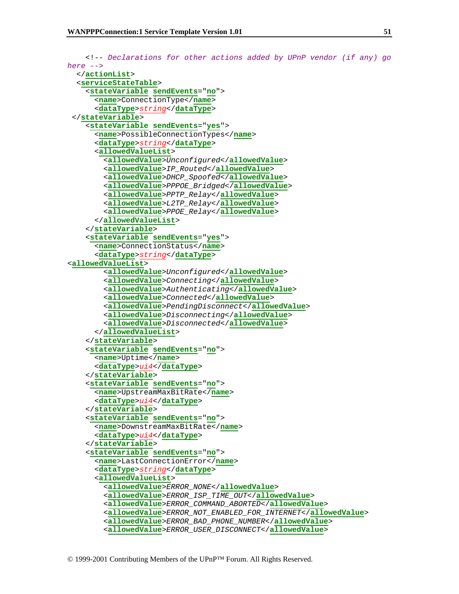```
 <!-- Declarations for other actions added by UPnP vendor (if any) go 
here --> 
   </actionList> 
   <serviceStateTable> 
     <stateVariable sendEvents="no"> 
       <name>ConnectionType</name> 
       <dataType>string</dataType> 
  </stateVariable> 
     <stateVariable sendEvents="yes"> 
       <name>PossibleConnectionTypes</name> 
       <dataType>string</dataType> 
       <allowedValueList> 
         <allowedValue>Unconfigured</allowedValue> 
         <allowedValue>IP_Routed</allowedValue> 
         <allowedValue>DHCP_Spoofed</allowedValue> 
         <allowedValue>PPPOE_Bridged</allowedValue> 
         <allowedValue>PPTP_Relay</allowedValue> 
         <allowedValue>L2TP_Relay</allowedValue> 
         <allowedValue>PPOE_Relay</allowedValue> 
       </allowedValueList> 
     </stateVariable> 
     <stateVariable sendEvents="yes"> 
       <name>ConnectionStatus</name> 
       <dataType>string</dataType> 
<allowedValueList> 
         <allowedValue>Unconfigured</allowedValue> 
         <allowedValue>Connecting</allowedValue> 
         <allowedValue>Authenticating</allowedValue> 
         <allowedValue>Connected</allowedValue> 
         <allowedValue>PendingDisconnect</allowedValue> 
         <allowedValue>Disconnecting</allowedValue> 
         <allowedValue>Disconnected</allowedValue> 
       </allowedValueList> 
     </stateVariable> 
     <stateVariable sendEvents="no"> 
       <name>Uptime</name> 
       <dataType>ui4</dataType> 
     </stateVariable> 
     <stateVariable sendEvents="no"> 
       <name>UpstreamMaxBitRate</name> 
       <dataType>ui4</dataType> 
     </stateVariable> 
     <stateVariable sendEvents="no"> 
       <name>DownstreamMaxBitRate</name> 
       <dataType>ui4</dataType> 
     </stateVariable> 
     <stateVariable sendEvents="no"> 
       <name>LastConnectionError</name> 
       <dataType>string</dataType> 
       <allowedValueList> 
         <allowedValue>ERROR_NONE</allowedValue> 
         <allowedValue>ERROR_ISP_TIME_OUT</allowedValue> 
         <allowedValue>ERROR_COMMAND_ABORTED</allowedValue> 
         <allowedValue>ERROR_NOT_ENABLED_FOR_INTERNET</allowedValue> 
         <allowedValue>ERROR_BAD_PHONE_NUMBER</allowedValue> 
         <allowedValue>ERROR_USER_DISCONNECT</allowedValue>
```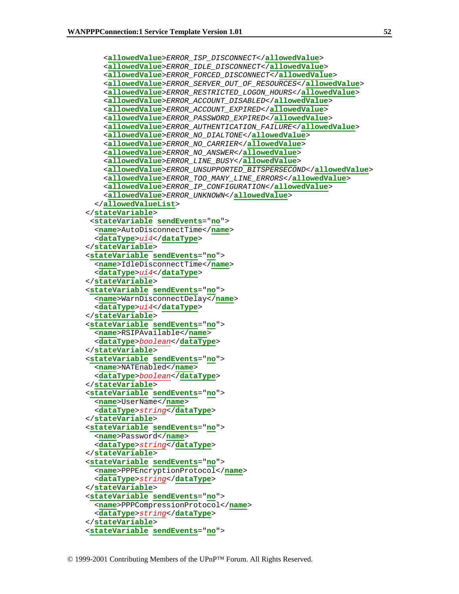```
 <allowedValue>ERROR_ISP_DISCONNECT</allowedValue> 
     <allowedValue>ERROR_IDLE_DISCONNECT</allowedValue> 
     <allowedValue>ERROR_FORCED_DISCONNECT</allowedValue> 
     <allowedValue>ERROR_SERVER_OUT_OF_RESOURCES</allowedValue> 
     <allowedValue>ERROR_RESTRICTED_LOGON_HOURS</allowedValue> 
     <allowedValue>ERROR_ACCOUNT_DISABLED</allowedValue> 
     <allowedValue>ERROR_ACCOUNT_EXPIRED</allowedValue> 
     <allowedValue>ERROR_PASSWORD_EXPIRED</allowedValue> 
     <allowedValue>ERROR_AUTHENTICATION_FAILURE</allowedValue> 
     <allowedValue>ERROR_NO_DIALTONE</allowedValue> 
     <allowedValue>ERROR_NO_CARRIER</allowedValue> 
     <allowedValue>ERROR_NO_ANSWER</allowedValue> 
     <allowedValue>ERROR_LINE_BUSY</allowedValue> 
     <allowedValue>ERROR_UNSUPPORTED_BITSPERSECOND</allowedValue> 
     <allowedValue>ERROR_TOO_MANY_LINE_ERRORS</allowedValue> 
     <allowedValue>ERROR_IP_CONFIGURATION</allowedValue> 
     <allowedValue>ERROR_UNKNOWN</allowedValue> 
   </allowedValueList> 
 </stateVariable> 
  <stateVariable sendEvents="no"> 
   <name>AutoDisconnectTime</name> 
   <dataType>ui4</dataType> 
 </stateVariable> 
 <stateVariable sendEvents="no"> 
   <name>IdleDisconnectTime</name> 
   <dataType>ui4</dataType> 
 </stateVariable> 
 <stateVariable sendEvents="no"> 
   <name>WarnDisconnectDelay</name> 
   <dataType>ui4</dataType> 
 </stateVariable> 
 <stateVariable sendEvents="no"> 
   <name>RSIPAvailable</name> 
   <dataType>boolean</dataType> 
 </stateVariable> 
 <stateVariable sendEvents="no"> 
   <name>NATEnabled</name> 
   <dataType>boolean</dataType> 
 </stateVariable> 
 <stateVariable sendEvents="no"> 
   <name>UserName</name> 
   <dataType>string</dataType> 
 </stateVariable> 
 <stateVariable sendEvents="no"> 
   <name>Password</name> 
   <dataType>string</dataType> 
 </stateVariable> 
 <stateVariable sendEvents="no"> 
   <name>PPPEncryptionProtocol</name> 
   <dataType>string</dataType> 
 </stateVariable> 
 <stateVariable sendEvents="no"> 
   <name>PPPCompressionProtocol</name> 
   <dataType>string</dataType> 
 </stateVariable> 
 <stateVariable sendEvents="no">
```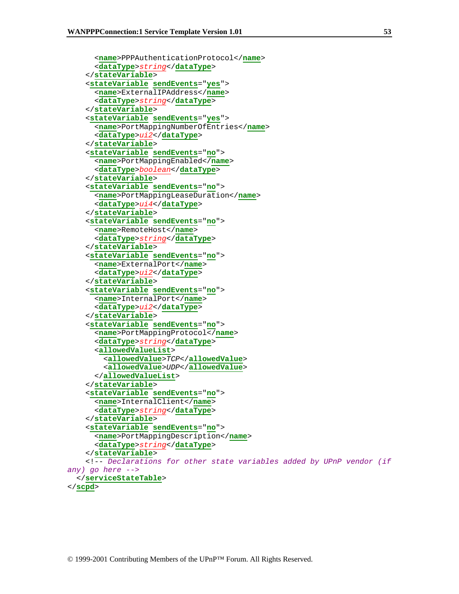```
 <name>PPPAuthenticationProtocol</name> 
       <dataType>string</dataType> 
     </stateVariable> 
     <stateVariable sendEvents="yes"> 
       <name>ExternalIPAddress</name> 
       <dataType>string</dataType> 
     </stateVariable> 
     <stateVariable sendEvents="yes"> 
       <name>PortMappingNumberOfEntries</name> 
       <dataType>ui2</dataType> 
     </stateVariable> 
     <stateVariable sendEvents="no"> 
       <name>PortMappingEnabled</name> 
       <dataType>boolean</dataType> 
     </stateVariable> 
     <stateVariable sendEvents="no"> 
       <name>PortMappingLeaseDuration</name> 
       <dataType>ui4</dataType> 
     </stateVariable> 
     <stateVariable sendEvents="no"> 
       <name>RemoteHost</name> 
       <dataType>string</dataType> 
     </stateVariable> 
     <stateVariable sendEvents="no"> 
       <name>ExternalPort</name> 
       <dataType>ui2</dataType> 
     </stateVariable> 
     <stateVariable sendEvents="no"> 
       <name>InternalPort</name> 
       <dataType>ui2</dataType> 
     </stateVariable> 
     <stateVariable sendEvents="no"> 
       <name>PortMappingProtocol</name> 
       <dataType>string</dataType> 
       <allowedValueList> 
          <allowedValue>TCP</allowedValue> 
          <allowedValue>UDP</allowedValue> 
       </allowedValueList> 
     </stateVariable> 
     <stateVariable sendEvents="no"> 
       <name>InternalClient</name> 
       <dataType>string</dataType> 
     </stateVariable> 
     <stateVariable sendEvents="no"> 
       <name>PortMappingDescription</name> 
       <dataType>string</dataType> 
     </stateVariable> 
     <!-- Declarations for other state variables added by UPnP vendor (if 
any) go here --> 
   </serviceStateTable> 
</scpd>
```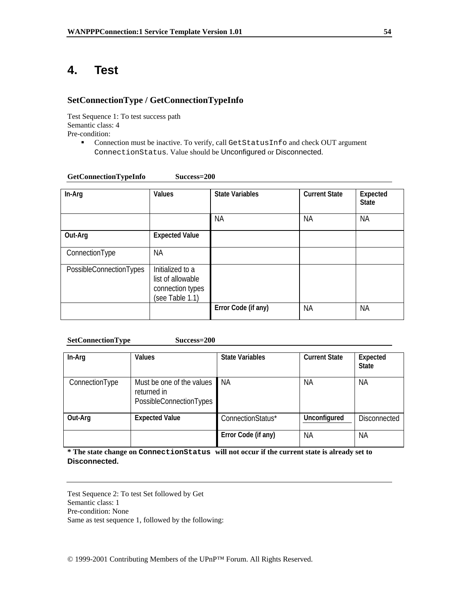# **4. Test**

## **SetConnectionType / GetConnectionTypeInfo**

Test Sequence 1: To test success path Semantic class: 4 Pre-condition:

> Connection must be inactive. To verify, call GetStatusInfo and check OUT argument ConnectionStatus. Value should be Unconfigured or Disconnected.

| GetConnectionTypeInfo | Success=200 |
|-----------------------|-------------|
|-----------------------|-------------|

| In-Arg                  | <b>Values</b>                                                                | <b>State Variables</b> | <b>Current State</b> | Expected<br><b>State</b> |
|-------------------------|------------------------------------------------------------------------------|------------------------|----------------------|--------------------------|
|                         |                                                                              | <b>NA</b>              | <b>NA</b>            | <b>NA</b>                |
| Out-Arg                 | <b>Expected Value</b>                                                        |                        |                      |                          |
| ConnectionType          | <b>NA</b>                                                                    |                        |                      |                          |
| PossibleConnectionTypes | Initialized to a<br>list of allowable<br>connection types<br>(see Table 1.1) |                        |                      |                          |
|                         |                                                                              | Error Code (if any)    | <b>NA</b>            | <b>NA</b>                |

**SetConnectionType Success=200** 

| In-Arg         | Values                                                              | <b>State Variables</b> | <b>Current State</b> | Expected<br><b>State</b> |
|----------------|---------------------------------------------------------------------|------------------------|----------------------|--------------------------|
| ConnectionType | Must be one of the values<br>returned in<br>PossibleConnectionTypes | ΝA                     | ΝA                   | ΝA                       |
| Out-Arg        | <b>Expected Value</b>                                               | ConnectionStatus*      | Unconfigured         | <b>Disconnected</b>      |
|                |                                                                     | Error Code (if any)    | ΝA                   | ΝA                       |

**\* The state change on ConnectionStatus will not occur if the current state is already set to Disconnected.** 

Test Sequence 2: To test Set followed by Get Semantic class: 1 Pre-condition: None

Same as test sequence 1, followed by the following: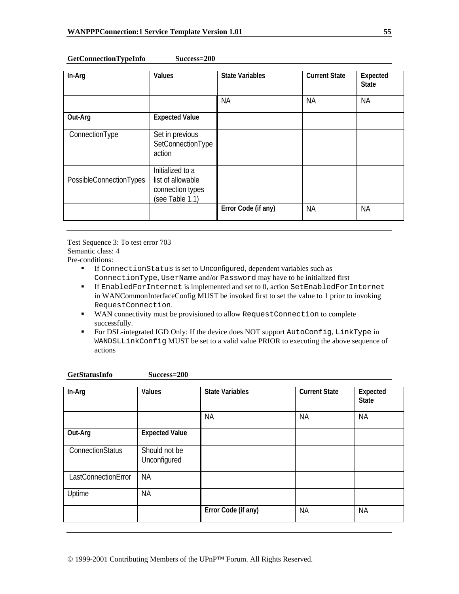| GetConnectionTypeInfo | Success=200 |
|-----------------------|-------------|
|-----------------------|-------------|

| In-Arg                  | Values                                                                       | <b>State Variables</b> | <b>Current State</b> | Expected<br><b>State</b> |
|-------------------------|------------------------------------------------------------------------------|------------------------|----------------------|--------------------------|
|                         |                                                                              | <b>NA</b>              | <b>NA</b>            | <b>NA</b>                |
| Out-Arg                 | <b>Expected Value</b>                                                        |                        |                      |                          |
| ConnectionType          | Set in previous<br>SetConnectionType<br>action                               |                        |                      |                          |
| PossibleConnectionTypes | Initialized to a<br>list of allowable<br>connection types<br>(see Table 1.1) |                        |                      |                          |
|                         |                                                                              | Error Code (if any)    | <b>NA</b>            | <b>NA</b>                |

Test Sequence 3: To test error 703 Semantic class: 4 Pre-conditions:

- If ConnectionStatus is set to Unconfigured, dependent variables such as ConnectionType, UserName and/or Password may have to be initialized first
- If EnabledForInternet is implemented and set to 0, action SetEnabledForInternet in WANCommonInterfaceConfig MUST be invoked first to set the value to 1 prior to invoking RequestConnection.
- WAN connectivity must be provisioned to allow RequestConnection to complete successfully.
- For DSL-integrated IGD Only: If the device does NOT support AutoConfig, LinkType in WANDSLLinkConfig MUST be set to a valid value PRIOR to executing the above sequence of actions

| In-Arg              | Values                        | <b>State Variables</b> | <b>Current State</b> | Expected<br><b>State</b> |
|---------------------|-------------------------------|------------------------|----------------------|--------------------------|
|                     |                               | <b>NA</b>              | <b>NA</b>            | <b>NA</b>                |
| Out-Arg             | <b>Expected Value</b>         |                        |                      |                          |
| ConnectionStatus    | Should not be<br>Unconfigured |                        |                      |                          |
| LastConnectionError | <b>NA</b>                     |                        |                      |                          |
| Uptime              | <b>NA</b>                     |                        |                      |                          |
|                     |                               | Error Code (if any)    | <b>NA</b>            | <b>NA</b>                |

| GetStatusInfo | Success=200 |
|---------------|-------------|
|---------------|-------------|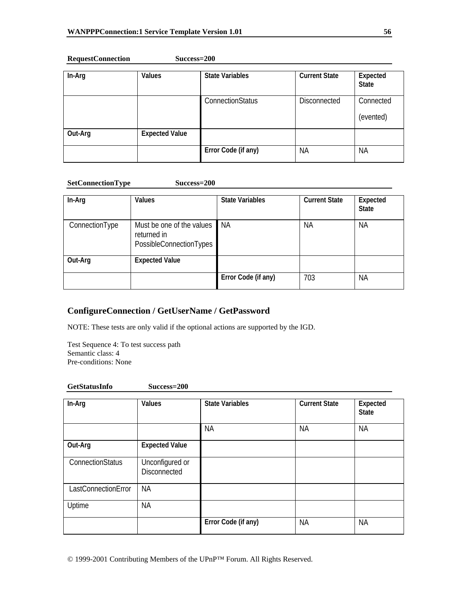**RequestConnection Success=200** 

| In-Arg  | <b>Values</b>         | <b>State Variables</b> | <b>Current State</b> | Expected<br><b>State</b> |
|---------|-----------------------|------------------------|----------------------|--------------------------|
|         |                       | ConnectionStatus       | <b>Disconnected</b>  | Connected<br>(evented)   |
| Out-Arg | <b>Expected Value</b> |                        |                      |                          |
|         |                       | Error Code (if any)    | <b>NA</b>            | <b>NA</b>                |

#### **SetConnectionType Success=200**

| In-Arg         | <b>Values</b>                                                       | <b>State Variables</b> | <b>Current State</b> | Expected<br><b>State</b> |
|----------------|---------------------------------------------------------------------|------------------------|----------------------|--------------------------|
| ConnectionType | Must be one of the values<br>returned in<br>PossibleConnectionTypes | ΝA                     | ΝA                   | <b>NA</b>                |
| Out-Arg        | <b>Expected Value</b>                                               |                        |                      |                          |
|                |                                                                     | Error Code (if any)    | 703                  | <b>NA</b>                |

## **ConfigureConnection / GetUserName / GetPassword**

NOTE: These tests are only valid if the optional actions are supported by the IGD.

Test Sequence 4: To test success path Semantic class: 4 Pre-conditions: None

| <b>GetStatusInfo</b> | Success=200 |
|----------------------|-------------|
|----------------------|-------------|

| In-Arg              | Values                                 | <b>State Variables</b> | <b>Current State</b> | Expected<br><b>State</b> |
|---------------------|----------------------------------------|------------------------|----------------------|--------------------------|
|                     |                                        | <b>NA</b>              | <b>NA</b>            | ΝA                       |
| Out-Arg             | <b>Expected Value</b>                  |                        |                      |                          |
| ConnectionStatus    | Unconfigured or<br><b>Disconnected</b> |                        |                      |                          |
| LastConnectionError | <b>NA</b>                              |                        |                      |                          |
| Uptime              | <b>NA</b>                              |                        |                      |                          |
|                     |                                        | Error Code (if any)    | <b>NA</b>            | <b>NA</b>                |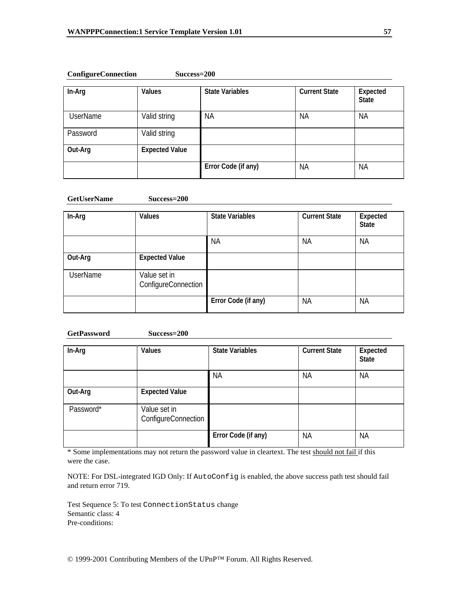| In-Arg          | <b>Values</b>         | <b>State Variables</b> | <b>Current State</b> | Expected<br><b>State</b> |
|-----------------|-----------------------|------------------------|----------------------|--------------------------|
| <b>UserName</b> | Valid string          | <b>NA</b>              | <b>NA</b>            | <b>NA</b>                |
| Password        | Valid string          |                        |                      |                          |
| Out-Arg         | <b>Expected Value</b> |                        |                      |                          |
|                 |                       | Error Code (if any)    | <b>NA</b>            | <b>NA</b>                |

### **ConfigureConnection Success=200**

#### **GetUserName Success=200**

| In-Arg          | Values                              | <b>State Variables</b> | <b>Current State</b> | Expected<br><b>State</b> |
|-----------------|-------------------------------------|------------------------|----------------------|--------------------------|
|                 |                                     | <b>NA</b>              | ΝA                   | <b>NA</b>                |
| Out-Arg         | <b>Expected Value</b>               |                        |                      |                          |
| <b>UserName</b> | Value set in<br>ConfigureConnection |                        |                      |                          |
|                 |                                     | Error Code (if any)    | <b>NA</b>            | <b>NA</b>                |

#### **GetPassword Success=200**

| In-Arg    | Values                              | <b>State Variables</b> | <b>Current State</b> | Expected<br><b>State</b> |
|-----------|-------------------------------------|------------------------|----------------------|--------------------------|
|           |                                     | <b>NA</b>              | <b>NA</b>            | <b>NA</b>                |
| Out-Arg   | <b>Expected Value</b>               |                        |                      |                          |
| Password* | Value set in<br>ConfigureConnection |                        |                      |                          |
|           |                                     | Error Code (if any)    | <b>NA</b>            | <b>NA</b>                |

\* Some implementations may not return the password value in cleartext. The test should not fail if this were the case.

NOTE: For DSL-integrated IGD Only: If AutoConfig is enabled, the above success path test should fail and return error 719.

Test Sequence 5: To test ConnectionStatus change Semantic class: 4 Pre-conditions: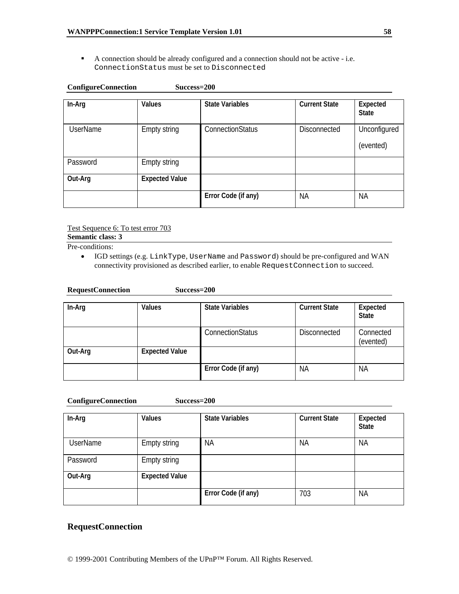A connection should be already configured and a connection should not be active - i.e. ConnectionStatus must be set to Disconnected

| <b>ConfigureConnection</b> | Success=200           |                        |                      |                           |
|----------------------------|-----------------------|------------------------|----------------------|---------------------------|
| In-Arg                     | <b>Values</b>         | <b>State Variables</b> | <b>Current State</b> | Expected<br><b>State</b>  |
| <b>UserName</b>            | Empty string          | ConnectionStatus       | <b>Disconnected</b>  | Unconfigured<br>(evented) |
| Password                   | Empty string          |                        |                      |                           |
| Out-Arg                    | <b>Expected Value</b> |                        |                      |                           |
|                            |                       | Error Code (if any)    | <b>NA</b>            | <b>NA</b>                 |

Test Sequence 6: To test error 703

**Semantic class: 3** 

Pre-conditions:

• IGD settings (e.g. LinkType, UserName and Password) should be pre-configured and WAN connectivity provisioned as described earlier, to enable RequestConnection to succeed.

| In-Arg  | Values                | <b>State Variables</b> | <b>Current State</b> | Expected<br><b>State</b> |
|---------|-----------------------|------------------------|----------------------|--------------------------|
|         |                       | ConnectionStatus       | <b>Disconnected</b>  | Connected<br>(evented)   |
| Out-Arg | <b>Expected Value</b> |                        |                      |                          |
|         |                       | Error Code (if any)    | <b>NA</b>            | <b>NA</b>                |

| <b>ConfigureConnection</b> | $Success=200$ |
|----------------------------|---------------|
|                            |               |

**RequestConnection Success=200** 

| In-Arg          | <b>Values</b>         | <b>State Variables</b> | <b>Current State</b> | Expected<br><b>State</b> |
|-----------------|-----------------------|------------------------|----------------------|--------------------------|
| <b>UserName</b> | <b>Empty string</b>   | ΝA                     | <b>NA</b>            | <b>NA</b>                |
| Password        | Empty string          |                        |                      |                          |
| Out-Arg         | <b>Expected Value</b> |                        |                      |                          |
|                 |                       | Error Code (if any)    | 703                  | <b>NA</b>                |

### **RequestConnection**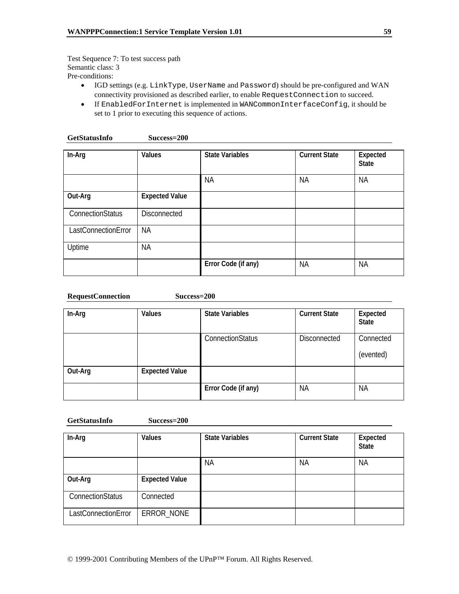Test Sequence 7: To test success path Semantic class: 3 Pre-conditions:

- IGD settings (e.g. LinkType, UserName and Password) should be pre-configured and WAN connectivity provisioned as described earlier, to enable RequestConnection to succeed.
- If EnabledForInternet is implemented in WANCommonInterfaceConfig, it should be set to 1 prior to executing this sequence of actions.

| In-Arg              | Values                | <b>State Variables</b> | <b>Current State</b> | Expected<br><b>State</b> |
|---------------------|-----------------------|------------------------|----------------------|--------------------------|
|                     |                       | <b>NA</b>              | <b>NA</b>            | <b>NA</b>                |
| Out-Arg             | <b>Expected Value</b> |                        |                      |                          |
| ConnectionStatus    | <b>Disconnected</b>   |                        |                      |                          |
| LastConnectionError | <b>NA</b>             |                        |                      |                          |
| Uptime              | <b>NA</b>             |                        |                      |                          |
|                     |                       | Error Code (if any)    | <b>NA</b>            | <b>NA</b>                |

| <b>RequestConnection</b> | $Success=200$ |
|--------------------------|---------------|
|                          |               |

| In-Arg  | Values                | <b>State Variables</b> | <b>Current State</b> | Expected<br><b>State</b> |
|---------|-----------------------|------------------------|----------------------|--------------------------|
|         |                       | ConnectionStatus       | <b>Disconnected</b>  | Connected<br>(evented)   |
| Out-Arg | <b>Expected Value</b> |                        |                      |                          |
|         |                       | Error Code (if any)    | <b>NA</b>            | <b>NA</b>                |

#### **GetStatusInfo Success=200**

| In-Arg                  | Values                | <b>State Variables</b> | <b>Current State</b> | Expected<br><b>State</b> |
|-------------------------|-----------------------|------------------------|----------------------|--------------------------|
|                         |                       | <b>NA</b>              | <b>NA</b>            | <b>NA</b>                |
| Out-Arg                 | <b>Expected Value</b> |                        |                      |                          |
| <b>ConnectionStatus</b> | Connected             |                        |                      |                          |
| LastConnectionError     | ERROR NONE            |                        |                      |                          |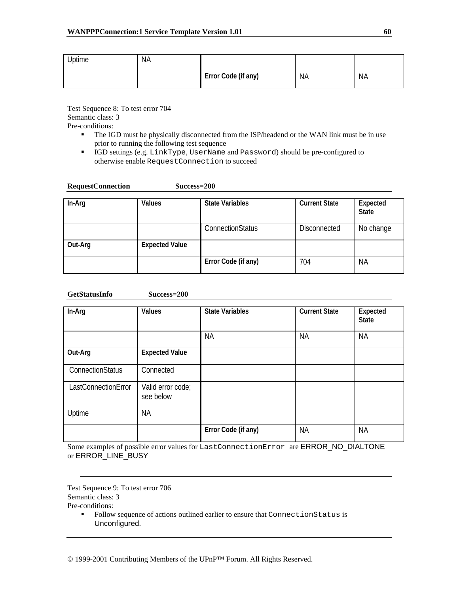| <b>Jptime</b> | <b>NA</b> |                     |           |           |
|---------------|-----------|---------------------|-----------|-----------|
|               |           | Error Code (if any) | <b>NA</b> | <b>NA</b> |

Test Sequence 8: To test error 704 Semantic class: 3 Pre-conditions:

- The IGD must be physically disconnected from the ISP/headend or the WAN link must be in use prior to running the following test sequence
- IGD settings (e.g. LinkType, UserName and Password) should be pre-configured to otherwise enable RequestConnection to succeed

| <b>RequestConnection</b> | Success=200           |                        |                      |                          |
|--------------------------|-----------------------|------------------------|----------------------|--------------------------|
| In-Arg                   | Values                | <b>State Variables</b> | <b>Current State</b> | Expected<br><b>State</b> |
|                          |                       | ConnectionStatus       | <b>Disconnected</b>  | No change                |
| Out-Arg                  | <b>Expected Value</b> |                        |                      |                          |
|                          |                       | Error Code (if any)    | 704                  | <b>NA</b>                |

**GetStatusInfo Success=200** 

| In-Arg                  | Values                         | <b>State Variables</b> | <b>Current State</b> | Expected<br><b>State</b> |
|-------------------------|--------------------------------|------------------------|----------------------|--------------------------|
|                         |                                | <b>NA</b>              | <b>NA</b>            | <b>NA</b>                |
| Out-Arg                 | <b>Expected Value</b>          |                        |                      |                          |
| <b>ConnectionStatus</b> | Connected                      |                        |                      |                          |
| LastConnectionError     | Valid error code;<br>see below |                        |                      |                          |
| Uptime                  | <b>NA</b>                      |                        |                      |                          |
|                         |                                | Error Code (if any)    | <b>NA</b>            | <b>NA</b>                |

Some examples of possible error values for LastConnectionError are ERROR\_NO\_DIALTONE or ERROR\_LINE\_BUSY

Test Sequence 9: To test error 706 Semantic class: 3

Pre-conditions:

 Follow sequence of actions outlined earlier to ensure that ConnectionStatus is Unconfigured.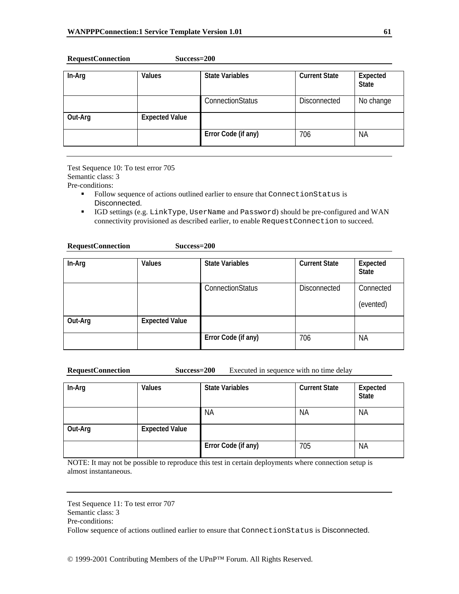| In-Arg  | Values                | <b>State Variables</b> | <b>Current State</b> | Expected<br><b>State</b> |
|---------|-----------------------|------------------------|----------------------|--------------------------|
|         |                       | ConnectionStatus       | <b>Disconnected</b>  | No change                |
| Out-Arg | <b>Expected Value</b> |                        |                      |                          |
|         |                       | Error Code (if any)    | 706                  | <b>NA</b>                |

#### **RequestConnection Success=200**

Test Sequence 10: To test error 705 Semantic class: 3

**RequestConnection Success=200** 

Pre-conditions:

- Follow sequence of actions outlined earlier to ensure that ConnectionStatus is Disconnected.
- IGD settings (e.g. LinkType, UserName and Password) should be pre-configured and WAN connectivity provisioned as described earlier, to enable RequestConnection to succeed.

| In-Arg  | <b>Values</b>         | <b>State Variables</b> | <b>Current State</b> | Expected<br><b>State</b> |
|---------|-----------------------|------------------------|----------------------|--------------------------|
|         |                       | ConnectionStatus       | <b>Disconnected</b>  | Connected<br>(evented)   |
| Out-Arg | <b>Expected Value</b> |                        |                      |                          |
|         |                       | Error Code (if any)    | 706                  | ΝA                       |

**RequestConnection Success=200** Executed in sequence with no time delay

| In-Arg  | <b>Values</b>         | <b>State Variables</b> | <b>Current State</b> | Expected<br><b>State</b> |
|---------|-----------------------|------------------------|----------------------|--------------------------|
|         |                       | <b>NA</b>              | <b>NA</b>            | ΝA                       |
| Out-Arg | <b>Expected Value</b> |                        |                      |                          |
|         |                       | Error Code (if any)    | 705                  | <b>NA</b>                |

NOTE: It may not be possible to reproduce this test in certain deployments where connection setup is almost instantaneous.

Test Sequence 11: To test error 707 Semantic class: 3 Pre-conditions: Follow sequence of actions outlined earlier to ensure that ConnectionStatus is Disconnected.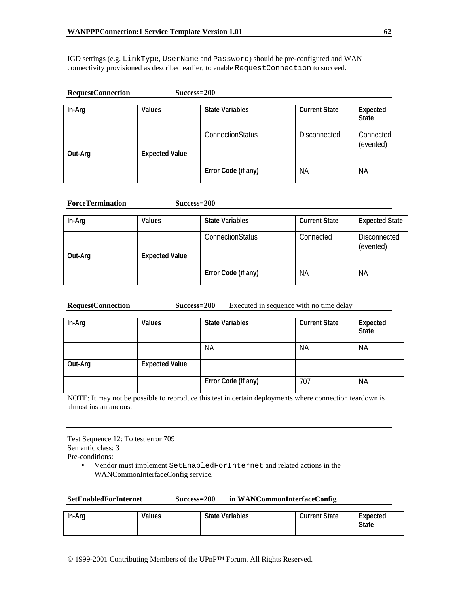IGD settings (e.g. LinkType, UserName and Password) should be pre-configured and WAN connectivity provisioned as described earlier, to enable RequestConnection to succeed.

| <b>RequestConnection</b> | Success=200           |                         |                      |                          |
|--------------------------|-----------------------|-------------------------|----------------------|--------------------------|
| In-Arg                   | Values                | <b>State Variables</b>  | <b>Current State</b> | Expected<br><b>State</b> |
|                          |                       | <b>ConnectionStatus</b> | <b>Disconnected</b>  | Connected<br>(evented)   |
| Out-Arg                  | <b>Expected Value</b> |                         |                      |                          |
|                          |                       | Error Code (if any)     | <b>NA</b>            | <b>NA</b>                |

| <b>ForceTermination</b> |                       | Success=200             |                      |                                  |  |
|-------------------------|-----------------------|-------------------------|----------------------|----------------------------------|--|
| In-Arg                  | Values                | <b>State Variables</b>  | <b>Current State</b> | <b>Expected State</b>            |  |
|                         |                       | <b>ConnectionStatus</b> | Connected            | <b>Disconnected</b><br>(evented) |  |
| Out-Arg                 | <b>Expected Value</b> |                         |                      |                                  |  |
|                         |                       | Error Code (if any)     | ΝA                   | <b>NA</b>                        |  |

**RequestConnection Success=200** Executed in sequence with no time delay

| In-Arg  | <b>Values</b>         | <b>State Variables</b> | <b>Current State</b> | Expected<br><b>State</b> |
|---------|-----------------------|------------------------|----------------------|--------------------------|
|         |                       | <b>NA</b>              | <b>NA</b>            | <b>NA</b>                |
| Out-Arg | <b>Expected Value</b> |                        |                      |                          |
|         |                       | Error Code (if any)    | 707                  | <b>NA</b>                |

NOTE: It may not be possible to reproduce this test in certain deployments where connection teardown is almost instantaneous.

Test Sequence 12: To test error 709 Semantic class: 3

Pre-conditions:

 Vendor must implement SetEnabledForInternet and related actions in the WANCommonInterfaceConfig service.

| In-Arg | Values | <b>State Variables</b> | <b>Current State</b> | Expected<br><b>State</b> |
|--------|--------|------------------------|----------------------|--------------------------|
|--------|--------|------------------------|----------------------|--------------------------|

© 1999-2001 Contributing Members of the UPnP™ Forum. All Rights Reserved.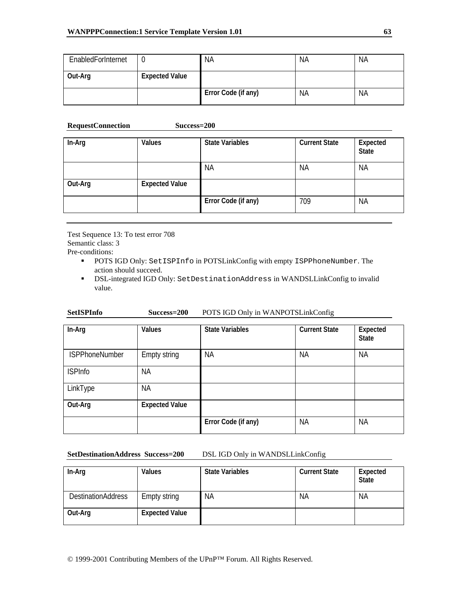| EnabledForInternet |                       | <b>NA</b>           | <b>NA</b> | <b>NA</b> |
|--------------------|-----------------------|---------------------|-----------|-----------|
| Out-Arg            | <b>Expected Value</b> |                     |           |           |
|                    |                       | Error Code (if any) | <b>NA</b> | <b>NA</b> |

#### **RequestConnection Success=200**

| In-Arg  | Values                | <b>State Variables</b> | <b>Current State</b> | Expected<br><b>State</b> |
|---------|-----------------------|------------------------|----------------------|--------------------------|
|         |                       | <b>NA</b>              | <b>NA</b>            | <b>NA</b>                |
| Out-Arg | <b>Expected Value</b> |                        |                      |                          |
|         |                       | Error Code (if any)    | 709                  | <b>NA</b>                |

Test Sequence 13: To test error 708 Semantic class: 3

Pre-conditions:

- POTS IGD Only: SetISPInfo in POTSLinkConfig with empty ISPPhoneNumber. The action should succeed.
- DSL-integrated IGD Only: SetDestinationAddress in WANDSLLinkConfig to invalid value.

| <b>SetISPInfo</b> | Success=200 | POTS IGD Only in WANPOTSLinkConfig |
|-------------------|-------------|------------------------------------|
|                   |             |                                    |

| In-Arg                | Values                | <b>State Variables</b> | <b>Current State</b> | Expected<br><b>State</b> |
|-----------------------|-----------------------|------------------------|----------------------|--------------------------|
| <b>ISPPhoneNumber</b> | Empty string          | <b>NA</b>              | <b>NA</b>            | <b>NA</b>                |
| <b>ISPInfo</b>        | <b>NA</b>             |                        |                      |                          |
| LinkType              | <b>NA</b>             |                        |                      |                          |
| Out-Arg               | <b>Expected Value</b> |                        |                      |                          |
|                       |                       | Error Code (if any)    | <b>NA</b>            | <b>NA</b>                |

#### **SetDestinationAddress Success=200** DSL IGD Only in WANDSLLinkConfig

In-Arg **Values** State Variables Current State Expected **State**  DestinationAddress Empty string NA NA NA NA NA **Out-Arg Expected Value**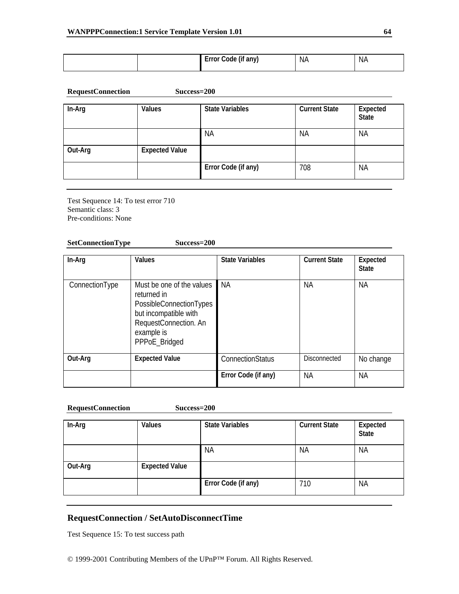|  | <br>. <del>.</del><br>anv<br>900 ) (م)<br>6 H<br>. .<br>$\sim$ $\sim$ | NA. | NA. |
|--|-----------------------------------------------------------------------|-----|-----|
|  |                                                                       |     |     |

| <b>RequestConnection</b> | $Success=200$ |
|--------------------------|---------------|
|--------------------------|---------------|

| In-Arg  | <b>Values</b>         | <b>State Variables</b> | <b>Current State</b> | Expected<br><b>State</b> |
|---------|-----------------------|------------------------|----------------------|--------------------------|
|         |                       | <b>NA</b>              | <b>NA</b>            | <b>NA</b>                |
| Out-Arg | <b>Expected Value</b> |                        |                      |                          |
|         |                       | Error Code (if any)    | 708                  | ΝA                       |

Test Sequence 14: To test error 710 Semantic class: 3 Pre-conditions: None

### **SetConnectionType Success=200**

| In-Arg         | Values                                                                                                                                               | <b>State Variables</b> | <b>Current State</b> | Expected<br><b>State</b> |
|----------------|------------------------------------------------------------------------------------------------------------------------------------------------------|------------------------|----------------------|--------------------------|
| ConnectionType | Must be one of the values<br>returned in<br>PossibleConnectionTypes<br>but incompatible with<br>RequestConnection. An<br>example is<br>PPPoE_Bridged | ΝA                     | NА                   | ΝA                       |
| Out-Arg        | <b>Expected Value</b>                                                                                                                                | ConnectionStatus       | <b>Disconnected</b>  | No change                |
|                |                                                                                                                                                      | Error Code (if any)    | NА                   | <b>NA</b>                |

#### **RequestConnection Success=200**

| In-Arg  | Values                | <b>State Variables</b> | <b>Current State</b> | Expected<br><b>State</b> |
|---------|-----------------------|------------------------|----------------------|--------------------------|
|         |                       | <b>NA</b>              | <b>NA</b>            | <b>NA</b>                |
| Out-Arg | <b>Expected Value</b> |                        |                      |                          |
|         |                       | Error Code (if any)    | 710                  | <b>NA</b>                |

# **RequestConnection / SetAutoDisconnectTime**

Test Sequence 15: To test success path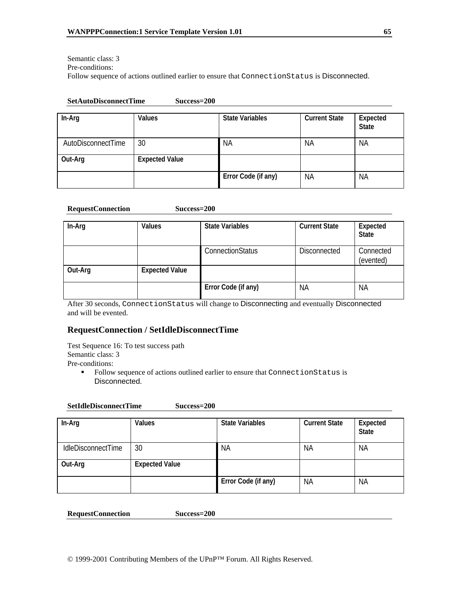Semantic class: 3 Pre-conditions:

Follow sequence of actions outlined earlier to ensure that ConnectionStatus is Disconnected.

#### **SetAutoDisconnectTime Success=200**

| In-Arg             | <b>Values</b>         | <b>State Variables</b> | <b>Current State</b> | Expected<br><b>State</b> |
|--------------------|-----------------------|------------------------|----------------------|--------------------------|
| AutoDisconnectTime | 30                    | <b>NA</b>              | <b>NA</b>            | <b>NA</b>                |
| Out-Arg            | <b>Expected Value</b> |                        |                      |                          |
|                    |                       | Error Code (if any)    | <b>NA</b>            | <b>NA</b>                |

#### **RequestConnection Success=200**

| In-Arg  | Values                | <b>State Variables</b>  | <b>Current State</b> | Expected<br><b>State</b> |
|---------|-----------------------|-------------------------|----------------------|--------------------------|
|         |                       | <b>ConnectionStatus</b> | Disconnected         | Connected<br>(evented)   |
| Out-Arg | <b>Expected Value</b> |                         |                      |                          |
|         |                       | Error Code (if any)     | ΝA                   | <b>NA</b>                |

After 30 seconds, ConnectionStatus will change to Disconnecting and eventually Disconnected and will be evented.

## **RequestConnection / SetIdleDisconnectTime**

Test Sequence 16: To test success path Semantic class: 3 Pre-conditions:

> Follow sequence of actions outlined earlier to ensure that ConnectionStatus is Disconnected.

#### **SetIdleDisconnectTime Success=200**

| In-Arg                    | <b>Values</b>         | <b>State Variables</b> | <b>Current State</b> | Expected<br><b>State</b> |
|---------------------------|-----------------------|------------------------|----------------------|--------------------------|
| <b>IdleDisconnectTime</b> | 30                    | <b>NA</b>              | <b>NA</b>            | <b>NA</b>                |
| Out-Arg                   | <b>Expected Value</b> |                        |                      |                          |
|                           |                       | Error Code (if any)    | ΝA                   | <b>NA</b>                |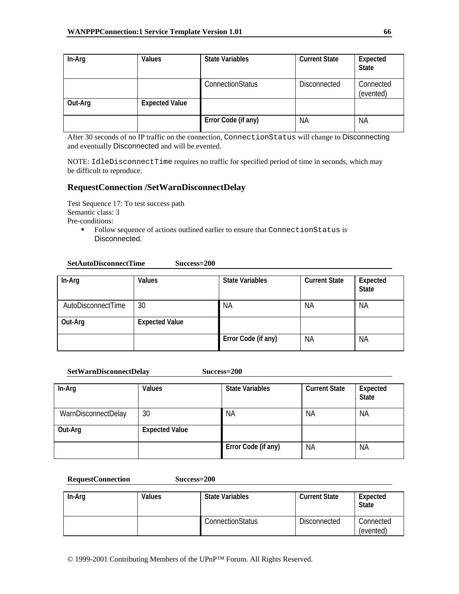| In-Arg  | Values                | <b>State Variables</b>  | <b>Current State</b> | Expected<br><b>State</b> |
|---------|-----------------------|-------------------------|----------------------|--------------------------|
|         |                       | <b>ConnectionStatus</b> | Disconnected         | Connected<br>(evented)   |
| Out-Arg | <b>Expected Value</b> |                         |                      |                          |
|         |                       | Error Code (if any)     | <b>NA</b>            | <b>NA</b>                |

After 30 seconds of no IP traffic on the connection, ConnectionStatus will change to Disconnecting and eventually Disconnected and will be evented.

NOTE: IdleDisconnectTime requires no traffic for specified period of time in seconds, which may be difficult to reproduce.

## **RequestConnection /SetWarnDisconnectDelay**

Test Sequence 17: To test success path Semantic class: 3 Pre-conditions:

> Follow sequence of actions outlined earlier to ensure that ConnectionStatus is Disconnected.

#### **SetAutoDisconnectTime Success=200**

| In-Arg             | <b>Values</b>         | <b>State Variables</b> | <b>Current State</b> | Expected<br><b>State</b> |
|--------------------|-----------------------|------------------------|----------------------|--------------------------|
| AutoDisconnectTime | 30                    | <b>NA</b>              | <b>NA</b>            | <b>NA</b>                |
| Out-Arg            | <b>Expected Value</b> |                        |                      |                          |
|                    |                       | Error Code (if any)    | <b>NA</b>            | <b>NA</b>                |

#### **SetWarnDisconnectDelay Success=200**

| In-Arg              | <b>Values</b>         | <b>State Variables</b> | <b>Current State</b> | Expected<br><b>State</b> |
|---------------------|-----------------------|------------------------|----------------------|--------------------------|
| WarnDisconnectDelay | 30                    | <b>NA</b>              | <b>NA</b>            | <b>NA</b>                |
| Out-Arg             | <b>Expected Value</b> |                        |                      |                          |
|                     |                       | Error Code (if any)    | <b>NA</b>            | <b>NA</b>                |

| In-Arg | Values | <b>State Variables</b> | <b>Current State</b> | Expected<br><b>State</b> |
|--------|--------|------------------------|----------------------|--------------------------|
|        |        | ConnectionStatus       | <b>Disconnected</b>  | Connected<br>(evented)   |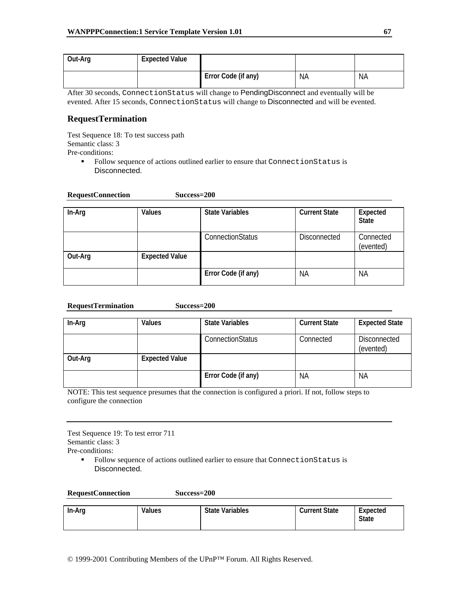| Out-Arg | <b>Expected Value</b> |                     |    |    |
|---------|-----------------------|---------------------|----|----|
|         |                       | Error Code (if any) | ΝA | ΝA |

After 30 seconds, ConnectionStatus will change to PendingDisconnect and eventually will be evented. After 15 seconds, ConnectionStatus will change to Disconnected and will be evented.

## **RequestTermination**

Test Sequence 18: To test success path Semantic class: 3 Pre-conditions:

> Follow sequence of actions outlined earlier to ensure that ConnectionStatus is Disconnected.

| <b>RequestConnection</b> | Success=200 |
|--------------------------|-------------|
|                          |             |

| In-Arg  | <b>Values</b>         | <b>State Variables</b> | <b>Current State</b> | Expected<br><b>State</b> |
|---------|-----------------------|------------------------|----------------------|--------------------------|
|         |                       | ConnectionStatus       | Disconnected         | Connected<br>(evented)   |
| Out-Arg | <b>Expected Value</b> |                        |                      |                          |
|         |                       | Error Code (if any)    | <b>NA</b>            | <b>NA</b>                |

| Success=200<br><b>RequestTermination</b> |  |
|------------------------------------------|--|
|------------------------------------------|--|

| In-Arg  | Values                | <b>State Variables</b>  | <b>Current State</b> | <b>Expected State</b>     |
|---------|-----------------------|-------------------------|----------------------|---------------------------|
|         |                       | <b>ConnectionStatus</b> | Connected            | Disconnected<br>(evented) |
| Out-Arg | <b>Expected Value</b> |                         |                      |                           |
|         |                       | Error Code (if any)     | <b>NA</b>            | <b>NA</b>                 |

NOTE: This test sequence presumes that the connection is configured a priori. If not, follow steps to configure the connection

Test Sequence 19: To test error 711 Semantic class: 3

Pre-conditions:

 Follow sequence of actions outlined earlier to ensure that ConnectionStatus is Disconnected.

| In-Arg | Values | <b>State Variables</b> | <b>Current State</b> | Expected<br><b>State</b> |
|--------|--------|------------------------|----------------------|--------------------------|
|        |        |                        |                      |                          |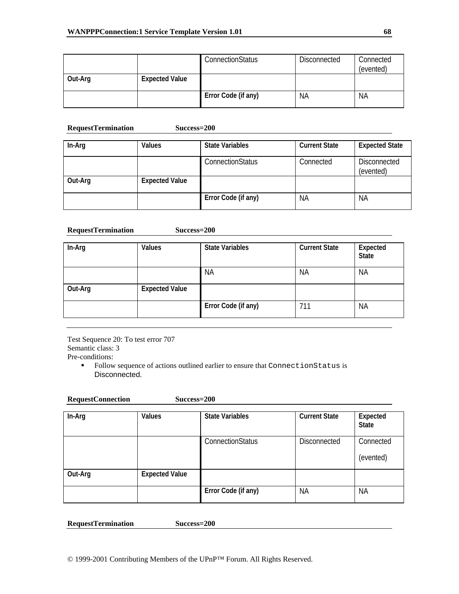|         |                       | ConnectionStatus    | Disconnected | Connected<br>(evented) |
|---------|-----------------------|---------------------|--------------|------------------------|
| Out-Arg | <b>Expected Value</b> |                     |              |                        |
|         |                       | Error Code (if any) | <b>NA</b>    | <b>NA</b>              |

#### **RequestTermination Success=200**

| In-Arg  | Values                | <b>State Variables</b>  | <b>Current State</b> | <b>Expected State</b>            |
|---------|-----------------------|-------------------------|----------------------|----------------------------------|
|         |                       | <b>ConnectionStatus</b> | Connected            | <b>Disconnected</b><br>(evented) |
| Out-Arg | <b>Expected Value</b> |                         |                      |                                  |
|         |                       | Error Code (if any)     | ΝA                   | ΝA                               |

#### **RequestTermination Success=200**

| In-Arg  | Values                | <b>State Variables</b> | <b>Current State</b> | Expected<br>State |
|---------|-----------------------|------------------------|----------------------|-------------------|
|         |                       | <b>NA</b>              | <b>NA</b>            | <b>NA</b>         |
| Out-Arg | <b>Expected Value</b> |                        |                      |                   |
|         |                       | Error Code (if any)    | 711                  | <b>NA</b>         |

Test Sequence 20: To test error 707 Semantic class: 3

Pre-conditions:

 Follow sequence of actions outlined earlier to ensure that ConnectionStatus is Disconnected.

| In-Arg  | Values                | <b>State Variables</b> | <b>Current State</b> | Expected<br><b>State</b> |
|---------|-----------------------|------------------------|----------------------|--------------------------|
|         |                       | ConnectionStatus       | <b>Disconnected</b>  | Connected<br>(evented)   |
| Out-Arg | <b>Expected Value</b> |                        |                      |                          |
|         |                       | Error Code (if any)    | <b>NA</b>            | <b>NA</b>                |

**RequestTermination Success=200**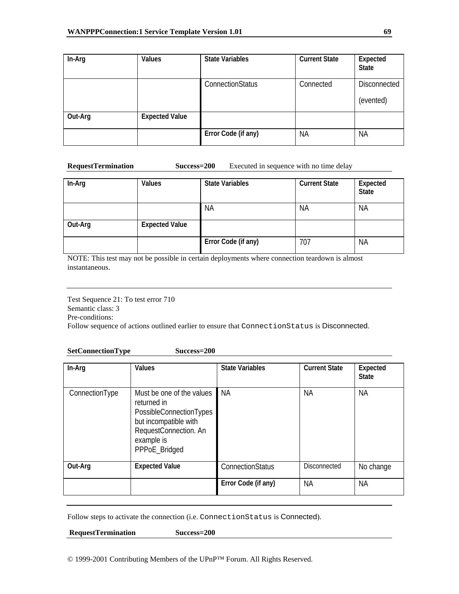| In-Arg  | Values                | <b>State Variables</b> | <b>Current State</b> | Expected<br><b>State</b>         |
|---------|-----------------------|------------------------|----------------------|----------------------------------|
|         |                       | ConnectionStatus       | Connected            | <b>Disconnected</b><br>(evented) |
| Out-Arg | <b>Expected Value</b> |                        |                      |                                  |
|         |                       | Error Code (if any)    | <b>NA</b>            | <b>NA</b>                        |

#### **RequestTermination Success=200** Executed in sequence with no time delay

| In-Arg  | Values                | <b>State Variables</b> | <b>Current State</b> | Expected<br><b>State</b> |
|---------|-----------------------|------------------------|----------------------|--------------------------|
|         |                       | <b>NA</b>              | ΝA                   | <b>NA</b>                |
| Out-Arg | <b>Expected Value</b> |                        |                      |                          |
|         |                       | Error Code (if any)    | 707                  | <b>NA</b>                |

NOTE: This test may not be possible in certain deployments where connection teardown is almost instantaneous.

Test Sequence 21: To test error 710 Semantic class: 3 Pre-conditions: Follow sequence of actions outlined earlier to ensure that ConnectionStatus is Disconnected.

### **SetConnectionType Success=200**

| In-Arg         | Values                                                                                                                                               | <b>State Variables</b> | <b>Current State</b> | Expected<br><b>State</b> |
|----------------|------------------------------------------------------------------------------------------------------------------------------------------------------|------------------------|----------------------|--------------------------|
| ConnectionType | Must be one of the values<br>returned in<br>PossibleConnectionTypes<br>but incompatible with<br>RequestConnection. An<br>example is<br>PPPoE_Bridged | ΝA                     | NА                   | ΝA                       |
| Out-Arg        | <b>Expected Value</b>                                                                                                                                | ConnectionStatus       | <b>Disconnected</b>  | No change                |
|                |                                                                                                                                                      | Error Code (if any)    | <b>NA</b>            | <b>NA</b>                |

Follow steps to activate the connection (i.e. ConnectionStatus is Connected).

 **RequestTermination Success=200** 

© 1999-2001 Contributing Members of the UPnP™ Forum. All Rights Reserved.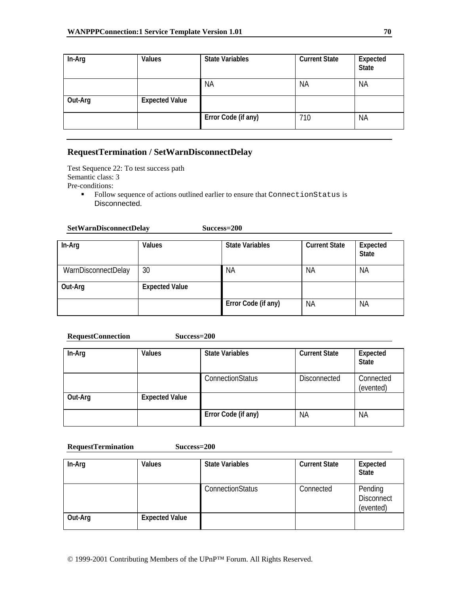| In-Arg  | Values                | <b>State Variables</b> | <b>Current State</b> | Expected<br><b>State</b> |
|---------|-----------------------|------------------------|----------------------|--------------------------|
|         |                       | <b>NA</b>              | <b>NA</b>            | <b>NA</b>                |
| Out-Arg | <b>Expected Value</b> |                        |                      |                          |
|         |                       | Error Code (if any)    | 710                  | <b>NA</b>                |

# **RequestTermination / SetWarnDisconnectDelay**

Test Sequence 22: To test success path Semantic class: 3 Pre-conditions:

 Follow sequence of actions outlined earlier to ensure that ConnectionStatus is Disconnected.

Success=200

| In-Arg              | Values                | <b>State Variables</b> | <b>Current State</b> | Expected<br><b>State</b> |
|---------------------|-----------------------|------------------------|----------------------|--------------------------|
| WarnDisconnectDelay | 30                    | <b>NA</b>              | <b>NA</b>            | <b>NA</b>                |
| Out-Arg             | <b>Expected Value</b> |                        |                      |                          |
|                     |                       | Error Code (if any)    | <b>NA</b>            | <b>NA</b>                |

#### **RequestConnection Success=200**

| In-Arg  | Values                | <b>State Variables</b> | <b>Current State</b> | Expected<br><b>State</b> |
|---------|-----------------------|------------------------|----------------------|--------------------------|
|         |                       | ConnectionStatus       | <b>Disconnected</b>  | Connected<br>(evented)   |
| Out-Arg | <b>Expected Value</b> |                        |                      |                          |
|         |                       | Error Code (if any)    | <b>NA</b>            | <b>NA</b>                |

## **RequestTermination Success=200**

| In-Arg  | Values                | <b>State Variables</b>  | <b>Current State</b> | Expected<br><b>State</b>                  |
|---------|-----------------------|-------------------------|----------------------|-------------------------------------------|
|         |                       | <b>ConnectionStatus</b> | Connected            | Pending<br><b>Disconnect</b><br>(evented) |
| Out-Arg | <b>Expected Value</b> |                         |                      |                                           |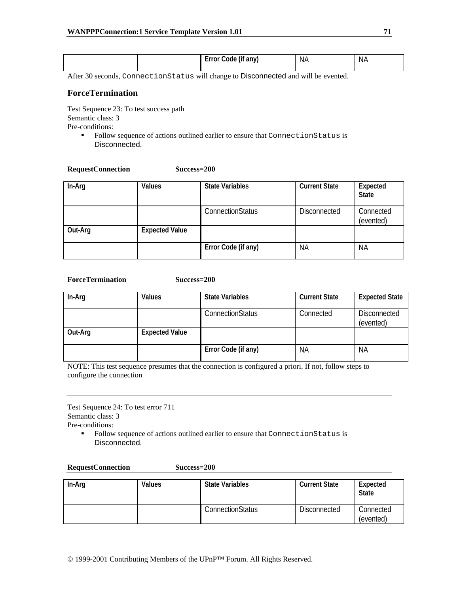| $\cdots$<br><b>NA</b><br>-----<br>Code<br>any)<br>(IT<br>NА<br><b>E</b> rror<br>$\sim$ $\sim$ |  |
|-----------------------------------------------------------------------------------------------|--|
|-----------------------------------------------------------------------------------------------|--|

After 30 seconds, ConnectionStatus will change to Disconnected and will be evented.

## **ForceTermination**

Test Sequence 23: To test success path Semantic class: 3 Pre-conditions:

**RequestConnection Success=200** 

Follow sequence of actions outlined earlier to ensure that ConnectionStatus is Disconnected.

| In-Arg  | Values                | <b>State Variables</b> | <b>Current State</b> | Expected<br><b>State</b> |
|---------|-----------------------|------------------------|----------------------|--------------------------|
|         |                       | ConnectionStatus       | <b>Disconnected</b>  | Connected<br>(evented)   |
| Out-Arg | <b>Expected Value</b> |                        |                      |                          |
|         |                       | Error Code (if any)    | <b>NA</b>            | <b>NA</b>                |

#### **ForceTermination Success=200**

| In-Arg  | Values                | <b>State Variables</b> | <b>Current State</b> | <b>Expected State</b>            |
|---------|-----------------------|------------------------|----------------------|----------------------------------|
|         |                       | ConnectionStatus       | Connected            | <b>Disconnected</b><br>(evented) |
| Out-Arg | <b>Expected Value</b> |                        |                      |                                  |
|         |                       | Error Code (if any)    | <b>NA</b>            | <b>NA</b>                        |

NOTE: This test sequence presumes that the connection is configured a priori. If not, follow steps to configure the connection

Test Sequence 24: To test error 711 Semantic class: 3

Pre-conditions:

Follow sequence of actions outlined earlier to ensure that ConnectionStatus is Disconnected.

| <b>RequestConnection</b> | Success=200 |
|--------------------------|-------------|
|--------------------------|-------------|

| In-Arg | Values | <b>State Variables</b> | <b>Current State</b> | Expected<br><b>State</b> |
|--------|--------|------------------------|----------------------|--------------------------|
|        |        | ConnectionStatus       | Disconnected         | Connected<br>(evented)   |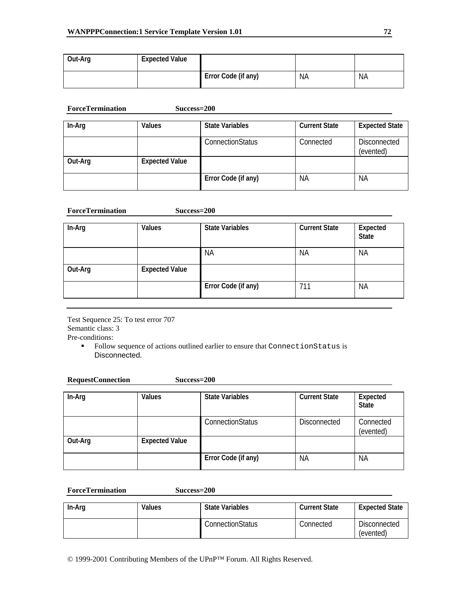| Out-Arg | <b>Expected Value</b> |                     |           |           |
|---------|-----------------------|---------------------|-----------|-----------|
|         |                       | Error Code (if any) | <b>NA</b> | <b>NA</b> |

| <b>ForceTermination</b> | $Success=200$         |                        |                      |                                  |
|-------------------------|-----------------------|------------------------|----------------------|----------------------------------|
| In-Arg                  | Values                | <b>State Variables</b> | <b>Current State</b> | <b>Expected State</b>            |
|                         |                       | ConnectionStatus       | Connected            | <b>Disconnected</b><br>(evented) |
| Out-Arg                 | <b>Expected Value</b> |                        |                      |                                  |
|                         |                       | Error Code (if any)    | <b>NA</b>            | <b>NA</b>                        |

#### **ForceTermination Success=200**

| In-Arg  | Values                | <b>State Variables</b> | <b>Current State</b> | Expected<br><b>State</b> |
|---------|-----------------------|------------------------|----------------------|--------------------------|
|         |                       | <b>NA</b>              | <b>NA</b>            | <b>NA</b>                |
| Out-Arg | <b>Expected Value</b> |                        |                      |                          |
|         |                       | Error Code (if any)    | 711                  | <b>NA</b>                |

Test Sequence 25: To test error 707 Semantic class: 3 Pre-conditions:

> Follow sequence of actions outlined earlier to ensure that ConnectionStatus is Disconnected.

| <b>RequestConnection</b> | $Success=200$         |                         |                      |                          |
|--------------------------|-----------------------|-------------------------|----------------------|--------------------------|
| In-Arg                   | Values                | <b>State Variables</b>  | <b>Current State</b> | Expected<br><b>State</b> |
|                          |                       | <b>ConnectionStatus</b> | <b>Disconnected</b>  | Connected<br>(evented)   |
| Out-Arg                  | <b>Expected Value</b> |                         |                      |                          |
|                          |                       | Error Code (if any)     | <b>NA</b>            | <b>NA</b>                |

**ForceTermination Success=200** 

| In-Arg | Values | <b>State Variables</b> | <b>Current State</b> | <b>Expected State</b>            |
|--------|--------|------------------------|----------------------|----------------------------------|
|        |        | ConnectionStatus       | Connected            | <b>Disconnected</b><br>(evented) |

© 1999-2001 Contributing Members of the UPnP™ Forum. All Rights Reserved.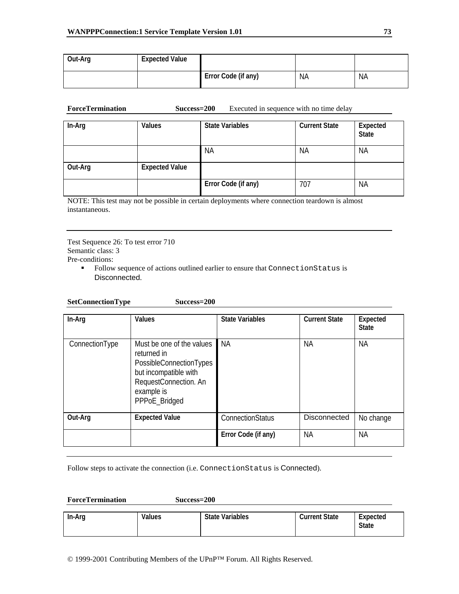| Out-Arg | <b>Expected Value</b> |                     |           |    |
|---------|-----------------------|---------------------|-----------|----|
|         |                       | Error Code (if any) | <b>NA</b> | NA |

| <b>ForceTermination</b><br>Success=200 | Executed in sequence with no time delay |
|----------------------------------------|-----------------------------------------|
|----------------------------------------|-----------------------------------------|

| In-Arg  | Values                | <b>State Variables</b> | <b>Current State</b> | Expected<br><b>State</b> |
|---------|-----------------------|------------------------|----------------------|--------------------------|
|         |                       | <b>NA</b>              | <b>NA</b>            | <b>NA</b>                |
| Out-Arg | <b>Expected Value</b> |                        |                      |                          |
|         |                       | Error Code (if any)    | 707                  | <b>NA</b>                |

NOTE: This test may not be possible in certain deployments where connection teardown is almost instantaneous.

Test Sequence 26: To test error 710 Semantic class: 3 Pre-conditions:

> Follow sequence of actions outlined earlier to ensure that ConnectionStatus is Disconnected.

**SetConnectionType Success=200** 

| In-Arg         | Values                                                                                                                                               | <b>State Variables</b> | <b>Current State</b> | Expected<br><b>State</b> |
|----------------|------------------------------------------------------------------------------------------------------------------------------------------------------|------------------------|----------------------|--------------------------|
| ConnectionType | Must be one of the values<br>returned in<br>PossibleConnectionTypes<br>but incompatible with<br>RequestConnection. An<br>example is<br>PPPoE_Bridged | <b>NA</b>              | NА                   | NA.                      |
| Out-Arg        | <b>Expected Value</b>                                                                                                                                | ConnectionStatus       | Disconnected         | No change                |
|                |                                                                                                                                                      | Error Code (if any)    | ΝA                   | ΝA                       |

Follow steps to activate the connection (i.e. ConnectionStatus is Connected).

**ForceTermination Success=200** 

| In-Arg | Values | <b>State Variables</b> | <b>Current State</b> | Expected<br><b>State</b> |
|--------|--------|------------------------|----------------------|--------------------------|
|--------|--------|------------------------|----------------------|--------------------------|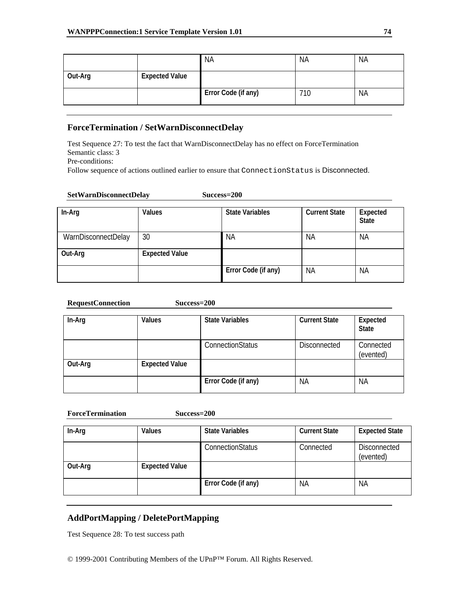|         |                       | <b>NA</b>           | <b>NA</b> | <b>NA</b> |
|---------|-----------------------|---------------------|-----------|-----------|
| Out-Arg | <b>Expected Value</b> |                     |           |           |
|         |                       | Error Code (if any) | 710       | <b>NA</b> |

## **ForceTermination / SetWarnDisconnectDelay**

Test Sequence 27: To test the fact that WarnDisconnectDelay has no effect on ForceTermination Semantic class: 3

Pre-conditions:

Follow sequence of actions outlined earlier to ensure that ConnectionStatus is Disconnected.

### **SetWarnDisconnectDelay Success=200**

| In-Arg              | <b>Values</b>         | <b>State Variables</b> | <b>Current State</b> | Expected<br><b>State</b> |
|---------------------|-----------------------|------------------------|----------------------|--------------------------|
| WarnDisconnectDelay | 30                    | ΝA                     | <b>NA</b>            | <b>NA</b>                |
| Out-Arg             | <b>Expected Value</b> |                        |                      |                          |
|                     |                       | Error Code (if any)    | <b>NA</b>            | <b>NA</b>                |

#### **RequestConnection Success=200**

| In-Arg  | Values                | <b>State Variables</b>  | <b>Current State</b> | Expected<br><b>State</b> |
|---------|-----------------------|-------------------------|----------------------|--------------------------|
|         |                       | <b>ConnectionStatus</b> | <b>Disconnected</b>  | Connected<br>(evented)   |
| Out-Arg | <b>Expected Value</b> |                         |                      |                          |
|         |                       | Error Code (if any)     | ΝA                   | <b>NA</b>                |

| <b>ForceTermination</b> | Success=200           |                        |                      |                                  |
|-------------------------|-----------------------|------------------------|----------------------|----------------------------------|
| In-Arg                  | <b>Values</b>         | <b>State Variables</b> | <b>Current State</b> | <b>Expected State</b>            |
|                         |                       | ConnectionStatus       | Connected            | <b>Disconnected</b><br>(evented) |
| Out-Arg                 | <b>Expected Value</b> |                        |                      |                                  |
|                         |                       | Error Code (if any)    | <b>NA</b>            | <b>NA</b>                        |

# **AddPortMapping / DeletePortMapping**

Test Sequence 28: To test success path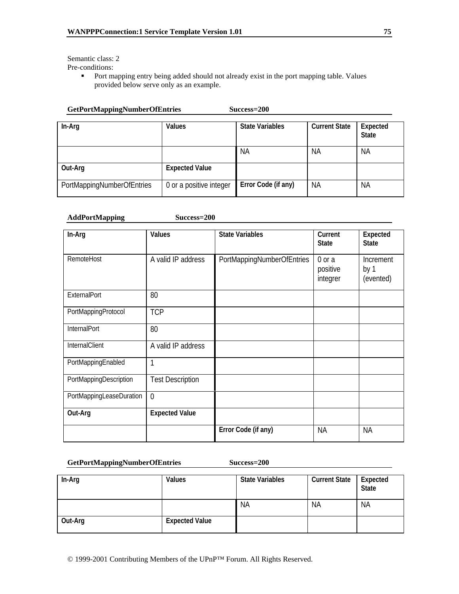Semantic class: 2 Pre-conditions:

> **Port mapping entry being added should not already exist in the port mapping table. Values** provided below serve only as an example.

| <b>GetPortMappingNumberOfEntries</b><br>Success=200 |                         |                        |                      |                          |
|-----------------------------------------------------|-------------------------|------------------------|----------------------|--------------------------|
| In-Arg                                              | Values                  | <b>State Variables</b> | <b>Current State</b> | Expected<br><b>State</b> |
|                                                     |                         | <b>NA</b>              | ΝA                   | NA                       |
| Out-Arg                                             | <b>Expected Value</b>   |                        |                      |                          |
| PortMappingNumberOfEntries                          | 0 or a positive integer | Error Code (if any)    | ΝA                   | <b>NA</b>                |

#### **AddPortMapping Success=200**

| In-Arg                   | Values                  | <b>State Variables</b>     | Current<br><b>State</b>        | Expected<br><b>State</b>       |
|--------------------------|-------------------------|----------------------------|--------------------------------|--------------------------------|
| RemoteHost               | A valid IP address      | PortMappingNumberOfEntries | 0 or a<br>positive<br>integrer | Increment<br>by 1<br>(evented) |
| ExternalPort             | 80                      |                            |                                |                                |
| PortMappingProtocol      | <b>TCP</b>              |                            |                                |                                |
| InternalPort             | 80                      |                            |                                |                                |
| InternalClient           | A valid IP address      |                            |                                |                                |
| PortMappingEnabled       | 1                       |                            |                                |                                |
| PortMappingDescription   | <b>Test Description</b> |                            |                                |                                |
| PortMappingLeaseDuration | $\overline{0}$          |                            |                                |                                |
| Out-Arg                  | <b>Expected Value</b>   |                            |                                |                                |
|                          |                         | Error Code (if any)        | <b>NA</b>                      | <b>NA</b>                      |

#### **GetPortMappingNumberOfEntries Success=200**

| In-Arg  | Values                | <b>State Variables</b> | <b>Current State</b> | Expected<br><b>State</b> |
|---------|-----------------------|------------------------|----------------------|--------------------------|
|         |                       | <b>NA</b>              | <b>NA</b>            | <b>NA</b>                |
| Out-Arg | <b>Expected Value</b> |                        |                      |                          |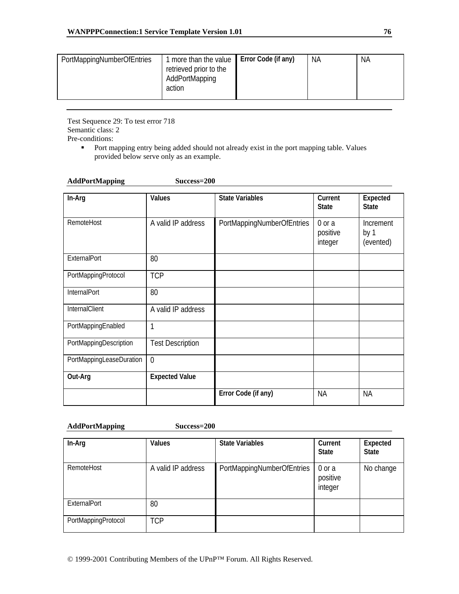| PortMappingNumberOfEntries<br>more than the value<br>retrieved prior to the<br>AddPortMapping<br>action | Error Code (if any) | ΝA | <b>NA</b> |
|---------------------------------------------------------------------------------------------------------|---------------------|----|-----------|
|---------------------------------------------------------------------------------------------------------|---------------------|----|-----------|

Test Sequence 29: To test error 718 Semantic class: 2 Pre-conditions:

> **Port mapping entry being added should not already exist in the port mapping table. Values** provided below serve only as an example.

| <b>AddPortMapping</b> |  |
|-----------------------|--|
|-----------------------|--|

Success=200

| In-Arg                   | Values                  | <b>State Variables</b>     | Current<br><b>State</b>           | Expected<br><b>State</b>              |
|--------------------------|-------------------------|----------------------------|-----------------------------------|---------------------------------------|
| RemoteHost               | A valid IP address      | PortMappingNumberOfEntries | $0$ or $a$<br>positive<br>integer | <b>Increment</b><br>by 1<br>(evented) |
| ExternalPort             | 80                      |                            |                                   |                                       |
| PortMappingProtocol      | <b>TCP</b>              |                            |                                   |                                       |
| InternalPort             | 80                      |                            |                                   |                                       |
| InternalClient           | A valid IP address      |                            |                                   |                                       |
| PortMappingEnabled       | 1                       |                            |                                   |                                       |
| PortMappingDescription   | <b>Test Description</b> |                            |                                   |                                       |
| PortMappingLeaseDuration | $\overline{0}$          |                            |                                   |                                       |
| Out-Arg                  | <b>Expected Value</b>   |                            |                                   |                                       |
|                          |                         | Error Code (if any)        | <b>NA</b>                         | <b>NA</b>                             |

#### **AddPortMapping Success=200**

| In-Arg              | <b>Values</b>      | <b>State Variables</b>     | Current<br><b>State</b>       | Expected<br><b>State</b> |
|---------------------|--------------------|----------------------------|-------------------------------|--------------------------|
| RemoteHost          | A valid IP address | PortMappingNumberOfEntries | 0 or a<br>positive<br>integer | No change                |
| <b>ExternalPort</b> | 80                 |                            |                               |                          |
| PortMappingProtocol | <b>TCP</b>         |                            |                               |                          |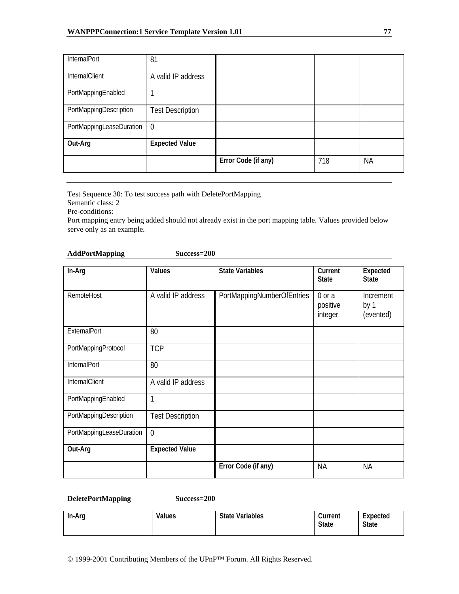| InternalPort             | 81                      |                     |     |           |
|--------------------------|-------------------------|---------------------|-----|-----------|
| InternalClient           | A valid IP address      |                     |     |           |
| PortMappingEnabled       |                         |                     |     |           |
| PortMappingDescription   | <b>Test Description</b> |                     |     |           |
| PortMappingLeaseDuration | $\overline{0}$          |                     |     |           |
| Out-Arg                  | <b>Expected Value</b>   |                     |     |           |
|                          |                         | Error Code (if any) | 718 | <b>NA</b> |

Test Sequence 30: To test success path with DeletePortMapping

Semantic class: 2

Pre-conditions:

Port mapping entry being added should not already exist in the port mapping table. Values provided below serve only as an example.

### **AddPortMapping Success=200**

| In-Arg                   | Values                  | <b>State Variables</b>     | Current<br><b>State</b>           | Expected<br><b>State</b>       |
|--------------------------|-------------------------|----------------------------|-----------------------------------|--------------------------------|
| RemoteHost               | A valid IP address      | PortMappingNumberOfEntries | $0$ or $a$<br>positive<br>integer | Increment<br>by 1<br>(evented) |
| ExternalPort             | 80                      |                            |                                   |                                |
| PortMappingProtocol      | <b>TCP</b>              |                            |                                   |                                |
| InternalPort             | 80                      |                            |                                   |                                |
| InternalClient           | A valid IP address      |                            |                                   |                                |
| PortMappingEnabled       | 1                       |                            |                                   |                                |
| PortMappingDescription   | <b>Test Description</b> |                            |                                   |                                |
| PortMappingLeaseDuration | $\overline{0}$          |                            |                                   |                                |
| Out-Arg                  | <b>Expected Value</b>   |                            |                                   |                                |
|                          |                         | Error Code (if any)        | <b>NA</b>                         | <b>NA</b>                      |

#### **DeletePortMapping Success=200**

| In-Arg | Values | <b>State Variables</b> | Current<br><b>State</b> | Expected<br><b>State</b> |
|--------|--------|------------------------|-------------------------|--------------------------|
|--------|--------|------------------------|-------------------------|--------------------------|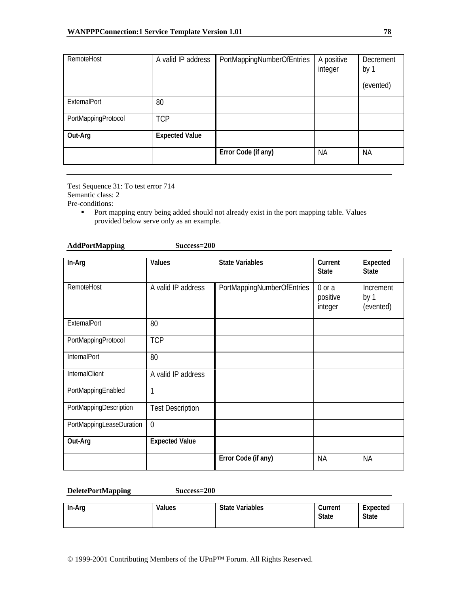| RemoteHost          | A valid IP address    | PortMappingNumberOfEntries | A positive<br>integer | Decrement<br>by 1 |
|---------------------|-----------------------|----------------------------|-----------------------|-------------------|
|                     |                       |                            |                       | (evented)         |
| <b>ExternalPort</b> | 80                    |                            |                       |                   |
| PortMappingProtocol | <b>TCP</b>            |                            |                       |                   |
| Out-Arg             | <b>Expected Value</b> |                            |                       |                   |
|                     |                       | Error Code (if any)        | <b>NA</b>             | <b>NA</b>         |

Test Sequence 31: To test error 714 Semantic class: 2 Pre-conditions:

> **Port mapping entry being added should not already exist in the port mapping table. Values** provided below serve only as an example.

| <b>AddPortMapping</b> | Success=200 |
|-----------------------|-------------|
|                       |             |

| In-Arg                   | Values                  | <b>State Variables</b>     | Current<br><b>State</b>       | Expected<br><b>State</b>       |
|--------------------------|-------------------------|----------------------------|-------------------------------|--------------------------------|
| RemoteHost               | A valid IP address      | PortMappingNumberOfEntries | 0 or a<br>positive<br>integer | Increment<br>by 1<br>(evented) |
| ExternalPort             | 80                      |                            |                               |                                |
| PortMappingProtocol      | <b>TCP</b>              |                            |                               |                                |
| InternalPort             | 80                      |                            |                               |                                |
| InternalClient           | A valid IP address      |                            |                               |                                |
| PortMappingEnabled       | 1                       |                            |                               |                                |
| PortMappingDescription   | <b>Test Description</b> |                            |                               |                                |
| PortMappingLeaseDuration | $\overline{0}$          |                            |                               |                                |
| Out-Arg                  | <b>Expected Value</b>   |                            |                               |                                |
|                          |                         | Error Code (if any)        | <b>NA</b>                     | <b>NA</b>                      |

**DeletePortMapping Success=200** 

| In-Arg | Values | <b>State Variables</b> | Current<br><b>State</b> | Expected<br><b>State</b> |
|--------|--------|------------------------|-------------------------|--------------------------|
|        |        |                        |                         |                          |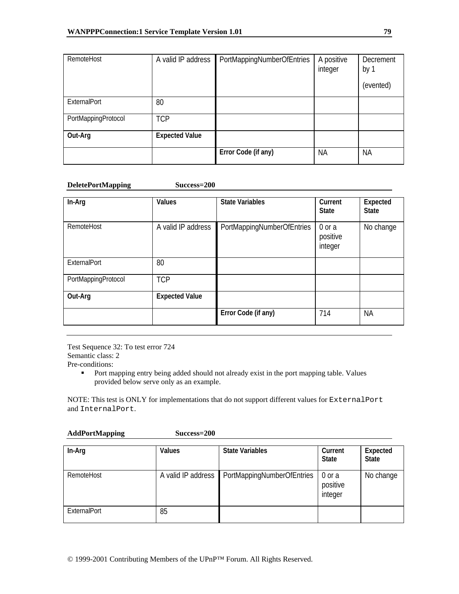| RemoteHost          | A valid IP address    | PortMappingNumberOfEntries | A positive<br>integer | Decrement<br>by 1 |
|---------------------|-----------------------|----------------------------|-----------------------|-------------------|
|                     |                       |                            |                       | (evented)         |
| <b>ExternalPort</b> | 80                    |                            |                       |                   |
| PortMappingProtocol | <b>TCP</b>            |                            |                       |                   |
| Out-Arg             | <b>Expected Value</b> |                            |                       |                   |
|                     |                       | Error Code (if any)        | <b>NA</b>             | <b>NA</b>         |

#### **DeletePortMapping Success=200**

| In-Arg              | <b>Values</b>         | <b>State Variables</b>     | Current<br><b>State</b>       | Expected<br><b>State</b> |
|---------------------|-----------------------|----------------------------|-------------------------------|--------------------------|
| RemoteHost          | A valid IP address    | PortMappingNumberOfEntries | 0 or a<br>positive<br>integer | No change                |
| ExternalPort        | 80                    |                            |                               |                          |
| PortMappingProtocol | <b>TCP</b>            |                            |                               |                          |
| Out-Arg             | <b>Expected Value</b> |                            |                               |                          |
|                     |                       | Error Code (if any)        | 714                           | NА                       |

Test Sequence 32: To test error 724 Semantic class: 2 Pre-conditions:

**Port mapping entry being added should not already exist in the port mapping table. Values** provided below serve only as an example.

NOTE: This test is ONLY for implementations that do not support different values for ExternalPort and InternalPort.

#### **AddPortMapping Success=200**

| In-Arg       | <b>Values</b>      | <b>State Variables</b>     | Current<br><b>State</b>       | Expected<br><b>State</b> |
|--------------|--------------------|----------------------------|-------------------------------|--------------------------|
| RemoteHost   | A valid IP address | PortMappingNumberOfEntries | 0 or a<br>positive<br>integer | No change                |
| ExternalPort | 85                 |                            |                               |                          |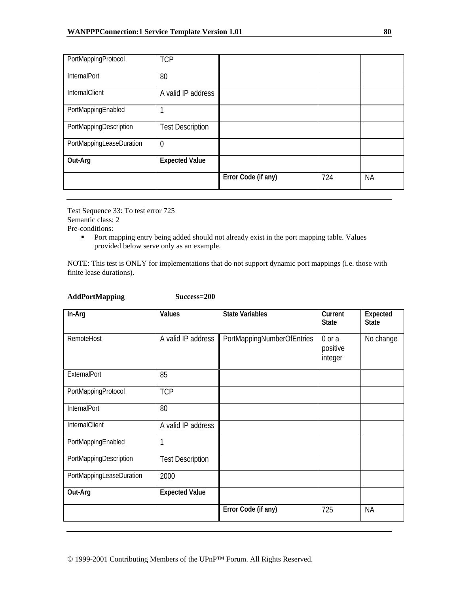| PortMappingProtocol      | <b>TCP</b>              |                     |     |           |
|--------------------------|-------------------------|---------------------|-----|-----------|
| InternalPort             | 80                      |                     |     |           |
| <b>InternalClient</b>    | A valid IP address      |                     |     |           |
| PortMappingEnabled       | 1                       |                     |     |           |
| PortMappingDescription   | <b>Test Description</b> |                     |     |           |
| PortMappingLeaseDuration | $\overline{0}$          |                     |     |           |
| Out-Arg                  | <b>Expected Value</b>   |                     |     |           |
|                          |                         | Error Code (if any) | 724 | <b>NA</b> |

Test Sequence 33: To test error 725 Semantic class: 2 Pre-conditions:

**AddPortMapping Success=200** 

**Port mapping entry being added should not already exist in the port mapping table. Values** provided below serve only as an example.

NOTE: This test is ONLY for implementations that do not support dynamic port mappings (i.e. those with finite lease durations).

| In-Arg                   | Values                  | <b>State Variables</b>     | Current<br><b>State</b>           | Expected<br><b>State</b> |
|--------------------------|-------------------------|----------------------------|-----------------------------------|--------------------------|
| RemoteHost               | A valid IP address      | PortMappingNumberOfEntries | $0$ or $a$<br>positive<br>integer | No change                |
| ExternalPort             | 85                      |                            |                                   |                          |
| PortMappingProtocol      | <b>TCP</b>              |                            |                                   |                          |
| InternalPort             | 80                      |                            |                                   |                          |
| InternalClient           | A valid IP address      |                            |                                   |                          |
| PortMappingEnabled       | $\mathbf{1}$            |                            |                                   |                          |
| PortMappingDescription   | <b>Test Description</b> |                            |                                   |                          |
| PortMappingLeaseDuration | 2000                    |                            |                                   |                          |
| Out-Arg                  | <b>Expected Value</b>   |                            |                                   |                          |
|                          |                         | Error Code (if any)        | 725                               | <b>NA</b>                |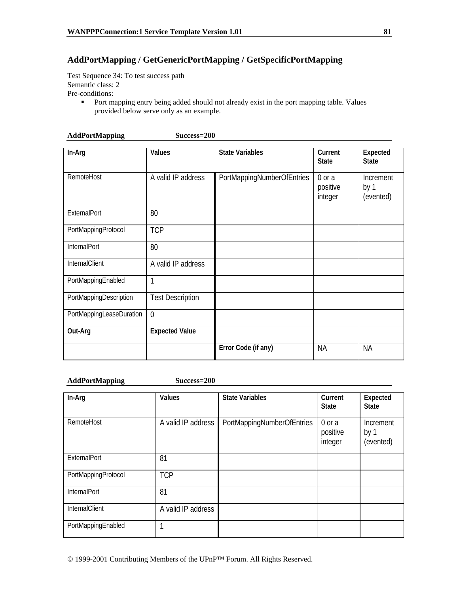## **AddPortMapping / GetGenericPortMapping / GetSpecificPortMapping**

Test Sequence 34: To test success path Semantic class: 2 Pre-conditions:

> **Port mapping entry being added should not already exist in the port mapping table. Values** provided below serve only as an example.

| In-Arg                   | Values                  | <b>State Variables</b>     | Current<br><b>State</b>           | Expected<br><b>State</b>       |
|--------------------------|-------------------------|----------------------------|-----------------------------------|--------------------------------|
| RemoteHost               | A valid IP address      | PortMappingNumberOfEntries | $0$ or $a$<br>positive<br>integer | Increment<br>by 1<br>(evented) |
| ExternalPort             | 80                      |                            |                                   |                                |
| PortMappingProtocol      | <b>TCP</b>              |                            |                                   |                                |
| InternalPort             | 80                      |                            |                                   |                                |
| InternalClient           | A valid IP address      |                            |                                   |                                |
| PortMappingEnabled       | 1                       |                            |                                   |                                |
| PortMappingDescription   | <b>Test Description</b> |                            |                                   |                                |
| PortMappingLeaseDuration | $\overline{0}$          |                            |                                   |                                |
| Out-Arg                  | <b>Expected Value</b>   |                            |                                   |                                |
|                          |                         | Error Code (if any)        | <b>NA</b>                         | <b>NA</b>                      |

**AddPortMapping Success=200** 

**AddPortMapping Success=200** 

| In-Arg              | Values             | <b>State Variables</b>     | Current<br><b>State</b>           | Expected<br><b>State</b>       |
|---------------------|--------------------|----------------------------|-----------------------------------|--------------------------------|
| RemoteHost          | A valid IP address | PortMappingNumberOfEntries | $0$ or $a$<br>positive<br>integer | Increment<br>by 1<br>(evented) |
| <b>ExternalPort</b> | 81                 |                            |                                   |                                |
| PortMappingProtocol | <b>TCP</b>         |                            |                                   |                                |
| <b>InternalPort</b> | 81                 |                            |                                   |                                |
| InternalClient      | A valid IP address |                            |                                   |                                |
| PortMappingEnabled  | 1                  |                            |                                   |                                |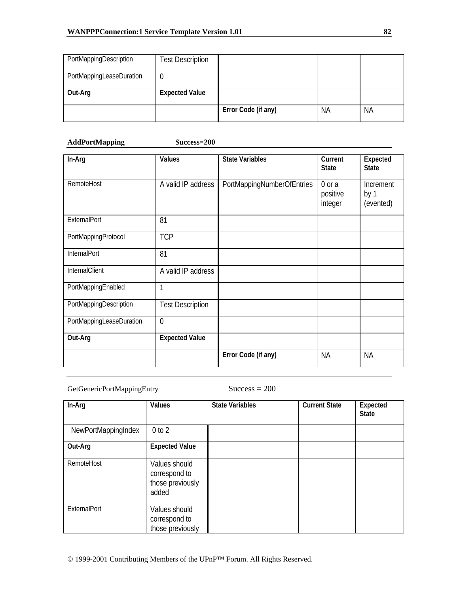| PortMappingDescription   | <b>Test Description</b> |                     |           |    |
|--------------------------|-------------------------|---------------------|-----------|----|
| PortMappingLeaseDuration |                         |                     |           |    |
| Out-Arg                  | <b>Expected Value</b>   |                     |           |    |
|                          |                         | Error Code (if any) | <b>NA</b> | ΝA |

## **AddPortMapping Success=200**

| In-Arg                   | Values                  | <b>State Variables</b>     | Current<br><b>State</b>       | Expected<br><b>State</b>       |
|--------------------------|-------------------------|----------------------------|-------------------------------|--------------------------------|
| RemoteHost               | A valid IP address      | PortMappingNumberOfEntries | 0 or a<br>positive<br>integer | Increment<br>by 1<br>(evented) |
| ExternalPort             | 81                      |                            |                               |                                |
| PortMappingProtocol      | <b>TCP</b>              |                            |                               |                                |
| InternalPort             | 81                      |                            |                               |                                |
| InternalClient           | A valid IP address      |                            |                               |                                |
| PortMappingEnabled       | 1                       |                            |                               |                                |
| PortMappingDescription   | <b>Test Description</b> |                            |                               |                                |
| PortMappingLeaseDuration | $\overline{0}$          |                            |                               |                                |
| Out-Arg                  | <b>Expected Value</b>   |                            |                               |                                |
|                          |                         | Error Code (if any)        | <b>NA</b>                     | <b>NA</b>                      |

### GetGenericPortMappingEntry Success = 200

| In-Arg              | <b>Values</b>                                               | <b>State Variables</b> | <b>Current State</b> | Expected<br><b>State</b> |
|---------------------|-------------------------------------------------------------|------------------------|----------------------|--------------------------|
| NewPortMappingIndex | 0 to 2                                                      |                        |                      |                          |
| Out-Arg             | <b>Expected Value</b>                                       |                        |                      |                          |
| RemoteHost          | Values should<br>correspond to<br>those previously<br>added |                        |                      |                          |
| <b>ExternalPort</b> | Values should<br>correspond to<br>those previously          |                        |                      |                          |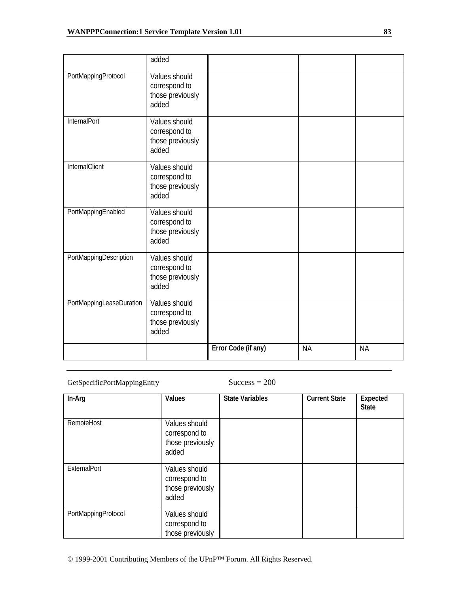|                          | added                                                       |                     |           |           |
|--------------------------|-------------------------------------------------------------|---------------------|-----------|-----------|
| PortMappingProtocol      | Values should<br>correspond to<br>those previously<br>added |                     |           |           |
| InternalPort             | Values should<br>correspond to<br>those previously<br>added |                     |           |           |
| <b>InternalClient</b>    | Values should<br>correspond to<br>those previously<br>added |                     |           |           |
| PortMappingEnabled       | Values should<br>correspond to<br>those previously<br>added |                     |           |           |
| PortMappingDescription   | Values should<br>correspond to<br>those previously<br>added |                     |           |           |
| PortMappingLeaseDuration | Values should<br>correspond to<br>those previously<br>added |                     |           |           |
|                          |                                                             | Error Code (if any) | <b>NA</b> | <b>NA</b> |

## GetSpecificPortMappingEntry Success = 200

| In-Arg              | <b>Values</b>                                               | <b>State Variables</b> | <b>Current State</b> | Expected<br><b>State</b> |
|---------------------|-------------------------------------------------------------|------------------------|----------------------|--------------------------|
| RemoteHost          | Values should<br>correspond to<br>those previously<br>added |                        |                      |                          |
| ExternalPort        | Values should<br>correspond to<br>those previously<br>added |                        |                      |                          |
| PortMappingProtocol | Values should<br>correspond to<br>those previously          |                        |                      |                          |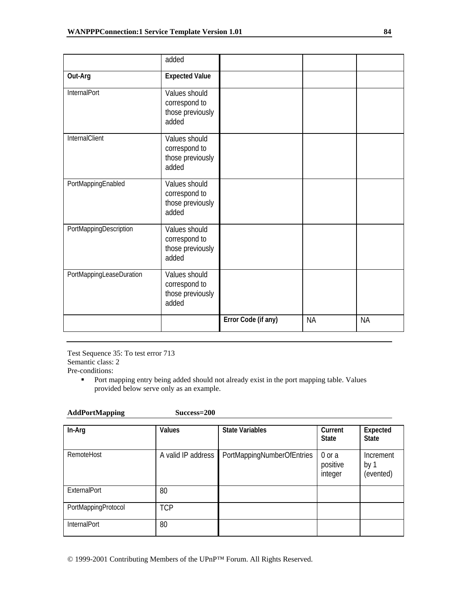|                          | added                                                       |                     |           |           |
|--------------------------|-------------------------------------------------------------|---------------------|-----------|-----------|
| Out-Arg                  | <b>Expected Value</b>                                       |                     |           |           |
| InternalPort             | Values should<br>correspond to<br>those previously<br>added |                     |           |           |
| InternalClient           | Values should<br>correspond to<br>those previously<br>added |                     |           |           |
| PortMappingEnabled       | Values should<br>correspond to<br>those previously<br>added |                     |           |           |
| PortMappingDescription   | Values should<br>correspond to<br>those previously<br>added |                     |           |           |
| PortMappingLeaseDuration | Values should<br>correspond to<br>those previously<br>added |                     |           |           |
|                          |                                                             | Error Code (if any) | <b>NA</b> | <b>NA</b> |

Test Sequence 35: To test error 713 Semantic class: 2 Pre-conditions:

**AddPortMapping Success=200** 

**Port mapping entry being added should not already exist in the port mapping table. Values** provided below serve only as an example.

| In-Arg              | <b>Values</b>      | <b>State Variables</b>     | Current<br><b>State</b>           | Expected<br><b>State</b>       |
|---------------------|--------------------|----------------------------|-----------------------------------|--------------------------------|
| RemoteHost          | A valid IP address | PortMappingNumberOfEntries | $0$ or $a$<br>positive<br>integer | Increment<br>by 1<br>(evented) |
| <b>ExternalPort</b> | 80                 |                            |                                   |                                |
| PortMappingProtocol | <b>TCP</b>         |                            |                                   |                                |
| <b>InternalPort</b> | 80                 |                            |                                   |                                |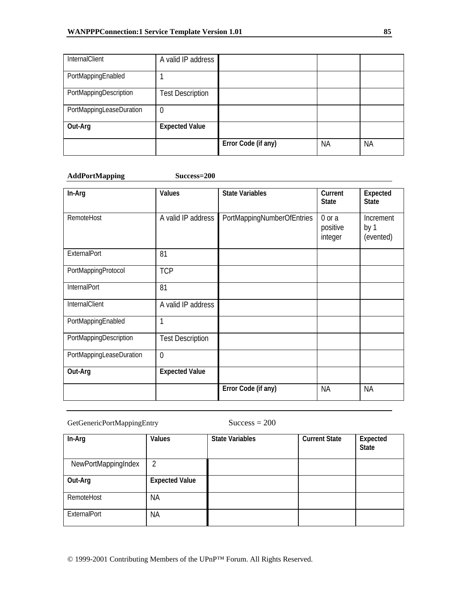| <b>InternalClient</b>    | A valid IP address      |                     |    |           |
|--------------------------|-------------------------|---------------------|----|-----------|
| PortMappingEnabled       |                         |                     |    |           |
| PortMappingDescription   | <b>Test Description</b> |                     |    |           |
| PortMappingLeaseDuration | $\theta$                |                     |    |           |
| Out-Arg                  | <b>Expected Value</b>   |                     |    |           |
|                          |                         | Error Code (if any) | ΝA | <b>NA</b> |

### **AddPortMapping Success=200**

| In-Arg                   | <b>Values</b>           | <b>State Variables</b>     | Current<br><b>State</b>       | Expected<br><b>State</b>       |
|--------------------------|-------------------------|----------------------------|-------------------------------|--------------------------------|
| RemoteHost               | A valid IP address      | PortMappingNumberOfEntries | 0 or a<br>positive<br>integer | Increment<br>by 1<br>(evented) |
| ExternalPort             | 81                      |                            |                               |                                |
| PortMappingProtocol      | <b>TCP</b>              |                            |                               |                                |
| InternalPort             | 81                      |                            |                               |                                |
| InternalClient           | A valid IP address      |                            |                               |                                |
| PortMappingEnabled       | 1                       |                            |                               |                                |
| PortMappingDescription   | <b>Test Description</b> |                            |                               |                                |
| PortMappingLeaseDuration | $\overline{0}$          |                            |                               |                                |
| Out-Arg                  | <b>Expected Value</b>   |                            |                               |                                |
|                          |                         | Error Code (if any)        | <b>NA</b>                     | <b>NA</b>                      |

## GetGenericPortMappingEntry Success = 200

| In-Arg              | Values                | <b>State Variables</b> | <b>Current State</b> | Expected<br><b>State</b> |
|---------------------|-----------------------|------------------------|----------------------|--------------------------|
| NewPortMappingIndex | 2                     |                        |                      |                          |
| Out-Arg             | <b>Expected Value</b> |                        |                      |                          |
| RemoteHost          | <b>NA</b>             |                        |                      |                          |
| ExternalPort        | <b>NA</b>             |                        |                      |                          |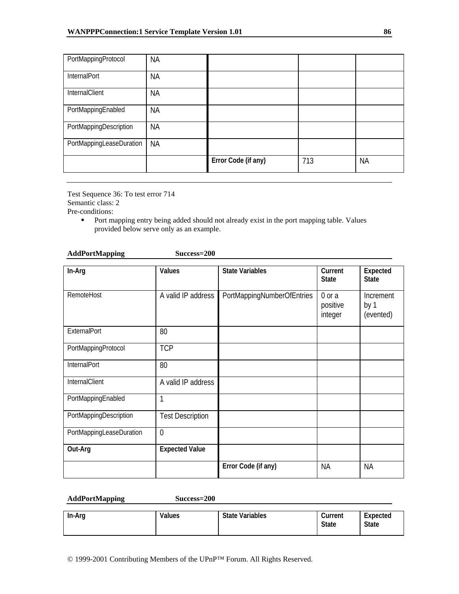| PortMappingProtocol      | <b>NA</b> |                     |     |           |
|--------------------------|-----------|---------------------|-----|-----------|
| InternalPort             | <b>NA</b> |                     |     |           |
| InternalClient           | <b>NA</b> |                     |     |           |
| PortMappingEnabled       | <b>NA</b> |                     |     |           |
| PortMappingDescription   | <b>NA</b> |                     |     |           |
| PortMappingLeaseDuration | <b>NA</b> |                     |     |           |
|                          |           | Error Code (if any) | 713 | <b>NA</b> |

Test Sequence 36: To test error 714 Semantic class: 2

Pre-conditions:

**Port mapping entry being added should not already exist in the port mapping table. Values** provided below serve only as an example.

| <b>AddPortMapping</b> | Success=200 |
|-----------------------|-------------|
|-----------------------|-------------|

| In-Arg                   | Values                  | <b>State Variables</b>     | Current<br><b>State</b>       | Expected<br><b>State</b>       |
|--------------------------|-------------------------|----------------------------|-------------------------------|--------------------------------|
| RemoteHost               | A valid IP address      | PortMappingNumberOfEntries | 0 or a<br>positive<br>integer | Increment<br>by 1<br>(evented) |
| ExternalPort             | 80                      |                            |                               |                                |
| PortMappingProtocol      | <b>TCP</b>              |                            |                               |                                |
| InternalPort             | 80                      |                            |                               |                                |
| InternalClient           | A valid IP address      |                            |                               |                                |
| PortMappingEnabled       | 1                       |                            |                               |                                |
| PortMappingDescription   | <b>Test Description</b> |                            |                               |                                |
| PortMappingLeaseDuration | $\overline{0}$          |                            |                               |                                |
| Out-Arg                  | <b>Expected Value</b>   |                            |                               |                                |
|                          |                         | Error Code (if any)        | <b>NA</b>                     | <b>NA</b>                      |

#### **AddPortMapping Success=200**

| In-Arg | Values | <b>State Variables</b> | Current<br><b>State</b> | Expected<br><b>State</b> |
|--------|--------|------------------------|-------------------------|--------------------------|
|--------|--------|------------------------|-------------------------|--------------------------|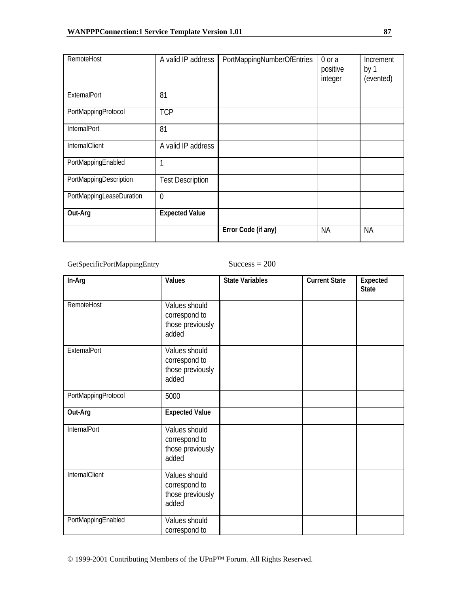| RemoteHost               | A valid IP address      | PortMappingNumberOfEntries | 0 or a<br>positive<br>integer | Increment<br>by 1<br>(evented) |
|--------------------------|-------------------------|----------------------------|-------------------------------|--------------------------------|
| ExternalPort             | 81                      |                            |                               |                                |
| PortMappingProtocol      | <b>TCP</b>              |                            |                               |                                |
| <b>InternalPort</b>      | 81                      |                            |                               |                                |
| InternalClient           | A valid IP address      |                            |                               |                                |
| PortMappingEnabled       | 1                       |                            |                               |                                |
| PortMappingDescription   | <b>Test Description</b> |                            |                               |                                |
| PortMappingLeaseDuration | $\theta$                |                            |                               |                                |
| Out-Arg                  | <b>Expected Value</b>   |                            |                               |                                |
|                          |                         | Error Code (if any)        | ΝA                            | <b>NA</b>                      |

GetSpecificPortMappingEntry Success = 200

| In-Arg              | Values                                                      | <b>State Variables</b> | <b>Current State</b> | Expected<br><b>State</b> |
|---------------------|-------------------------------------------------------------|------------------------|----------------------|--------------------------|
| RemoteHost          | Values should<br>correspond to<br>those previously<br>added |                        |                      |                          |
| ExternalPort        | Values should<br>correspond to<br>those previously<br>added |                        |                      |                          |
| PortMappingProtocol | 5000                                                        |                        |                      |                          |
| Out-Arg             | <b>Expected Value</b>                                       |                        |                      |                          |
| InternalPort        | Values should<br>correspond to<br>those previously<br>added |                        |                      |                          |
| InternalClient      | Values should<br>correspond to<br>those previously<br>added |                        |                      |                          |
| PortMappingEnabled  | Values should<br>correspond to                              |                        |                      |                          |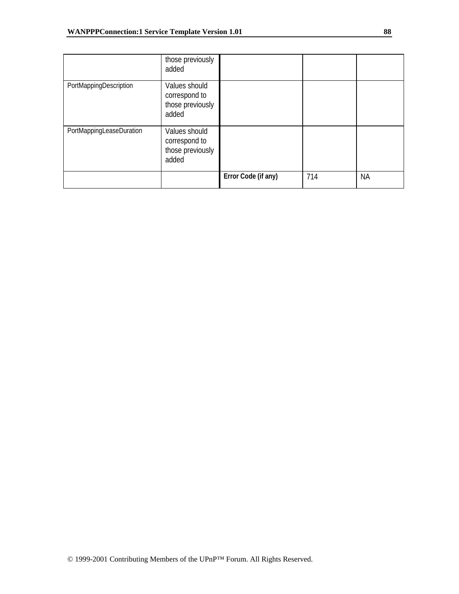|                          | those previously<br>added                                   |                     |     |           |
|--------------------------|-------------------------------------------------------------|---------------------|-----|-----------|
| PortMappingDescription   | Values should<br>correspond to<br>those previously<br>added |                     |     |           |
| PortMappingLeaseDuration | Values should<br>correspond to<br>those previously<br>added |                     |     |           |
|                          |                                                             | Error Code (if any) | 714 | <b>NA</b> |